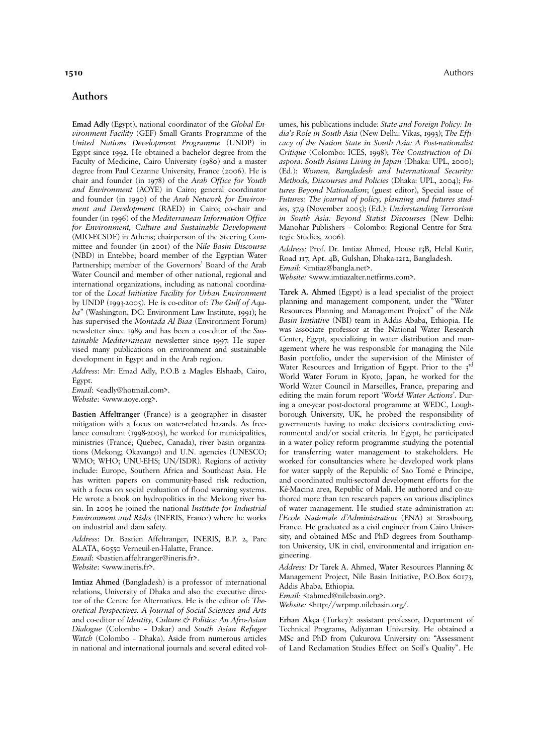## **Authors**

**Emad Adly** (Egypt), national coordinator of the *Global Environment Facility* (GEF) Small Grants Programme of the *United Nations Development Programme* (UNDP) in Egypt since 1992. He obtained a bachelor degree from the Faculty of Medicine, Cairo University (1980) and a master degree from Paul Cezanne University, France (2006). He is chair and founder (in 1978) of the *Arab Office for Youth and Environment* (AOYE) in Cairo; general coordinator and founder (in 1990) of the *Arab Network for Environment and Development* (RAED) in Cairo; co-chair and founder (in 1996) of the *Mediterranean Information Office for Environment, Culture and Sustainable Development* (MIO-ECSDE) in Athens; chairperson of the Steering Committee and founder (in 2001) of the *Nile Basin Discourse* (NBD) in Entebbe; board member of the Egyptian Water Partnership; member of the Governors' Board of the Arab Water Council and member of other national, regional and international organizations, including as national coordinator of the *Local Initiative Facility for Urban Environment* by UNDP (1993-2005). He is co-editor of: *The Gulf of Aqaba*" (Washington, DC: Environment Law Institute, 1991); he has supervised the *Montada Al Biaa* (Environment Forum) newsletter since 1989 and has been a co-editor of the *Sustainable Mediterranean* newsletter since 1997. He supervised many publications on environment and sustainable development in Egypt and in the Arab region.

*Address*: Mr: Emad Adly, P.O.B 2 Magles Elshaab, Cairo, Egypt.

*Email*: <[eadly@hotmail.com>](mailto:eadly@hotmail.com). *Website*: <www.aoye.org>.

**Bastien Affeltranger** (France) is a geographer in disaster mitigation with a focus on water-related hazards. As freelance consultant (1998-2005), he worked for municipalities, ministries (France; Quebec, Canada), river basin organizations (Mekong; Okavango) and U.N. agencies (UNESCO; WMO; WHO; UNU-EHS; UN/ISDR). Regions of activity include: Europe, Southern Africa and Southeast Asia. He has written papers on community-based risk reduction, with a focus on social evaluation of flood warning systems. He wrote a book on hydropolitics in the Mekong river basin. In 2005 he joined the national *Institute for Industrial Environment and Risks* (INERIS, France) where he works on industrial and dam safety.

*Address*: Dr. Bastien Affeltranger, INERIS, B.P. 2, Parc ALATA, 60550 Verneuil-en-Halatte, France.

*Email*: <br/>[bastien.affeltranger@ineris.fr>](mailto:bastien.affeltranger@ineris.fr).

*Website*: <www.ineris.fr>.

**Imtiaz Ahmed** (Bangladesh) is a professor of international relations, University of Dhaka and also the executive director of the Centre for Alternatives. He is the editor of: *Theoretical Perspectives: A Journal of Social Sciences and Arts* and co-editor of *Identity, Culture & Politics: An Afro-Asian Dialogue* (Colombo – Dakar) and *South Asian Refugee Watch* (Colombo – Dhaka). Aside from numerous articles in national and international journals and several edited vol-

umes, his publications include: *State and Foreign Policy: India's Role in South Asia* (New Delhi: Vikas, 1993); *The Efficacy of the Nation State in South Asia: A Post-nationalist Critique* (Colombo: ICES, 1998); *The Construction of Diaspora: South Asians Living in Japan* (Dhaka: UPL, 2000); (Ed.): *Women, Bangladesh and International Security: Methods, Discourses and Policies* (Dhaka: UPL, 2004); *Futures Beyond Nationalism*; (guest editor), Special issue of *Futures: The journal of policy, planning and futures studies*, 37,9 (November 2005); (Ed.): *Understanding Terrorism in South Asia: Beyond Statist Discourses* (New Delhi: Manohar Publishers – Colombo: Regional Centre for Strategic Studies, 2006).

*Address:* Prof. Dr. Imtiaz Ahmed, House 13B, Helal Kutir, Road 117, Apt. 4B, Gulshan, Dhaka-1212, Bangladesh. *Email:* <[imtiaz@bangla.net>](mailto:imtiaz@bangla.net" \t "_blank).

*Website:* <www.imtiazalter.netfirms.com>.

**Tarek A. Ahmed** (Egypt) is a lead specialist of the project planning and management component, under the "Water Resources Planning and Management Project" of the *Nile Basin Initiative* (NBI) team in Addis Ababa, Ethiopia. He was associate professor at the National Water Research Center, Egypt, specializing in water distribution and management where he was responsible for managing the Nile Basin portfolio, under the supervision of the Minister of Water Resources and Irrigation of Egypt. Prior to the 3rd World Water Forum in Kyoto, Japan, he worked for the World Water Council in Marseilles, France, preparing and editing the main forum report '*World Water Actions*'. During a one-year post-doctoral programme at WEDC, Loughborough University, UK, he probed the responsibility of governments having to make decisions contradicting environmental and/or social criteria. In Egypt, he participated in a water policy reform programme studying the potential for transferring water management to stakeholders. He worked for consultancies where he developed work plans for water supply of the Republic of Sao Tomé e Principe, and coordinated multi-sectoral development efforts for the Ké-Macina area, Republic of Mali. He authored and co-authored more than ten research papers on various disciplines of water management. He studied state administration at: *l'Ecole Nationale d'Administration* (ENA) at Strasbourg, France. He graduated as a civil engineer from Cairo University, and obtained MSc and PhD degrees from Southampton University, UK in civil, environmental and irrigation engineering.

*Address:* Dr Tarek A. Ahmed, Water Resources Planning & Management Project, Nile Basin Initiative, P.O.Box 60173, Addis Ababa, Ethiopia.

*Email:* <tahmed@nilebasin.org>.

*Website:* <http://wrpmp.nilebasin.org/.

**Erhan Akça** (Turkey): assistant professor, Department of Technical Programs, Adiyaman University. He obtained a MSc and PhD from Çukurova University on: "Assessment of Land Reclamation Studies Effect on Soil's Quality". He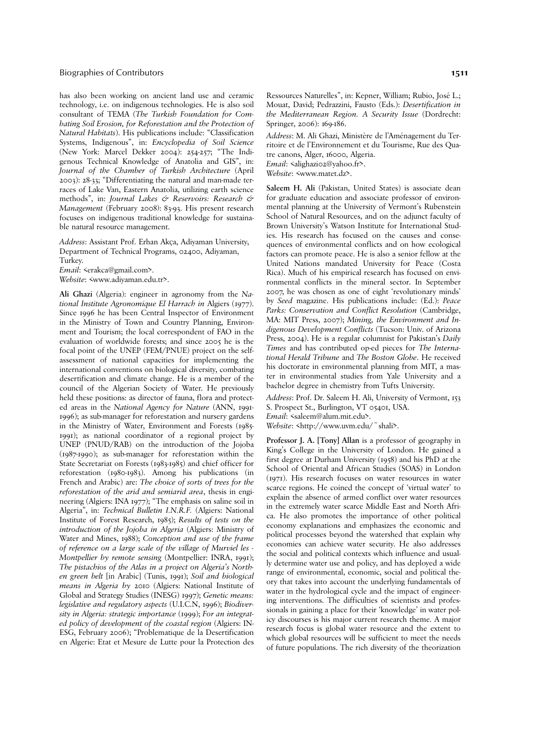has also been working on ancient land use and ceramic technology, i.e. on indigenous technologies. He is also soil consultant of TEMA (*The Turkish Foundation for Combating Soil Erosion, for Reforestation and the Protection of Natural Habitats*). His publications include: "Classification Systems, Indigenous", in: *Encyclopedia of Soil Science* (New York: Marcel Dekker 2004): 254-257; "The Indigenous Technical Knowledge of Anatolia and GIS", in: *Journal of the Chamber of Turkish Architecture* (April 2003): 28-33; "Differentiating the natural and man-made terraces of Lake Van, Eastern Anatolia, utilizing earth science methods", in: *Journal Lakes & Reservoirs: Research & Management* (February 2008): 83-93. His present research focuses on indigenous traditional knowledge for sustainable natural resource management.

*Address*: Assistant Prof. Erhan Akça, Adiyaman University, Department of Technical Programs, 02400, Adiyaman, Turkey. *Email*: <erakca@gmail.com>.

*Website*: <www.adiyaman.edu.tr>.

**Ali Ghazi** (Algeria): engineer in agronomy from the *National Institute Agronomique El Harrach in* Algiers (1977). Since 1996 he has been Central Inspector of Environment in the Ministry of Town and Country Planning, Environment and Tourism; the local correspondent of FAO in the evaluation of worldwide forests; and since 2005 he is the focal point of the UNEP (FEM/PNUE) project on the selfassessment of national capacities for implementing the international conventions on biological diversity, combating desertification and climate change. He is a member of the council of the Algerian Society of Water. He previously held these positions: as director of fauna, flora and protected areas in the *National Agency for Nature* (ANN, 1991- 1996); as sub-manager for reforestation and nursery gardens in the Ministry of Water, Environment and Forests (1985- 1991); as national coordinator of a regional project by UNEP (PNUD/RAB) on the introduction of the Jojoba (1987-1990); as sub-manager for reforestation within the State Secretariat on Forests (1983-1985) and chief officer for reforestation (1980-1983). Among his publications (in French and Arabic) are: *The choice of sorts of trees for the reforestation of the arid and semiarid area*, thesis in engineering (Algiers: INA 1977); "The emphasis on saline soil in Algeria", in: *Technical Bulletin I.N.R.F.* (Algiers: National Institute of Forest Research, 1985); *Results of tests on the introduction of the Jojoba in Algeria* (Algiers: Ministry of Water and Mines, 1988); *Conception and use of the frame of reference on a large scale of the village of Murviel les - Montpellier by remote sensing* (Montpellier: INRA, 1991); *The pistachios of the Atlas in a project on Algeria's Northen green belt* [in Arabic] (Tunis, 1991); *Soil and biological means in Algeria by* 2010 (Algiers: National Institute of Global and Strategy Studies (INESG) 1997); *Genetic means: legislative and regulatory aspects* (U.I.C.N, 1996); *Biodiversity in Algeria: strategic importance* (1999); *For an integrated policy of development of the coastal region* (Algiers: IN-ESG, February 2006); "Problematique de la Desertification en Algerie: Etat et Mesure de Lutte pour la Protection des Ressources Naturelles", in: Kepner, William; Rubio, José L.; Mouat, David; Pedrazzini, Fausto (Eds.): *Desertification in the Mediterranean Region. A Security Issue* (Dordrecht: Springer, 2006): 169-186.

*Address*: M. Ali Ghazi, Ministère de l'Aménagement du Territoire et de l'Environnement et du Tourisme, Rue des Quatre canons, Alger, 16000, Algeria. *Email*: <alighazi02@yahoo.fr>.

*Website*: <www.matet.dz>.

**Saleem H. Ali** (Pakistan, United States) is associate dean for graduate education and associate professor of environmental planning at the University of Vermont's Rubenstein School of Natural Resources, and on the adjunct faculty of Brown University's Watson Institute for International Studies. His research has focused on the causes and consequences of environmental conflicts and on how ecological factors can promote peace. He is also a senior fellow at the United Nations mandated University for Peace (Costa Rica). Much of his empirical research has focused on environmental conflicts in the mineral sector. In September 2007, he was chosen as one of eight 'revolutionary minds' by *Seed* magazine. His publications include: (Ed.): *Peace Parks: Conservation and Conflict Resolution* (Cambridge, MA: MIT Press, 2007); *Mining, the Environment and Indigenous Development Conflicts* (Tucson: Univ. of Arizona Press, 2004). He is a regular columnist for Pakistan's *Daily Times* and has contributed op-ed pieces for *The International Herald Tribune* and *The Boston Globe*. He received his doctorate in environmental planning from MIT, a master in environmental studies from Yale University and a bachelor degree in chemistry from Tufts University.

*Address*: Prof. Dr. Saleem H. Ali, University of Vermont, 153 S. Prospect St., Burlington, VT 05401, USA. *Email*: <saleem@alum.mit.edu>. *Website*: <http://www.uvm.edu/~shali>.

**Professor J. A. [Tony] Allan** is a professor of geography in King's College in the University of London. He gained a first degree at Durham University (1958) and his PhD at the School of Oriental and African Studies (SOAS) in London (1971). His research focuses on water resources in water scarce regions. He coined the concept of 'virtual water' to explain the absence of armed conflict over water resources in the extremely water scarce Middle East and North Africa. He also promotes the importance of other political economy explanations and emphasizes the economic and political processes beyond the watershed that explain why economies can achieve water security. He also addresses the social and political contexts which influence and usually determine water use and policy, and has deployed a wide range of environmental, economic, social and political theory that takes into account the underlying fundamentals of water in the hydrological cycle and the impact of engineering interventions. The difficulties of scientists and professionals in gaining a place for their 'knowledge' in water policy discourses is his major current research theme. A major research focus is global water resource and the extent to which global resources will be sufficient to meet the needs of future populations. The rich diversity of the theorization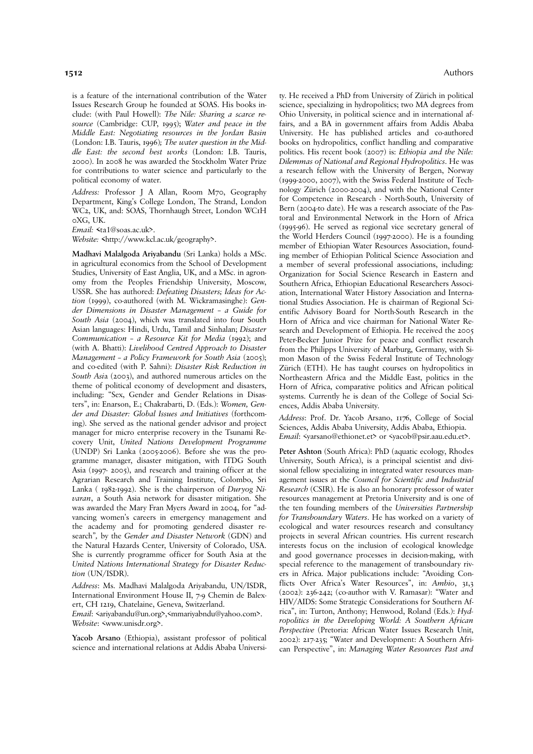is a feature of the international contribution of the Water Issues Research Group he founded at SOAS. His books include: (with Paul Howell): *The Nile: Sharing a scarce resource* (Cambridge: CUP, 1995); *Water and peace in the Middle East: Negotiating resources in the Jordan Basin* (London: I.B. Tauris, 1996)*; The water question in the Middle East: the second best works* (London: I.B. Tauris, 2000). In 2008 he was awarded the Stockholm Water Prize for contributions to water science and particularly to the political economy of water.

*Address:* Professor J A Allan, Room M70, Geography Department, King's College London, The Strand, London WC2, UK, and: SOAS, Thornhaugh Street, London WC1H 0XG, UK.

*Email:* **<**ta1@soas.ac.uk>.

*Website:* **<**http://www.kcl.ac.uk/geography>.

**Madhavi Malalgoda Ariyabandu** (Sri Lanka) holds a MSc. in agricultural economics from the School of Development Studies, University of East Anglia, UK, and a MSc. in agronomy from the Peoples Friendship University, Moscow, USSR. She has authored: *Defeating Disasters; Ideas for Action* (1999), co-authored (with M. Wickramasinghe): *Gender Dimensions in Disaster Management – a Guide for South Asia* (2004), which was translated into four South Asian languages: Hindi, Urdu, Tamil and Sinhalan; *Disaster Communication – a Resource Kit for Media* (1992); and (with A. Bhatti): *Livelihood Centred Approach to Disaster Management – a Policy Framework for South Asia* (2005); and co-edited (with P. Sahni): *Disaster Risk Reduction in South Asi*a (2003), and authored numerous articles on the theme of political economy of development and disasters, including: "Sex, Gender and Gender Relations in Disasters", in: Enarson, E.; Chakrabarti, D. (Eds.): *Women, Gender and Disaster: Global Issues and Initiatives* (forthcoming). She served as the national gender advisor and project manager for micro enterprise recovery in the Tsunami Recovery Unit, *United Nations Development Programme* (UNDP) Sri Lanka (2005-2006). Before she was the programme manager, disaster mitigation, with ITDG South Asia (1997- 2005), and research and training officer at the Agrarian Research and Training Institute, Colombo, Sri Lanka ( 1982-1992). She is the chairperson of *Duryog Nivaran*, a South Asia network for disaster mitigation. She was awarded the Mary Fran Myers Award in 2004, for "advancing women's careers in emergency management and the academy and for promoting gendered disaster research"*,* by the *Gender and Disaster Network* (GDN) and the Natural Hazards Center, University of Colorado, USA. She is currently programme officer for South Asia at the *United Nations International Strategy for Disaster Reduction* (UN/ISDR).

*Address*: Ms. Madhavi Malalgoda Ariyabandu, UN/ISDR, International Environment House II, 7-9 Chemin de Balexert, CH 1219, Chatelaine, Geneva, Switzerland.

*Email*[: <ariyabandu@un.org>,<mmariyabndu@yahoo.com>.](mailto:mmariyabndu@yahoo.com)  *Website*: <www.unisdr.org>.

**Yacob Arsano** (Ethiopia), assistant professor of political science and international relations at Addis Ababa University. He received a PhD from University of Zürich in political science, specializing in hydropolitics; two MA degrees from Ohio University, in political science and in international affairs, and a BA in government affairs from Addis Ababa University. He has published articles and co-authored books on hydropolitics, conflict handling and comparative politics. His recent book (2007) is: *Ethiopia and the Nile: Dilemmas of National and Regional Hydropolitics*. He was a research fellow with the University of Bergen, Norway (1999-2000, 2007), with the Swiss Federal Institute of Technology Zürich (2000-2004), and with the National Center for Competence in Research - North-South, University of Bern (2004-to date). He was a research associate of the Pastoral and Environmental Network in the Horn of Africa (1995-96). He served as regional vice secretary general of the World Herders Council (1997-2000). He is a founding member of Ethiopian Water Resources Association, founding member of Ethiopian Political Science Association and a member of several professional associations, including: Organization for Social Science Research in Eastern and Southern Africa, Ethiopian Educational Researchers Association, International Water History Association and International Studies Association. He is chairman of Regional Scientific Advisory Board for North-South Research in the Horn of Africa and vice chairman for National Water Research and Development of Ethiopia. He received the 2005 Peter-Becker Junior Prize for peace and conflict research from the Philipps University of Marburg, Germany, with Simon Mason of the Swiss Federal Institute of Technology Zürich (ETH). He has taught courses on hydropolitics in Northeastern Africa and the Middle East, politics in the Horn of Africa, comparative politics and African political systems. Currently he is dean of the College of Social Sciences, Addis Ababa University.

*Address*: Prof. Dr. Yacob Arsano, 1176, College of Social Sciences, Addis Ababa University, Addis Ababa, Ethiopia. *Email*: <yarsano@ethionet.et> or <yacob@psir.aau.edu.et>.

**Peter Ashton** (South Africa): PhD (aquatic ecology, Rhodes University, South Africa), is a principal scientist and divisional fellow specializing in integrated water resources management issues at the *Council for Scientific and Industrial Research* (CSIR). He is also an honorary professor of water resources management at Pretoria University and is one of the ten founding members of the *Universities Partnership for Transboundary Waters*. He has worked on a variety of ecological and water resources research and consultancy projects in several African countries. His current research interests focus on the inclusion of ecological knowledge and good governance processes in decision-making, with special reference to the management of transboundary rivers in Africa. Major publications include: "Avoiding Conflicts Over Africa's Water Resources", in: *Ambio*, 31,3 (2002): 236-242; (co-author with V. Ramasar): "Water and HIV/AIDS: Some Strategic Considerations for Southern Africa", in: Turton, Anthony; Henwood, Roland (Eds.): *Hydropolitics in the Developing World: A Southern African Perspective* (Pretoria: African Water Issues Research Unit, 2002): 217-235; "Water and Development: A Southern African Perspective", in: *Managing Water Resources Past and*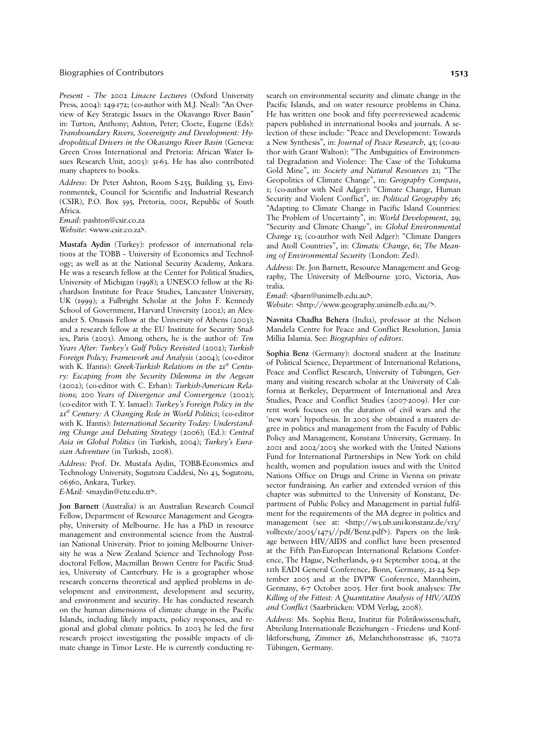*Present – The* 2002 *Linacre Lectures* (Oxford University Press, 2004): 149-172; (co-author with M.J. Neal): "An Overview of Key Strategic Issues in the Okavango River Basin" in: Turton, Anthony; Ashton, Peter; Cloete, Eugene (Eds): *Transboundary Rivers, Sovereignty and Development: Hydropolitical Drivers in the Okavango River Basin* (Geneva: Green Cross International and Pretoria: African Water Issues Research Unit, 2003): 31-63. He has also contributed many chapters to books.

*Address*: Dr Peter Ashton, Room S-255, Building 33, Environmentek, Council for Scientific and Industrial Research (CSIR), P.O. Box 395, Pretoria, 0001, Republic of South Africa.

*Email*[: pashton@csir.co.za](mailto:pashton@csir.co.za)

*Website*: <www.csir.co.za>.

**Mustafa Aydin** (Turkey): professor of international relations at the TOBB – University of Economics and Technology; as well as at the National Security Academy, Ankara. He was a research fellow at the Center for Political Studies, University of Michigan (1998); a UNESCO fellow at the Richardson Institute for Peace Studies, Lancaster University, UK (1999); a Fulbright Scholar at the John F. Kennedy School of Government, Harvard University (2002); an Alexander S. Onassis Fellow at the University of Athens (2003); and a research fellow at the EU Institute for Security Studies, Paris (2003). Among others, he is the author of: *Ten Years After: Turkey's Gulf Policy Revisited* (2002); *Turkish Foreign Policy; Framework and Analysis* (2004); (co-editor with K. Ifantis): *Greek-Turkish Relations in the* 21*st Century: Escaping from the Security Dilemma in the Aegean* (2002); (co-editor with C. Erhan): *Turkish-American Relations;* 200 *Years of Divergence and Convergence* (2002); (co-editor with T. Y. Ismael): *Turkey's Foreign Policy in the* 21*st Century: A Changing Role in World Politics*; (co-editor with K. Ifantis): *International Security Today: Understanding Change and Debating Strategy* (2006); (Ed.): *Central Asia in Global Politics* (in Turkish, 2004); *Turkey's Eurasian Adventure* (in Turkish, 2008).

*Address:* Prof. Dr. Mustafa Aydin, TOBB-Economics and Technology University, Sogutozu Caddesi, No 43, Sogutozu, 06560, Ankara, Turkey.

*E-Mail:* <maydin@etu.edu.tr>.

**Jon Barnett** (Australia) is an Australian Research Council Fellow, Department of Resource Management and Geography, University of Melbourne. He has a PhD in resource management and environmental science from the Australian National University. Prior to joining Melbourne University he was a New Zealand Science and Technology Postdoctoral Fellow, Macmillan Brown Centre for Pacific Studies, University of Canterbury. He is a geographer whose research concerns theoretical and applied problems in development and environment, development and security, and environment and security. He has conducted research on the human dimensions of climate change in the Pacific Islands, including likely impacts, policy responses, and regional and global climate politics. In 2003 he led the first research project investigating the possible impacts of climate change in Timor Leste. He is currently conducting research on environmental security and climate change in the Pacific Islands, and on water resource problems in China. He has written one book and fifty peer-reviewed academic papers published in international books and journals. A selection of these include: "Peace and Development: Towards a New Synthesis", in: *Journal of Peace Research*, 45; (co-author with Grant Walton): "The Ambiguities of Environmental Degradation and Violence: The Case of the Tolukuma Gold Mine", in: *Society and Natural Resources* 21; "The Geopolitics of Climate Change", in: *Geography Compass*, 1; (co-author with Neil Adger): "Climate Change, Human Security and Violent Conflict", in: *Political Geography* 26; "Adapting to Climate Change in Pacific Island Countries: The Problem of Uncertainty", in: *World Development*, 29; "Security and Climate Change", in: *Global Environmental Change* 13; (co-author with Neil Adger): "Climate Dangers and Atoll Countries", in: *Climatic Change*, 61; *The Meaning of Environmental Security* (London: Zed).

*Address*: Dr. Jon Barnett, Resource Management and Geography, The University of Melbourne 3010, Victoria, Australia.

*Email*: <jbarn@unimelb.edu.au>.

*Website*: <http://www.geography.unimelb.edu.au/>.

**Navnita Chadha Behera** (India), professor at the Nelson Mandela Centre for Peace and Conflict Resolution, Jamia Millia Islamia. See: *Biographies of editors*.

**Sophia Benz** (Germany): doctoral student at the Institute of Political Science, Department of International Relations, Peace and Conflict Research, University of Tübingen, Germany and visiting research scholar at the University of California at Berkeley, Department of International and Area Studies, Peace and Conflict Studies (2007-2009). Her current work focuses on the duration of civil wars and the 'new wars' hypothesis. In 2005 she obtained a masters degree in politics and management from the Faculty of Public Policy and Management, Konstanz University, Germany. In 2001 and 2002/2003 she worked with the United Nations Fund for International Partnerships in New York on child health, women and population issues and with the United Nations Office on Drugs and Crime in Vienna on private sector fundraising. An earlier and extended version of this chapter was submitted to the University of Konstanz, Department of Public Policy and Management in partial fulfilment for the requirements of the MA degree in politics and management (see at: <http://w3.ub.uni-konstanz.de/v13/ volltexte/2005/1473//pdf/Benz.pdf>). Papers on the linkage between HIV/AIDS and conflict have been presented at the Fifth Pan-European International Relations Conference, The Hague, Netherlands, 9-11 September 2004, at the 11th EADI General Conference, Bonn, Germany, 21-24 September 2005 and at the DVPW Conference, Mannheim, Germany, 6-7 October 2005. Her first book analyses: *The Killing of the Fittest: A Quantitative Analysis of HIV/AIDS and Conflict* (Saarbrücken: VDM Verlag, 2008).

*Address:* Ms. Sophia Benz, Institut für Politikwissenschaft, Abteilung Internationale Beziehungen – Friedens- und Konfliktforschung, Zimmer 26, Melanchthonstrasse 36, 72072 Tübingen, Germany.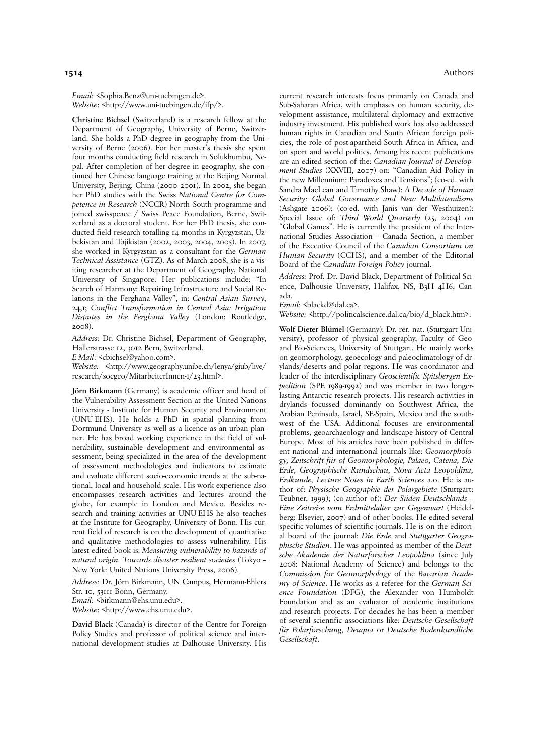*Email: <*Sophia.Benz@uni-tuebingen.de>. *Website*: <http://www.uni-tuebingen.de/ifp/>.

**Christine Bichsel** (Switzerland) is a research fellow at the Department of Geography, University of Berne, Switzerland. She holds a PhD degree in geography from the University of Berne (2006). For her master's thesis she spent four months conducting field research in Solukhumbu, Nepal. After completion of her degree in geography, she continued her Chinese language training at the Beijing Normal University, Beijing, China (2000–2001). In 2002, she began her PhD studies with the Swiss *National Centre for Competence in Research* (NCCR) North–South programme and joined swisspeace / Swiss Peace Foundation, Berne, Switzerland as a doctoral student. For her PhD thesis, she conducted field research totalling 14 months in Kyrgyzstan, Uzbekistan and Tajikistan (2002, 2003, 2004, 2005). In 2007, she worked in Kyrgyzstan as a consultant for the *German Technical Assistance* (GTZ). As of March 2008, she is a visiting researcher at the Department of Geography, National University of Singapore. Her publications include: "In Search of Harmony: Repairing Infrastructure and Social Relations in the Ferghana Valley", in: *Central Asian Survey*, 24,1; *Conflict Transformation in Central Asia: Irrigation Disputes in the Ferghana Valley* (London: Routledge, 2008).

*Address*: Dr. Christine Bichsel, Department of Geography, Hallerstrasse 12, 3012 Bern, Switzerland.

*E-Mail*: <cbichsel@yahoo.com>.

*Website:* <http://www.geography.unibe.ch/lenya/giub/live/ research/socgeo/MitarbeiterInnen-1/23.html>.

**Jörn Birkmann** (Germany) is academic officer and head of the Vulnerability Assessment Section at the United Nations University - Institute for Human Security and Environment (UNU-EHS). He holds a PhD in spatial planning from Dortmund University as well as a licence as an urban planner. He has broad working experience in the field of vulnerability, sustainable development and environmental assessment, being specialized in the area of the development of assessment methodologies and indicators to estimate and evaluate different socio-economic trends at the sub-national, local and household scale. His work experience also encompasses research activities and lectures around the globe, for example in London and Mexico. Besides research and training activities at UNU-EHS he also teaches at the Institute for Geography, University of Bonn. His current field of research is on the development of quantitative and qualitative methodologies to assess vulnerability. His latest edited book is: *Measuring vulnerability to hazards of natural origin. Towards disaster resilient societies* (Tokyo – New York: United Nations University Press, 2006).

*Address:* Dr. Jörn Birkmann, UN Campus, Hermann-Ehlers Str. 10, 53111 Bonn, Germany.

*Email:* <br/>birkmann@ehs.unu.edu>.

*Website*: <http://www.ehs.unu.edu>.

**David Black** (Canada) is director of the Centre for Foreign Policy Studies and professor of political science and international development studies at Dalhousie University. His current research interests focus primarily on Canada and Sub-Saharan Africa, with emphases on human security, development assistance, multilateral diplomacy and extractive industry investment. His published work has also addressed human rights in Canadian and South African foreign policies, the role of post-apartheid South Africa in Africa, and on sport and world politics. Among his recent publications are an edited section of the: *Canadian Journal of Development Studies* (XXVIII, 2007) on: "Canadian Aid Policy in the new Millennium: Paradoxes and Tensions"; (co-ed. with Sandra MacLean and Timothy Shaw): *A Decade of Human Security: Global Governance and New Multilateralisms* (Ashgate 2006); (co-ed. with Janis van der Westhuizen): Special Issue of: *Third World Quarterly* (25, 2004) on "Global Games". He is currently the president of the International Studies Association – Canada Section, a member of the Executive Council of the *Canadian Consortium on Human Security* (CCHS), and a member of the Editorial Board of the *Canadian Foreign Policy* journal.

*Address:* Prof. Dr. David Black, Department of Political Science, Dalhousie University, Halifax, NS, B3H 4H6, Canada.

*Email:* <br/>blackd@dal.ca>.

*Website:* <http://politicalscience.dal.ca/bio/d\_black.htm>.

**Wolf Dieter Blümel** (Germany): Dr. rer. nat. (Stuttgart University), professor of physical geography, Faculty of Geoand Bio-Sciences, University of Stuttgart. He mainly works on geomorphology, geoecology and paleoclimatology of drylands/deserts and polar regions. He was coordinator and leader of the interdisciplinary *Geoscientific Spitsbergen Expedition* (SPE 1989-1992) and was member in two longerlasting Antarctic research projects. His research activities in drylands focussed dominantly on Southwest Africa, the Arabian Peninsula, Israel, SE-Spain, Mexico and the southwest of the USA. Additional focuses are environmental problems, geoarchaeology and landscape history of Central Europe. Most of his articles have been published in different national and international journals like: *Geomorphology, Zeitschrift für of Geomorphologie, Palaeo, Catena, Die Erde, Geographische Rundschau, Nova Acta Leopoldina, Erdkunde, Lecture Notes in Earth Sciences* a.o. He is author of: *Physische Geographie der Polargebiete* (Stuttgart: Teubner, 1999); (co-author of): *Der Süden Deutschlands – Eine Zeitreise vom Erdmittelalter zur Gegenwart* (Heidelberg: Elsevier, 2007) and of other books. He edited several specific volumes of scientific journals. He is on the editorial board of the journal: *Die Erde* and *Stuttgarter Geographische Studien*. He was appointed as member of the *Deutsche Akademie der Naturforscher Leopoldina* (since July 2008: National Academy of Science) and belongs to the *Commission for Geomorphology* of the *Bavarian Academy of Science*. He works as a referee for the *German Science Foundation* (DFG), the Alexander von Humboldt Foundation and as an evaluator of academic institutions and research projects. For decades he has been a member of several scientific associations like: *Deutsche Gesellschaft für Polarforschung, Deuqua* or *Deutsche Bodenkundliche Gesellschaft*.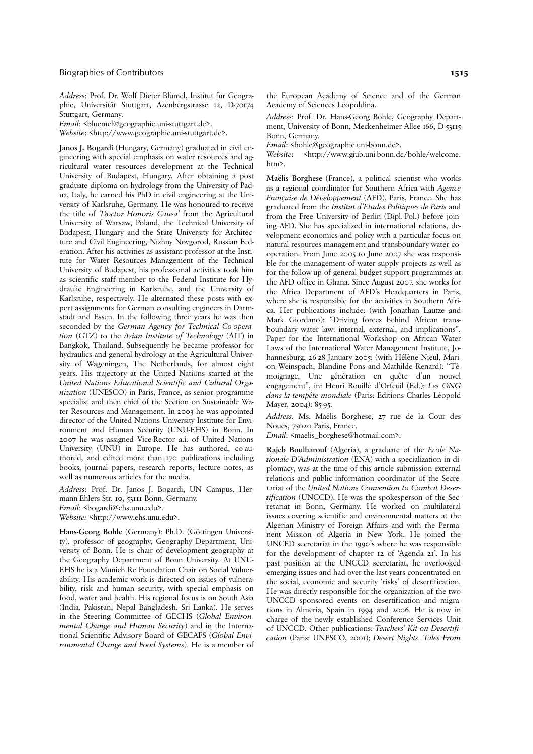*Address*: Prof. Dr. Wolf Dieter Blümel, Institut für Geographie, Universität Stuttgart, Azenbergstrasse 12, D-70174 Stuttgart, Germany.

*Email*: <bluemel@geographie.uni-stuttgart.de>.

*Website*: <http://www.geographie.uni-stuttgart.de>.

**Janos J. Bogardi** (Hungary, Germany) graduated in civil engineering with special emphasis on water resources and agricultural water resources development at the Technical University of Budapest, Hungary. After obtaining a post graduate diploma on hydrology from the University of Padua, Italy, he earned his PhD in civil engineering at the University of Karlsruhe, Germany. He was honoured to receive the title of *'Doctor Honoris Causa'* from the Agricultural University of Warsaw, Poland, the Technical University of Budapest, Hungary and the State University for Architecture and Civil Engineering, Nizhny Novgorod, Russian Federation. After his activities as assistant professor at the Institute for Water Resources Management of the Technical University of Budapest, his professional activities took him as scientific staff member to the Federal Institute for Hydraulic Engineering in Karlsruhe, and the University of Karlsruhe, respectively. He alternated these posts with expert assignments for German consulting engineers in Darmstadt and Essen. In the following three years he was then seconded by the *German Agency for Technical Co-operation* (GTZ) to the *Asian Institute of Technology* (AIT) in Bangkok, Thailand. Subsequently he became professor for hydraulics and general hydrology at the Agricultural University of Wageningen, The Netherlands, for almost eight years. His trajectory at the United Nations started at the *United Nations Educational Scientific and Cultural Organization* (UNESCO) in Paris, France, as senior programme specialist and then chief of the Section on Sustainable Water Resources and Management. In 2003 he was appointed director of the United Nations University Institute for Environment and Human Security (UNU-EHS) in Bonn. In 2007 he was assigned Vice-Rector a.i. of United Nations University (UNU) in Europe. He has authored, co-authored, and edited more than 170 publications including books, journal papers, research reports, lecture notes, as well as numerous articles for the media.

*Address*: Prof. Dr. Janos J. Bogardi, UN Campus, Hermann-Ehlers Str. 10, 53111 Bonn, Germany. *Email:* <br/>bogardi@ehs.unu.edu>.

*Website:* <http://www.ehs.unu.edu>.

**Hans-Georg Bohle** (Germany): Ph.D. (Göttingen University), professor of geography, Geography Department, University of Bonn. He is chair of development geography at the Geography Department of Bonn University. At UNU-EHS he is a Munich Re Foundation Chair on Social Vulnerability. His academic work is directed on issues of vulnerability, risk and human security, with special emphasis on food, water and health. His regional focus is on South Asia (India, Pakistan, Nepal Bangladesh, Sri Lanka). He serves in the Steering Committee of GECHS (*Global Environmental Change and Human Security*) and in the International Scientific Advisory Board of GECAFS (*Global Environmental Change and Food Systems*). He is a member of the European Academy of Science and of the German Academy of Sciences Leopoldina.

*Address*: Prof. Dr. Hans-Georg Bohle, Geography Department, University of Bonn, Meckenheimer Allee 166, D-53115 Bonn, Germany.

*Email*: <br/>bohle@geographie.uni-bonn.de>.

*Website*: <http://www.giub.uni-bonn.de/bohle/welcome. htm>.

**Maëlis Borghese** (France), a political scientist who works as a regional coordinator for Southern Africa with *Agence Française de Développement* (AFD), Paris, France. She has graduated from the *Institut d'Etudes Politiques de Paris* and from the Free University of Berlin (Dipl.-Pol.) before joining AFD. She has specialized in international relations, development economics and policy with a particular focus on natural resources management and transboundary water cooperation. From June 2005 to June 2007 she was responsible for the management of water supply projects as well as for the follow-up of general budget support programmes at the AFD office in Ghana. Since August 2007, she works for the Africa Department of AFD's Headquarters in Paris, where she is responsible for the activities in Southern Africa. Her publications include: (with Jonathan Lautze and Mark Giordano): "Driving forces behind African transboundary water law: internal, external, and implications", Paper for the International Workshop on African Water Laws of the International Water Management Institute, Johannesburg, 26-28 January 2005; (with Hélène Nieul, Marion Weinspach, Blandine Pons and Mathilde Renard): "Témoignage, Une génération en quête d'un nouvel engagement", in: Henri Rouillé d'Orfeuil (Ed.): *Les ONG dans la tempête mondiale* (Paris: Editions Charles Léopold Mayer, 2004): 85-95.

*Address:* Ms. Maëlis Borghese, 27 rue de la Cour des Noues, 75020 Paris, France.

*Email*: <maelis\_borghese@hotmail.com>.

**Rajeb Boulharouf** (Algeria), a graduate of the *Ecole Nationale D'Administration* (ENA) with a specialization in diplomacy, was at the time of this article submission external relations and public information coordinator of the Secretariat of the *United Nations Convention to Combat Desertification* (UNCCD). He was the spokesperson of the Secretariat in Bonn, Germany. He worked on multilateral issues covering scientific and environmental matters at the Algerian Ministry of Foreign Affairs and with the Permanent Mission of Algeria in New York. He joined the UNCED secretariat in the 1990's where he was responsible for the development of chapter 12 of 'Agenda 21'. In his past position at the UNCCD secretariat, he overlooked emerging issues and had over the last years concentrated on the social, economic and security 'risks' of desertification. He was directly responsible for the organization of the two UNCCD sponsored events on desertification and migrations in Almeria, Spain in 1994 and 2006. He is now in charge of the newly established Conference Services Unit of UNCCD. Other publications: *Teachers' Kit on Desertification* (Paris: UNESCO, 2001); *Desert Nights. Tales From*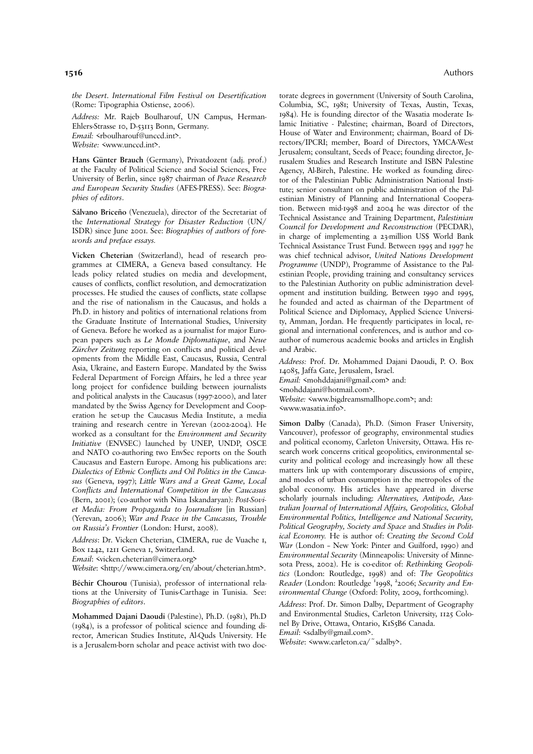*the Desert*. *International Film Festival on Desertification* (Rome: Tipographia Ostiense, 2006).

*Address:* Mr. Rajeb Boulharouf, UN Campus, Herman-Ehlers-Strasse 10, D-53113 Bonn, Germany. *Email:* <rboulharouf@unccd.int>. *Website:* <www.unccd.int>.

**Hans Günter Brauch** (Germany), Privatdozent (adj. prof.) at the Faculty of Political Science and Social Sciences, Free University of Berlin, since 1987 chairman of *Peace Research and European Security Studies* (AFES-PRESS). See: *Biographies of editors*.

**Sálvano Briceño** (Venezuela), director of the Secretariat of the *International Strategy for Disaster Reduction* (UN/ ISDR) since June 2001. See: *Biographies of authors of forewords and preface essays.*

**Vicken Cheterian** (Switzerland), head of research programmes at CIMERA, a Geneva based consultancy. He leads policy related studies on media and development, causes of conflicts, conflict resolution, and democratization processes. He studied the causes of conflicts, state collapse and the rise of nationalism in the Caucasus, and holds a Ph.D. in history and politics of international relations from the Graduate Institute of International Studies, University of Geneva. Before he worked as a journalist for major European papers such as *Le Monde Diplomatique*, and *Neue Zürcher Zeitung* reporting on conflicts and political developments from the Middle East, Caucasus, Russia, Central Asia, Ukraine, and Eastern Europe. Mandated by the Swiss Federal Department of Foreign Affairs, he led a three year long project for confidence building between journalists and political analysts in the Caucasus (1997-2000), and later mandated by the Swiss Agency for Development and Cooperation he set-up the Caucasus Media Institute, a media training and research centre in Yerevan (2002-2004). He worked as a consultant for the *Environment and Security Initiative* (ENVSEC) launched by UNEP, UNDP, OSCE and NATO co-authoring two EnvSec reports on the South Caucasus and Eastern Europe. Among his publications are: *Dialectics of Ethnic Conflicts and Oil Politics in the Caucasus* (Geneva, 1997); *Little Wars and a Great Game, Local Conflicts and International Competition in the Caucasus* (Bern, 2001); (co-author with Nina Iskandaryan): *Post-Soviet Media: From Propaganda to Journalism* [in Russian] (Yerevan, 2006); *War and Peace in the Caucasus, Trouble on Russia's Frontier* (London: Hurst, 2008).

*Address*: Dr. Vicken Cheterian, CIMERA, rue de Vuache 1, Box 1242, 1211 Geneva 1, Switzerland.

*Email*[: <vicken.cheterian@cimera.org>](mailto:vicken.cheterian@cimera.org)

*Website*[: <http://www.cimera.org/en/about/cheterian.htm>.](http://www.cimera.org/en/about/cheterian.htm)

**Béchir Chourou** (Tunisia), professor of international relations at the University of Tunis-Carthage in Tunisia. See: *Biographies of editors*.

**Mohammed Dajani Daoudi** (Palestine), Ph.D. (1981), Ph.D (1984), is a professor of political science and founding director, American Studies Institute, Al-Quds University. He is a Jerusalem-born scholar and peace activist with two doctorate degrees in government (University of South Carolina, Columbia, SC, 1981; University of Texas, Austin, Texas, 1984). He is founding director of the Wasatia moderate Islamic Initiative - Palestine; chairman, Board of Directors, House of Water and Environment; chairman, Board of Directors/IPCRI; member, Board of Directors, YMCA-West Jerusalem; consultant, Seeds of Peace; founding director, Jerusalem Studies and Research Institute and ISBN Palestine Agency, Al-Bireh, Palestine. He worked as founding director of the Palestinian Public Administration National Institute; senior consultant on public administration of the Palestinian Ministry of Planning and International Cooperation. Between mid-1998 and 2004 he was director of the Technical Assistance and Training Department, *Palestinian Council for Development and Reconstruction* (PECDAR), in charge of implementing a 23-million US\$ World Bank Technical Assistance Trust Fund. Between 1995 and 1997 he was chief technical advisor, *United Nations Development Programme* (UNDP), Programme of Assistance to the Palestinian People, providing training and consultancy services to the Palestinian Authority on public administration development and institution building. Between 1990 and 1995, he founded and acted as chairman of the Department of Political Science and Diplomacy, Applied Science University, Amman, Jordan. He frequently participates in local, regional and international conferences, and is author and coauthor of numerous academic books and articles in English and Arabic.

*Address:* Prof. Dr. Mohammed Dajani Daoudi, P. O. Box 14085, Jaffa Gate, Jerusalem, Israel.

*Email:* <[mohddajani@gmail.com](mailto:mohddajani@gmail.com)> and:

[<mohddajani@hotmail.com>](mailto:mohddajani@hotmail.com).

*Website:* <www.bigdreamsmallhope.com>; and: <www.wasatia.info>.

**Simon Dalby** (Canada), Ph.D. (Simon Fraser University, Vancouver), professor of geography, environmental studies and political economy, Carleton University, Ottawa. His research work concerns critical geopolitics, environmental security and political ecology and increasingly how all these matters link up with contemporary discussions of empire, and modes of urban consumption in the metropoles of the global economy. His articles have appeared in diverse scholarly journals including: *Alternatives, Antipode, Australian Journal of International Affairs, Geopolitics, Global Environmental Politics, Intelligence and National Security, Political Geography, Society and Space* and *Studies in Political Economy.* He is author of: *Creating the Second Cold War* (London – New York: Pinter and Guilford, 1990) and *Environmental Security* (Minneapolis: University of Minnesota Press, 2002). He is co-editor of: *Rethinking Geopolitics* (London: Routledge, 1998) and of: *The Geopolitics* Reader (London: Routledge <sup>1</sup>1998, <sup>2</sup>2006; *Security and Environmental Change* (Oxford: Polity, 2009, forthcoming).

*Address*: Prof. Dr. Simon Dalby, Department of Geography and Environmental Studies, Carleton University, 1125 Colonel By Drive, Ottawa, Ontario, K1S5B6 Canada. *Email*: <sdalby@gmail.com>.

*Website*: <www.carleton.ca/~sdalby>.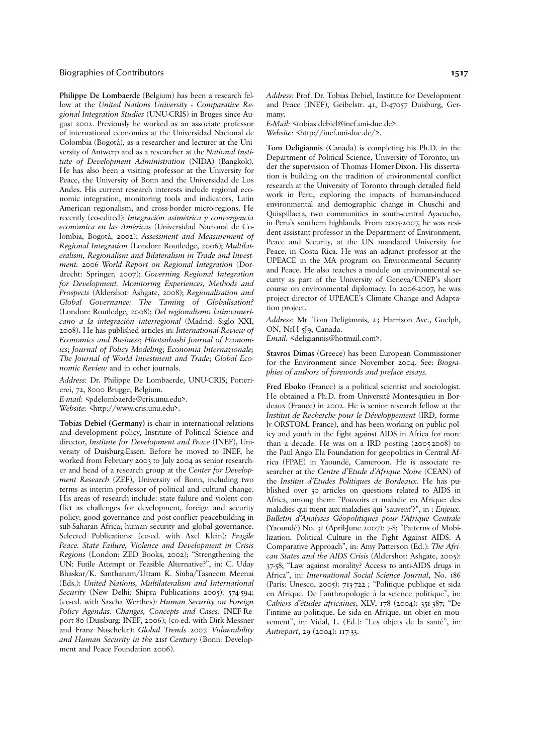**Philippe De Lombaerde** (Belgium) has been a research fellow at the *United Nations University - Comparative Regional Integration Studies* (UNU-CRIS) in Bruges since August 2002. Previously he worked as an associate professor of international economics at the Universidad Nacional de Colombia (Bogotá), as a researcher and lecturer at the University of Antwerp and as a researcher at the *National Institute of Development Administration* (NIDA) (Bangkok). He has also been a visiting professor at the University for Peace, the University of Bonn and the Universidad de Los Andes. His current research interests include regional economic integration, monitoring tools and indicators, Latin American regionalism, and cross-border micro-regions. He recently (co-edited): *Integración asimétrica y convergencia económica en las Américas* (Universidad Nacional de Colombia, Bogotá, 2002); *Assessment and Measurement of Regional Integration* (London: Routledge, 2006); *Multilateralism, Regionalism and Bilateralism in Trade and Investment.* 2006 *World Report on Regional Integration* (Dordrecht: Springer, 2007); *Governing Regional Integration for Development. Monitoring Experiences, Methods and Prospects* (Aldershot: Ashgate, 2008); *Regionalisation and Global Governance: The Taming of Globalisation?* (London: Routledge, 2008); *Del regionalismo latinoamericano a la integración interregional* (Madrid: Siglo XXI, 2008). He has published articles in: *International Review of Economics and Business*; *Hitotsubashi Journal of Economics*; *Journal of Policy Modeling*; *Economia Internazionale; The Journal of World Investment and Trade*; *Global Economic Review* and in other journals.

*Address:* Dr. Philippe De Lombaerde, UNU-CRIS; Potterierei, 72, 8000 Brugge, Belgium.

*E-mail:* [<pdelombaerde@cris.unu.edu>.](mailto:pdelombaerde@cris.unu.edu)

*Website:* <http://www.cris.unu.edu>.

**Tobias Debiel (Germany)** is chair in international relations and development policy, Institute of Political Science and director, *Institute for Development and Peace* (INEF), University of Duisburg-Essen. Before he moved to INEF, he worked from February 2003 to July 2004 as senior researcher and head of a research group at the *Center for Development Research* (ZEF), University of Bonn, including two terms as interim professor of political and cultural change. His areas of research include: state failure and violent conflict as challenges for development, foreign and security policy; good governance and post-conflict peacebuilding in sub-Saharan Africa; human security and global governance. Selected Publications: (co-ed. with Axel Klein): *Fragile Peace. State Failure, Violence and Development in Crisis Regions* (London: ZED Books, 2002); "Strengthening the UN: Futile Attempt or Feasible Alternative?", in: C. Uday Bhaskar/K. Santhanam/Uttam K. Sinha/Tasneem Meenai (Eds.): *United Nations, Multilateralism and International Security* (New Delhi: Shipra Publications 2005): 574-594; (co-ed. with Sascha Werthes): *Human Security on Foreign Policy Agendas*. *Changes, Concepts and Cases.* INEF-Report 80 (Duisburg: INEF, 2006); (co-ed. with Dirk Messner and Franz Nuscheler): *Global Trends* 2007*. Vulnerability and Human Security in the* 21*st Century* (Bonn: Development and Peace Foundation 2006).

*Address:* Prof. Dr. Tobias Debiel, Institute for Development and Peace (INEF), Geibelstr. 41, D-47057 Duisburg, Germany.

*E-Mail:* <tobias.debiel@inef.uni-due.de>. *Website:* <http://inef.uni-due.de/>.

**Tom Deligiannis** (Canada) is completing his Ph.D. in the Department of Political Science, University of Toronto, under the supervision of Thomas Homer-Dixon. His dissertation is building on the tradition of environmental conflict research at the University of Toronto through detailed field work in Peru, exploring the impacts of human-induced environmental and demographic change in Chuschi and Quispillacta, two communities in south-central Ayacucho, in Peru's southern highlands. From 2005-2007, he was resident assistant professor in the Department of Environment, Peace and Security, at the UN mandated University for Peace, in Costa Rica. He was an adjunct professor at the UPEACE in the MA program on Environmental Security and Peace. He also teaches a module on environmental security as part of the University of Geneva/UNEP's short course on environmental diplomacy. In 2006-2007, he was project director of UPEACE's Climate Change and Adaptation project.

*Address:* Mr. Tom Deligiannis, 23 Harrison Ave., Guelph, ON, N1H 5J9, Canada.

*Email:* <[deligiannis@hotmail.com>](mailto:deligiannis@hotmail.com).

**Stavros Dimas** (Greece) has been European Commissioner for the Environment since November 2004. See: *Biographies of authors of forewords and preface essays.*

**Fred Eboko** (France) is a political scientist and sociologist. He obtained a Ph.D. from Université Montesquieu in Bordeaux (France) in 2002. He is senior research fellow at the *Institut de Recherche pour le Développement* (IRD, formely ORSTOM, France), and has been working on public policy and youth in the fight against AIDS in Africa for more than a decade. He was on a IRD posting (2005-2008) to the Paul Ango Ela Foundation for geopolitics in Central Africa (FPAE) in Yaoundé, Cameroon. He is associate researcher at the *Centre d'Etude d'Afrique Noire* (CEAN) of the *Institut d'Etudes Politiques de Bordeaux*. He has published over 30 articles on questions related to AIDS in Africa, among them: "Pouvoirs et maladie en Afrique: des maladies qui tuent aux maladies qui 'sauvent'?", in : *Enjeux. Bulletin d'Analyses Géopolitiques pour l'Afrique Centrale* (Yaoundé) No. 31 (April-June 2007): 7-8; "Patterns of Mobilization. Political Culture in the Fight Against AIDS. A Comparative Approach", in: Amy Patterson (Ed.): *The African States and the AIDS Crisis* (Aldershot: Ashgate, 2005): 37-58; "Law against morality? Access to anti-AIDS drugs in Africa", in: *International Social Science Journal*, No. 186 (Paris: Unesco, 2005): 713-722 ; "Politique publique et sida en Afrique. De l'anthropologie à la science politique", in: *Cahiers d'études africaines*, XLV, 178 (2004): 351-387; "De l'intime au politique. Le sida en Afrique, un objet en mouvement", in: Vidal, L. (Ed.): "Les objets de la santé", in: *Autrepart*, 29 (2004): 117-33.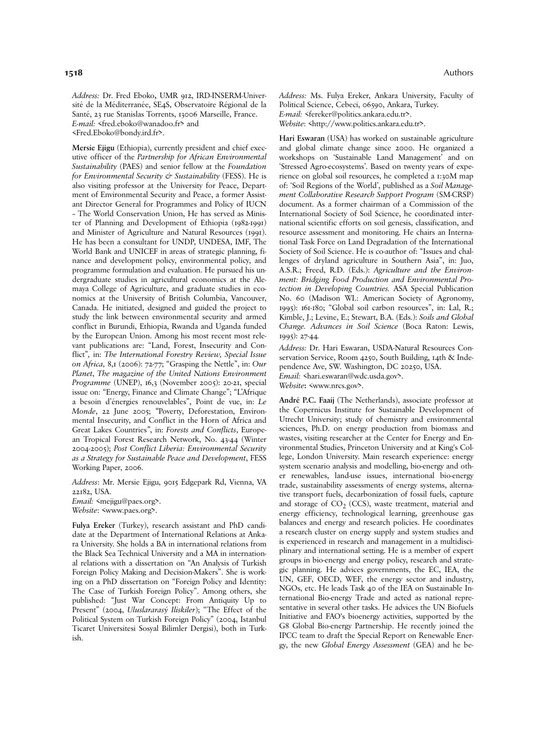*Address:* Dr. Fred Eboko**,** UMR 912, IRD-INSERM-Université de la Méditerranée, SE4S, Observatoire Régional de la Santé, 23 rue Stanislas Torrents, 13006 Marseille, France. *E-mail:* [<fred.eboko@wanadoo.fr> and](mailto:fred.eboko@wanadoo.fr) [<F](mailto:fred.eboko@wanadoo.fr)[red.Eboko@bondy.ird.fr>.](mailto:Fred.Eboko@bondy.ird.fr) 

**Mersie Ejigu** (Ethiopia), currently president and chief executive officer of the *Partnership for African Environmental Sustainability* (PAES) and senior fellow at the *Foundation for Environmental Security & Sustainability* (FESS). He is also visiting professor at the University for Peace, Department of Environmental Security and Peace, a former Assistant Director General for Programmes and Policy of IUCN – The World Conservation Union, He has served as Minister of Planning and Development of Ethiopia (1982-1991) and Minister of Agriculture and Natural Resources (1991). He has been a consultant for UNDP, UNDESA, IMF, The World Bank and UNICEF in areas of strategic planning, finance and development policy, environmental policy, and programme formulation and evaluation. He pursued his undergraduate studies in agricultural economics at the Alemaya College of Agriculture, and graduate studies in economics at the University of British Columbia, Vancouver, Canada. He initiated, designed and guided the project to study the link between environmental security and armed conflict in Burundi, Ethiopia, Rwanda and Uganda funded by the European Union. Among his most recent most relevant publications are: "Land, Forest, Insecurity and Conflict"*,* in: *The International Forestry Review, Special Issue on Africa,* 8,1 (2006): 72-77; "Grasping the Nettle", in: *Our Planet*, *The magazine of the United Nations Environment Programme* (UNEP), 16,3 (November 2005): 20-21, special issue on: "Energy, Finance and Climate Change"; "L'Afrique a besoin d'énergies renouvelables", Point de vue, in: *Le Monde*, 22 June 2005; *"*Poverty, Deforestation, Environmental Insecurity, and Conflict in the Horn of Africa and Great Lakes Countries*"*, in: *Forests and Conflicts*, European Tropical Forest Research Network, No. 43-44 (Winter 2004-2005); *Post Conflict Liberia: Environmental Security as a Strategy for Sustainable Peace and Development*, FESS Working Paper, 2006.

*Address*: Mr. Mersie Ejigu, 9015 Edgepark Rd, Vienna, VA 22182, USA. *Email:* [<mejigu@paes.org>.](mailto:mejigu@paes.org) *Website*[: <www.paes.org>.](http://www.paes.org)

**Fulya Ereker** (Turkey), research assistant and PhD candidate at the Department of International Relations at Ankara University. She holds a BA in international relations from the Black Sea Technical University and a MA in international relations with a dissertation on "An Analysis of Turkish Foreign Policy Making and Decision-Makers". She is working on a PhD dissertation on "Foreign Policy and Identity: The Case of Turkish Foreign Policy". Among others, she published: "Just War Concept: From Antiquity Up to Present" (2004, *Uluslararasý Iliskiler*); "The Effect of the Political System on Turkish Foreign Policy" (2004, Istanbul Ticaret Universitesi Sosyal Bilimler Dergisi), both in Turkish.

*Address:* Ms. Fulya Ereker, Ankara University, Faculty of Political Science, Cebeci, 06590, Ankara, Turkey. *E-mail:* <fereker@politics.ankara.edu.tr>. *Website*: <http://www.politics.ankara.edu.tr>.

**Hari Eswaran** (USA) has worked on sustainable agriculture and global climate change since 2000. He organized a workshops on 'Sustainable Land Management' and on 'Stressed Agro-ecosystems'. Based on twenty years of experience on global soil resources, he completed a 1:30M map of: 'Soil Regions of the World', published as a *Soil Management Collaborative Research Support Program* (SM-CRSP) document. As a former chairman of a Commission of the International Society of Soil Science, he coordinated international scientific efforts on soil genesis, classification, and resource assessment and monitoring. He chairs an International Task Force on Land Degradation of the International Society of Soil Science. He is co-author of: "Issues and challenges of dryland agriculture in Southern Asia", in: Juo, A.S.R.; Freed, R.D. (Eds.): *Agriculture and the Environment: Bridging Food Production and Environmental Protection in Developing Countries.* ASA Special Publication No. 60 (Madison WI.: American Society of Agronomy, 1995): 161-180; "Global soil carbon resources", in: Lal, R.; Kimble, J.; Levine, E.; Stewart, B.A. (Eds.): *Soils and Global Change. Advances in Soil Science* (Boca Raton: Lewis, 1995): 27-44*.* 

*Address:* Dr. Hari Eswaran, USDA-Natural Resources Conservation Service, Room 4250, South Building, 14th & Independence Ave, SW. Washington, DC 20250, USA. *Email:* <hari.eswaran@wdc.usda.gov>. *Website***:** <www.nrcs.gov>.

**André P.C. Faaij** (The Netherlands), associate professor at the Copernicus Institute for Sustainable Development of Utrecht University; study of chemistry and environmental sciences, Ph.D. on energy production from biomass and wastes, visiting researcher at the Center for Energy and Environmental Studies, Princeton University and at King's College, London University. Main research experience: energy system scenario analysis and modelling, bio-energy and other renewables, land-use issues, international bio-energy trade, sustainability assessments of energy systems, alternative transport fuels, decarbonization of fossil fuels, capture and storage of  $CO<sub>2</sub>$  (CCS), waste treatment, material and energy efficiency, technological learning, greenhouse gas balances and energy and research policies. He coordinates a research cluster on energy supply and system studies and is experienced in research and management in a multidisciplinary and international setting. He is a member of expert groups in bio-energy and energy policy, research and strategic planning. He advices governments, the EC, IEA, the UN, GEF, OECD, WEF, the energy sector and industry, NGOs, etc. He leads Task 40 of the IEA on Sustainable International Bio-energy Trade and acted as national representative in several other tasks. He advices the UN Biofuels Initiative and FAO's bioenergy activities, supported by the G8 Global Bio-energy Partnership. He recently joined the IPCC team to draft the Special Report on Renewable Energy, the new *Global Energy Assessment* (GEA) and he be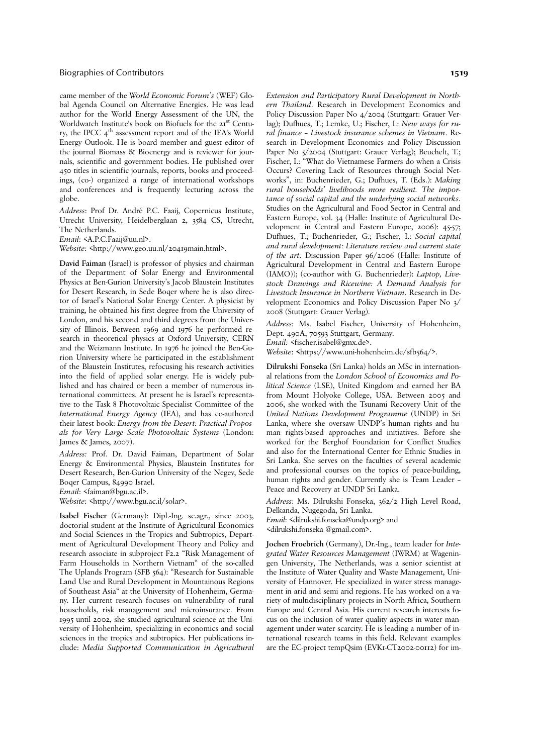came member of the *World Economic Forum's* (WEF) Global Agenda Council on Alternative Energies. He was lead author for the World Energy Assessment of the UN, the Worldwatch Institute's book on Biofuels for the 21<sup>st</sup> Century, the IPCC 4<sup>th</sup> assessment report and of the IEA's World Energy Outlook. He is board member and guest editor of the journal Biomass & Bioenergy and is reviewer for journals, scientific and government bodies. He published over 450 titles in scientific journals, reports, books and proceedings, (co-) organized a range of international workshops and conferences and is frequently lecturing across the globe.

*Address*: Prof Dr. André P.C. Faaij, Copernicus Institute, Utrecht University, Heidelberglaan 2, 3584 CS, Utrecht, The Netherlands.

*Email*: <A.P.C.Faaij@uu.nl>.

*Website*: <http://www.geo.uu.nl/20419main.html>.

**David Faiman** (Israel) is professor of physics and chairman of the Department of Solar Energy and Environmental Physics at Ben-Gurion University's Jacob Blaustein Institutes for Desert Research, in Sede Boqer where he is also director of Israel's National Solar Energy Center. A physicist by training, he obtained his first degree from the University of London, and his second and third degrees from the University of Illinois. Between 1969 and 1976 he performed research in theoretical physics at Oxford University, CERN and the Weizmann Institute. In 1976 he joined the Ben-Gurion University where he participated in the establishment of the Blaustein Institutes, refocusing his research activities into the field of applied solar energy. He is widely published and has chaired or been a member of numerous international committees. At present he is Israel's representative to the Task 8 Photovoltaic Specialist Committee of the *International Energy Agency* (IEA), and has co-authored their latest book: *Energy from the Desert: Practical Proposals for Very Large Scale Photovoltaic Systems* (London: James & James, 2007).

*Address:* Prof. Dr. David Faiman, Department of Solar Energy & Environmental Physics, Blaustein Institutes for Desert Research, Ben-Gurion University of the Negev, Sede Boqer Campus, 84990 Israel.

*Email*: <faiman@bgu.ac.il>.

*Website*: <http://www.bgu.ac.il/solar>.

**Isabel Fischer** (Germany): Dipl.-Ing. sc.agr., since 2003, doctorial student at the Institute of Agricultural Economics and Social Sciences in the Tropics and Subtropics, Department of Agricultural Development Theory and Policy and research associate in subproject F2.2 "Risk Management of Farm Households in Northern Vietnam" of the so-called The Uplands Program (SFB 564): "Research for Sustainable Land Use and Rural Development in Mountainous Regions of Southeast Asia" at the University of Hohenheim, Germany. Her current research focuses on vulnerability of rural households, risk management and microinsurance. From 1995 until 2002, she studied agricultural science at the University of Hohenheim, specializing in economics and social sciences in the tropics and subtropics. Her publications include: *Media Supported Communication in Agricultural*

*Extension and Participatory Rural Development in Northern Thailand*. Research in Development Economics and Policy Discussion Paper No 4/2004 (Stuttgart: Grauer Verlag); Dufhues, T.; Lemke, U.; Fischer, I.: *New ways for rural finance – Livestock insurance schemes in Vietnam*. Research in Development Economics and Policy Discussion Paper No 5/2004 (Stuttgart: Grauer Verlag); Beuchelt, T.; Fischer, I.: "What do Vietnamese Farmers do when a Crisis Occurs? Covering Lack of Resources through Social Networks", in: Buchenrieder, G.; Dufhues, T. (Eds.): *Making rural households' livelihoods more resilient. The importance of social capital and the underlying social networks*. Studies on the Agricultural and Food Sector in Central and Eastern Europe, vol. 34 (Halle: Institute of Agricultural Development in Central and Eastern Europe, 2006): 45-57; Dufhues, T.; Buchenrieder, G.; Fischer, I.: *Social capital and rural development: Literature review and current state of the art*. Discussion Paper 96/2006 (Halle: Institute of Agricultural Development in Central and Eastern Europe (IAMO)); (co-author with G. Buchenrieder): *Laptop, Livestock Drawings and Ricewine: A Demand Analysis for Livestock Insurance in Northern Vietnam*. Research in Development Economics and Policy Discussion Paper No 3/ 2008 (Stuttgart: Grauer Verlag).

*Address:* Ms. Isabel Fischer, University of Hohenheim, Dept. 490A, 70593 Stuttgart, Germany. *Email:* <fischer.isabel@gmx.de>.

*Website*: **<**https://www.uni-hohenheim.de/sfb564/>.

**Dilrukshi Fonseka** (Sri Lanka) holds an MSc in international relations from the *London School of Economics and Political Science* (LSE), United Kingdom and earned her BA from Mount Holyoke College, USA. Between 2005 and 2006, she worked with the Tsunami Recovery Unit of the *United Nations Development Programme* (UNDP) in Sri Lanka, where she oversaw UNDP's human rights and human rights-based approaches and initiatives. Before she worked for the Berghof Foundation for Conflict Studies and also for the International Center for Ethnic Studies in Sri Lanka. She serves on the faculties of several academic and professional courses on the topics of peace-building, human rights and gender. Currently she is Team Leader – Peace and Recovery at UNDP Sri Lanka.

*Address*: Ms. Dilrukshi Fonseka, 362/2 High Level Road, Delkanda, Nugegoda, Sri Lanka.

*Email*: [<dilrukshi.fonseka@undp.org>](http://us.f656.mail.yahoo.com/ym/Compose?To=dilrukshi.fonseka@undp.org" \t "_blank) and

<[dilrukshi.fonseka @gmail.com>](mailto:dilrukshi.fonseka@gmail.com).

**Jochen Froebrich** (Germany), Dr.-Ing., team leader for *Integrated Water Resources Management* (IWRM) at Wageningen University, The Netherlands, was a senior scientist at the Institute of Water Quality and Waste Management, University of Hannover. He specialized in water stress management in arid and semi arid regions. He has worked on a variety of multidisciplinary projects in North Africa, Southern Europe and Central Asia. His current research interests focus on the inclusion of water quality aspects in water management under water scarcity. He is leading a number of international research teams in this field. Relevant examples are the EC-project tempQsim (EVK1-CT2002-00112) for im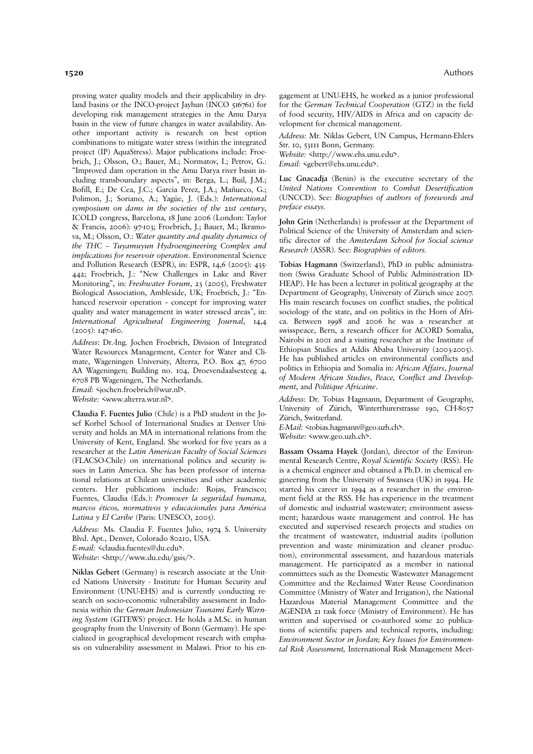proving water quality models and their applicability in dryland basins or the INCO-project Jayhun (INCO 516761) for developing risk management strategies in the Amu Darya basin in the view of future changes in water availability. Another important activity is research on best option combinations to mitigate water stress (within the integrated project (IP) AquaStress). Major publications include: Froebrich, J.; Olsson, O.; Bauer, M.; Normatov, I.; Petrov, G.: "Improved dam operation in the Amu Darya river basin including transboundary aspects", in: Berga, L.; Buil, J.M.; Bofill, E.; De Cea, J.C.; Garcia Perez, J.A.; Mañueco, G.; Polimon, J.; Soriano, A.; Yagüe, J. (Eds.): *International symposium on dams in the societies of the* 21*st century*, ICOLD congress, Barcelona, 18 June 2006 (London: Taylor & Francis, 2006): 97-103; Froebrich, J.; Bauer, M.; Ikramova, M.; Olsson, O.: *Water quantity and quality dynamics of the THC – Tuyamuyun Hydroengineering Complex and implications for reservoir operation*. Environmental Science and Pollution Research (ESPR), in: ESPR, 14,6 (2005): 435- 442; Froebrich, J.: "New Challenges in Lake and River Monitoring", in: *Freshwater Forum*, 23 (2005), Freshwater Biological Association, Ambleside, UK; Froebrich, J.: "Enhanced reservoir operation – concept for improving water quality and water management in water stressed areas", in: *International Agricultural Engineering Journal*, 14,4 (2005): 147-160.

*Address*: Dr.-Ing. Jochen Froebrich, Division of Integrated Water Resources Management, Center for Water and Climate, Wageningen University, Alterra, P.O. Box 47, 6700 AA Wageningen; Building no. 104, Droevendaalsesteeg 4, 6708 PB Wageningen, The Netherlands. *Email*: <jochen.froebrich@wur.nl>.

*Website:* <www.alterra.wur.nl>.

**Claudia F. Fuentes Julio** (Chile) is a PhD student in the Josef Korbel School of International Studies at Denver University and holds an MA in international relations from the University of Kent, England. She worked for five years as a researcher at the *Latin American Faculty of Social Sciences* (FLACSO-Chile) on international politics and security issues in Latin America. She has been professor of international relations at Chilean universities and other academic centers. Her publications include: Rojas, Francisco; Fuentes, Claudia (Eds.): *Promover la seguridad humana, marcos éticos, normativos y educacionales para América Latina y El Caribe* (Paris: UNESCO, 2005).

*Address:* Ms. Claudia F. Fuentes Julio, 1974 S. University Blvd. Apt., Denver, Colorado 80210, USA. *E-mail:* <claudia.fuentes@du.edu>. *Website*: [<http://www.du.edu/gsis/](http://www.du.edu/gsis/)>.

**Niklas Gebert** (Germany) is research associate at the United Nations University - Institute for Human Security and Environment (UNU-EHS) and is currently conducting research on socio-economic vulnerability assessment in Indonesia within the *German Indonesian Tsunami Early Warning System* (GITEWS) project. He holds a M.Sc. in human geography from the University of Bonn (Germany). He specialized in geographical development research with emphasis on vulnerability assessment in Malawi. Prior to his engagement at UNU-EHS, he worked as a junior professional for the *German Technical Cooperation* (GTZ) in the field of food security, HIV/AIDS in Africa and on capacity development for chemical management.

*Address:* Mr. Niklas Gebert, UN Campus, Hermann-Ehlers Str. 10, 53111 Bonn, Germany. *Website:* <http://www.ehs.unu.edu>.

*Email:* <[gebert@ehs.unu.edu](mailto:gebert@ehs.unu.edu)>.

**Luc Gnacadja** (Benin) is the executive secretary of the *United Nations Convention to Combat Desertification* (UNCCD). See: *Biographies of authors of forewords and preface essays.*

**John Grin** (Netherlands) is professor at the Department of Political Science of the University of Amsterdam and scientific director of the *Amsterdam School for Social science Research* (ASSR). See: *Biographies of editors.*

**Tobias Hagmann** (Switzerland), PhD in public administration (Swiss Graduate School of Public Administration ID-HEAP). He has been a lecturer in political geography at the Department of Geography, University of Zürich since 2007. His main research focuses on conflict studies, the political sociology of the state, and on politics in the Horn of Africa. Between 1998 and 2006 he was a researcher at swisspeace, Bern, a research officer for ACORD Somalia, Nairobi in 2001 and a visiting researcher at the Institute of Ethiopian Studies at Addis Ababa University (2003-2005). He has published articles on environmental conflicts and politics in Ethiopia and Somalia in: *African Affairs*, *Journal of Modern African Studies*, *Peace, Conflict and Development*, and *Politique Africaine*.

*Address*: Dr. Tobias Hagmann, Department of Geography, University of Zürich, Winterthurerstrasse 190, CH-8057 Zürich, Switzerland.

*E-Mail*: <tobias.hagmann@geo.uzh.ch>.

*Website*: <www.geo.uzh.ch>.

**Bassam Ossama Hayek** (Jordan), director of the Environmental Research Centre, *Royal Scientific Society* (RSS). He is a chemical engineer and obtained a Ph.D. in chemical engineering from the University of Swansea (UK) in 1994. He started his career in 1994 as a researcher in the environment field at the RSS. He has experience in the treatment of domestic and industrial wastewater; environment assessment; hazardous waste management and control. He has executed and supervised research projects and studies on the treatment of wastewater, industrial audits (pollution prevention and waste minimization and cleaner production), environmental assessment, and hazardous materials management. He participated as a member in national committees such as the Domestic Wastewater Management Committee and the Reclaimed Water Reuse Coordination Committee (Ministry of Water and Irrigation), the National Hazardous Material Management Committee and the AGENDA 21 task force (Ministry of Environment). He has written and supervised or co-authored some 20 publications of scientific papers and technical reports, including: *Environment Sector in Jordan; Key Issues for Environmental Risk Assessment,* International Risk Management Meet-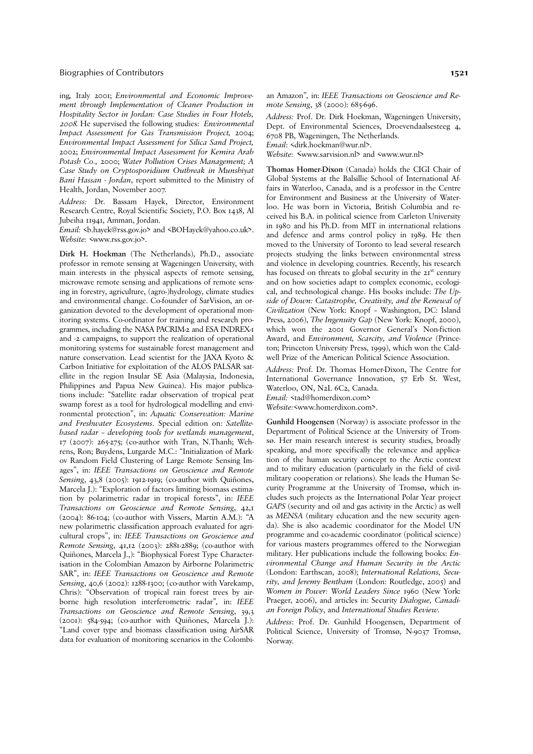## Biographies of Contributors **1521**

ing*,* Italy 2001; *Environmental and Economic Improvement through Implementation of Cleaner Production in Hospitality Sector in Jordan: Case Studies in Four Hotels,* <sup>2008</sup>. He supervised the following studies: *Environmental Impact Assessment for Gas Transmission Project,* 2004; *Environmental Impact Assessment for Silica Sand Project,* 2002; *Environmental Impact Assessment for Kemira Arab Potash Co.,* 2000; *Water Pollution Crises Management; A Case Study on Cryptosporidium Outbreak in Munshiyat Bani Hassan - Jordan*, report submitted to the Ministry of Health, Jordan, November 2007.

*Address:* Dr. Bassam Hayek, Director, Environment Research Centre, Royal Scientific Society, P.O. Box 1438, Al Jubeiha 11941, Amman, Jordan.

*Email:* [<b.hayek@rss.gov.jo>](mailto:b.hayek@rss.gov.jo) and <BOHayek@yahoo.co.uk>. *Website:* <www.rss.gov.jo>.

**Dirk H. Hoekman** (The Netherlands), Ph.D., associate professor in remote sensing at Wageningen University, with main interests in the physical aspects of remote sensing, microwave remote sensing and applications of remote sensing in forestry, agriculture, (agro-)hydrology, climate studies and environmental change. Co-founder of SarVision, an organization devoted to the development of operational monitoring systems. Co-ordinator for training and research programmes, including the NASA PACRIM-2 and ESA INDREX-1 and -2 campaigns, to support the realization of operational monitoring systems for sustainable forest management and nature conservation. Lead scientist for the JAXA Kyoto & Carbon Initiative for exploitation of the ALOS PALSAR satellite in the region Insular SE Asia (Malaysia, Indonesia, Philippines and Papua New Guinea). His major publications include: "Satellite radar observation of tropical peat swamp forest as a tool for hydrological modelling and environmental protection", in: *Aquatic Conservation: Marine and Freshwater Ecosystems*. Special edition on: *Satellitebased radar – developing tools for wetlands management*, 17 (2007): 265-275; (co-author with Tran, N.Thanh; Wehrens, Ron; Buydens, Lutgarde M.C.: "Initialization of Markov Random Field Clustering of Large Remote Sensing Images", in: *IEEE Transactions on Geoscience and Remote Sensing*, 43,8 (2005): 1912-1919; (co-author with Quiñones, Marcela J.): "Exploration of factors limiting biomass estimation by polarimetric radar in tropical forests", in: *IEEE Transactions on Geoscience and Remote Sensing*, 42,1 (2004): 86-104; (co-author with Vissers, Martin A.M.): "A new polarimetric classification approach evaluated for agricultural crops", in: *IEEE Transactions on Geoscience and Remote Sensing*, 41,12 (2003): 2881-2889; (co-author with Quiñones, Marcela J.,): "Biophysical Forest Type Characterisation in the Colombian Amazon by Airborne Polarimetric SAR", in: *IEEE Transactions on Geoscience and Remote Sensing*, 40,6 (2002): 1288-1300; (co-author with Varekamp, Chris): "Observation of tropical rain forest trees by airborne high resolution interferometric radar"*,* in: *IEEE Transactions on Geoscience and Remote Sensing*, 39,3 (2001): 584-594; (co-author with Quiñones, Marcela J.): "Land cover type and biomass classification using AirSAR data for evaluation of monitoring scenarios in the Colombian Amazon"*,* in: *IEEE Transactions on Geoscience and Remote Sensing*, 38 (2000): 685-696.

*Address:* Prof. Dr. Dirk Hoekman, Wageningen University, Dept. of Environmental Sciences, Droevendaalsesteeg 4, 6708 PB, Wageningen, The Netherlands. *Email*: <[dirk.hoekman@wur.nl](mailto:dirk.hoekman@wur.nl)>.

*Website:* <[www.sarvision.nl>](http://www.sarvision.nl) and <www.wur.nl>

**Thomas Homer-Dixon** (Canada) holds the CIGI Chair of Global Systems at the Balsillie School of International Affairs in Waterloo, Canada, and is a professor in the Centre for Environment and Business at the University of Waterloo. He was born in Victoria, British Columbia and received his B.A. in political science from Carleton University in 1980 and his Ph.D. from MIT in international relations and defence and arms control policy in 1989. He then moved to the University of Toronto to lead several research projects studying the links between environmental stress and violence in developing countries. Recently, his research has focused on threats to global security in the  $2I<sup>st</sup>$  century and on how societies adapt to complex economic, ecological, and technological change. His books include: *[The Up](http://www.theupsideofdown.com" \t "_blank)[side of Down: Catastrophe, Creativity, and the Renewal of](http://www.theupsideofdown.com" \t "_blank) [Civilization](http://www.theupsideofdown.com" \t "_blank)* (New York: Knopf – Washington, DC: Island Press, 2006), *[The Ingenuity Gap](http://www.ingenuitygap.com" \t "_blank)* (New York: Knopf, 2000), which won the 2001 Governor General's Non-fiction Award, and *Environment, Scarcity, and Violence* (Princeton; Princeton University Press, 1999), which won the Caldwell Prize of the American Political Science Association.

*Address:* Prof. Dr. Thomas Homer-Dixon, The Centre for International Governance Innovation, 57 Erb St. West, Waterloo, ON, N2L 6C2, Canada. *Email:* <[tad@homerdixon.com](mailto:tad@homerdixon.com)>

*Website:<*[www.homerdixon.com](http://www.homerdixon.com)>.

**Gunhild Hoogensen** (Norway) is associate professor in the Department of Political Science at the University of Tromsø. Her main research interest is security studies, broadly speaking, and more specifically the relevance and application of the human security concept to the Arctic context and to military education (particularly in the field of civilmilitary cooperation or relations). She leads the Human Security Programme at the University of Tromsø, which includes such projects as the International Polar Year project *GAPS* (security and oil and gas activity in the Arctic) as well as *MENSA* (military education and the new security agenda). She is also academic coordinator for the Model UN programme and co-academic coordinator (political science) for various masters programmes offered to the Norwegian military. Her publications include the following books: *Environmental Change and Human Security in the Arctic* (London: Earthscan, 2008); *International Relations, Security, and Jeremy Bentham* (London: Routledge, 2005) and *Women in Power: World Leaders Since* 1960 (New York: Praeger, 2006), and articles in: Security *Dialogue, Canadian Foreign Policy*, and *International Studies Review*.

*Address*: Prof. Dr. Gunhild Hoogensen, Department of Political Science, University of Tromsø, N-9037 Tromsø, Norway.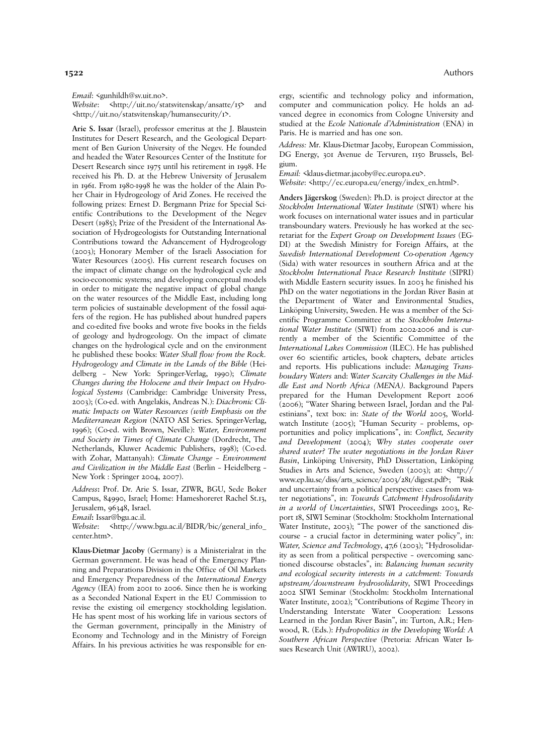*Email*: <[gunhildh@sv.uit.no](mailto:gunhildh@sv.uit.no" \o "blocked::mailto:gunhildh@sv.uit.no)>.

*Website*: [<http://uit.no/statsvitenskap/ansatte/](http://uit.no/statsvitenskap/ansatte/15" \o "blocked::http://uit.no/statsvitenskap/ansatte/15)15> and <http://uit.no/statsvitenskap/humansecurity/1>.

**Arie S. Issar** (Israel), professor emeritus at the J. Blaustein Institutes for Desert Research, and the Geological Department of Ben Gurion University of the Negev. He founded and headed the Water Resources Center of the Institute for Desert Research since 1975 until his retirement in 1998. He received his Ph. D. at the Hebrew University of Jerusalem in 1961. From 1980-1998 he was the holder of the Alain Poher Chair in Hydrogeology of Arid Zones. He received the following prizes: Ernest D. Bergmann Prize for Special Scientific Contributions to the Development of the Negev Desert (1985); Prize of the President of the International Association of Hydrogeologists for Outstanding International Contributions toward the Advancement of Hydrogeology (2003); Honorary Member of the Israeli Association for Water Resources (2005). His current research focuses on the impact of climate change on the hydrological cycle and socio-economic systems; and developing conceptual models in order to mitigate the negative impact of global change on the water resources of the Middle East, including long term policies of sustainable development of the fossil aquifers of the region. He has published about hundred papers and co-edited five books and wrote five books in the fields of geology and hydrogeology. On the impact of climate changes on the hydrological cycle and on the environment he published these books: *Water Shall flow from the Rock. Hydrogeology and Climate in the Lands of the Bible* (Heidelberg – New York: Springer-Verlag, 1990); *Climate Changes during the Holocene and their Impact on Hydrological Systems* (Cambridge: Cambridge University Press, 2003); (Co-ed. with Angelakis, Andreas N.): *Diachronic Climatic Impacts on Water Resources (with Emphasis on the Mediterranean Region* (NATO ASI Series. Springer-Verlag, 1996); (Co-ed. with Brown, Neville): *Water, Environment and Society in Times of Climate Change* (Dordrecht, The Netherlands, Kluwer Academic Publishers, 1998); (Co-ed. with Zohar, Mattanyah): *Climate Change – Environment and Civilization in the Middle East* (Berlin – Heidelberg – New York : Springer 2004, 2007).

*Address***:** Prof. Dr. Arie S. Issar, ZIWR, BGU, Sede Boker Campus, 84990, Israel; Home: Hameshoreret Rachel St.13, Jerusalem, 96348, Israel.

*Email***:** [Issar@bgu.ac.il.](mailto)

*Website*: <http://www.bgu.ac.il/BIDR/bic/general\_info\_ center.htm>.

**Klaus-Dietmar Jacoby** (Germany) is a Ministerialrat in the German government. He was head of the Emergency Planning and Preparations Division in the Office of Oil Markets and Emergency Preparedness of the *International Energy Agency* (IEA) from 2001 to 2006. Since then he is working as a Seconded National Expert in the EU Commission to revise the existing oil emergency stockholding legislation. He has spent most of his working life in various sectors of the German government, principally in the Ministry of Economy and Technology and in the Ministry of Foreign Affairs. In his previous activities he was responsible for energy, scientific and technology policy and information, computer and communication policy. He holds an advanced degree in economics from Cologne University and studied at the *Ecole Nationale d'Administration* (ENA) in Paris. He is married and has one son.

*Address:* Mr. Klaus-Dietmar Jacoby, European Commission, DG Energy, 301 Avenue de Tervuren, 1150 Brussels, Belgium.

*Email:* <klaus-dietmar.jacoby@ec.europa.eu>.

*Website*: <http://ec.europa.eu/energy/index\_en.html>.

**Anders Jägerskog** (Sweden): Ph.D. is project director at the *Stockholm International Water Institute* (SIWI) where his work focuses on international water issues and in particular transboundary waters. Previously he has worked at the secretariat for the *Expert Group on Development Issues* (EG-DI) at the Swedish Ministry for Foreign Affairs, at the *Swedish International Development Co-operation Agency* (Sida) with water resources in southern Africa and at the *Stockholm International Peace Research Institute* (SIPRI) with Middle Eastern security issues. In 2003 he finished his PhD on the water negotiations in the Jordan River Basin at the Department of Water and Environmental Studies, Linköping University, Sweden. He was a member of the Scientific Programme Committee at the *Stockholm International Water Institute* (SIWI) from 2002-2006 and is currently a member of the Scientific Committee of the *International Lakes Commission* (ILEC). He has published over 60 scientific articles, book chapters, debate articles and reports. His publications include: *Managing Transboudary Waters* and: *Water Scarcity Challenges in the Middle East and North Africa (MENA)*. Background Papers prepared for the Human Development Report 2006 (2006); "Water Sharing between Israel, Jordan and the Palestinians", text box: in: *State of the World* 2005, Worldwatch Institute (2005); "Human Security – problems, opportunities and policy implications", in: *Conflict, Security and Development* (2004); *Why states cooperate over shared water? The water negotiations in the Jordan River Basin*, Linköping University, PhD Dissertation, Linköping Studies in Arts and Science, Sweden (2003); at: <http:// www.ep.liu.se/diss/arts\_science/2003/281/digest.pdf>; "Risk and uncertainty from a political perspective: cases from water negotiations", in: *Towards Catchment Hydrosolidarity in a world of Uncertainties*, SIWI Proceedings 2003, Report 18, SIWI Seminar (Stockholm: Stockholm International Water Institute, 2003); "The power of the sanctioned discourse – a crucial factor in determining water policy", in: *Water, Science and Technology*, 47,6 (2003); "Hydrosolidarity as seen from a political perspective – overcoming sanctioned discourse obstacles", in: *Balancing human security and ecological security interests in a catchment: Towards upstream/downstream hydrosolidarity*, SIWI Proceedings 2002 SIWI Seminar (Stockholm: Stockholm International Water Institute, 2002); "Contributions of Regime Theory in Understanding Interstate Water Cooperation: Lessons Learned in the Jordan River Basin", in: Turton, A.R.; Henwood, R. (Eds.): *Hydropolitics in the Developing World: A Southern African Perspective* (Pretoria: African Water Issues Research Unit (AWIRU), 2002).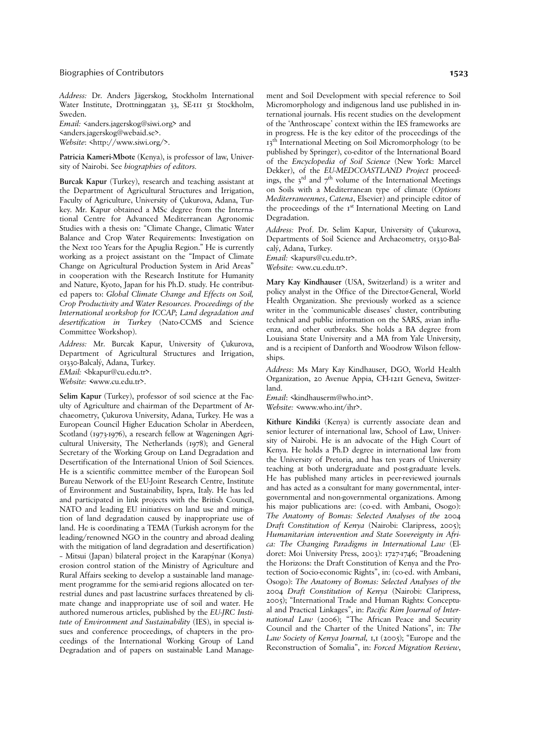*Address:* Dr. Anders Jägerskog, Stockholm International Water Institute, Drottninggatan 33, SE-111 51 Stockholm, Sweden.

*Email:* <anders.jagerskog@siwi.org> and <anders.jagerskog@webaid.se>. *Website*: <http://www.siwi.org/>.

**Patricia Kameri-Mbote** (Kenya), is professor of law, University of Nairobi. See *biographies of editors.*

**Burcak Kapur** (Turkey), research and teaching assistant at the Department of Agricultural Structures and Irrigation, Faculty of Agriculture, University of Çukurova, Adana, Turkey. Mr. Kapur obtained a MSc degree from the International Centre for Advanced Mediterranean Agronomic Studies with a thesis on: "Climate Change, Climatic Water Balance and Crop Water Requirements: Investigation on the Next 100 Years for the Apuglia Region." He is currently working as a project assistant on the "Impact of Climate Change on Agricultural Production System in Arid Areas" in cooperation with the Research Institute for Humanity and Nature, Kyoto, Japan for his Ph.D. study. He contributed papers to: *Global Climate Change and Effects on Soil, Crop Productivity and Water Resources. Proceedings of the International workshop for ICCAP; Land degradation and desertification in Turkey* (Nato-CCMS and Science Committee Workshop).

*Address:* Mr. Burcak Kapur, University of Çukurova, Department of Agricultural Structures and Irrigation, 01330-Balcalý, Adana, Turkey. *EMail:* <br/>bkapur@cu.edu.tr>.

*Website:* **<**www.cu.edu.tr>.

**Selim Kapur** (Turkey), professor of soil science at the Faculty of Agriculture and chairman of the Department of Archaeometry, Çukurova University, Adana, Turkey. He was a European Council Higher Education Scholar in Aberdeen, Scotland (1973-1976), a research fellow at Wageningen Agricultural University, The Netherlands (1978); and General Secretary of the Working Group on Land Degradation and Desertification of the International Union of Soil Sciences. He is a scientific committee member of the European Soil Bureau Network of the EU-Joint Research Centre, Institute of Environment and Sustainability, Ispra, Italy. He has led and participated in link projects with the British Council, NATO and leading EU initiatives on land use and mitigation of land degradation caused by inappropriate use of land. He is coordinating a TEMA (Turkish acronym for the leading/renowned NGO in the country and abroad dealing with the mitigation of land degradation and desertification) – Mitsui (Japan) bilateral project in the Karapýnar (Konya) erosion control station of the Ministry of Agriculture and Rural Affairs seeking to develop a sustainable land management programme for the semi-arid regions allocated on terrestrial dunes and past lacustrine surfaces threatened by climate change and inappropriate use of soil and water. He authored numerous articles, published by the *EU-JRC Institute of Environment and Sustainability* (IES), in special issues and conference proceedings, of chapters in the proceedings of the International Working Group of Land Degradation and of papers on sustainable Land Management and Soil Development with special reference to Soil Micromorphology and indigenous land use published in international journals. His recent studies on the development of the 'Anthroscape' context within the IES frameworks are in progress. He is the key editor of the proceedings of the 13<sup>th</sup> International Meeting on Soil Micromorphology (to be published by Springer), co-editor of the International Board of the *Encyclopedia of Soil Science* (New York: Marcel Dekker), of the *EU-MEDCOASTLAND Project* proceedings, the  $3^{rd}$  and  $7^{th}$  volume of the International Meetings on Soils with a Mediterranean type of climate (*Options Mediterraneennes*, *Catena*, Elsevier) and principle editor of the proceedings of the 1<sup>st</sup> International Meeting on Land Degradation.

*Address:* Prof. Dr. Selim Kapur, University of Çukurova, Departments of Soil Science and Archaeometry, 01330-Balcalý, Adana, Turkey.

*Email:* <kapurs@cu.edu.tr>.

*Website:* <ww.cu.edu.tr>.

**Mary Kay Kindhauser** (USA, Switzerland) is a writer and policy analyst in the Office of the Director-General, World Health Organization. She previously worked as a science writer in the 'communicable diseases' cluster, contributing technical and public information on the SARS, avian influenza, and other outbreaks. She holds a BA degree from Louisiana State University and a MA from Yale University, and is a recipient of Danforth and Woodrow Wilson fellowships.

*Address*: Ms Mary Kay Kindhauser, DGO, World Health Organization, 20 Avenue Appia, CH-1211 Geneva, Switzerland.

*Email*: <[kindhauserm@who.int>](mailto:kindhauserm@who.int). *Website:* <www.who.int/ihr>.

**Kithure Kindiki** (Kenya) is currently associate dean and senior lecturer of international law, School of Law, University of Nairobi. He is an advocate of the High Court of Kenya. He holds a Ph.D degree in international law from the University of Pretoria, and has ten years of University teaching at both undergraduate and post-graduate levels. He has published many articles in peer-reviewed journals and has acted as a consultant for many governmental, intergovernmental and non-governmental organizations. Among his major publications are: (co-ed. with Ambani, Osogo): *The Anatomy of Bomas: Selected Analyses of the* 2004 *Draft Constitution of Kenya* (Nairobi: Claripress, 2005); *Humanitarian intervention and State Sovereignty in Africa: The Changing Paradigms in International Law* (Eldoret: Moi University Press, 2003): 1727-1746; "Broadening the Horizons: the Draft Constitution of Kenya and the Protection of Socio-economic Rights", in: (co-ed. with Ambani, Osogo): *The Anatomy of Bomas: Selected Analyses of the* 2004 *Draft Constitution of Kenya* (Nairobi: Claripress, 2005); "International Trade and Human Rights: Conceptual and Practical Linkages", in: *Pacific Rim Journal of International Law* (2006); "The African Peace and Security Council and the Charter of the United Nations", in: *The Law Society of Kenya Journal,* 1,1 (2005); "Europe and the Reconstruction of Somalia", in: *Forced Migration Review*,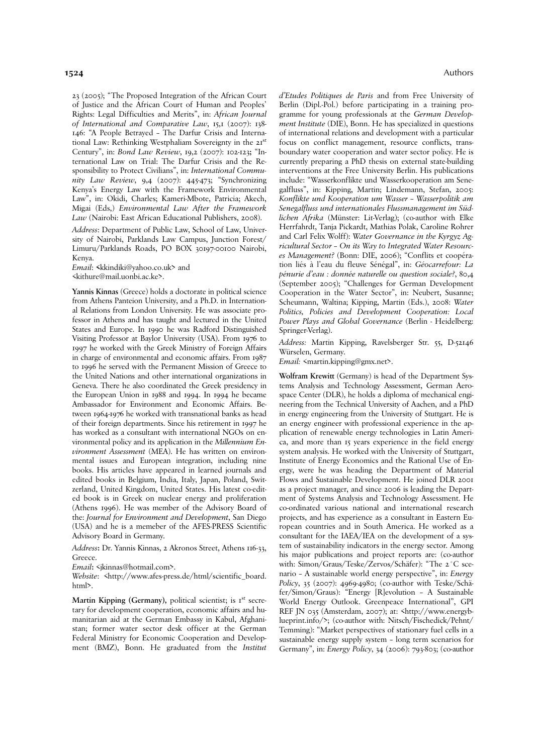23 (2005); "The Proposed Integration of the African Court of Justice and the African Court of Human and Peoples' Rights: Legal Difficulties and Merits", in: *African Journal of International and Comparative Law*, 15,1 (2007): 138- 146: "A People Betrayed – The Darfur Crisis and International Law: Rethinking Westphaliam Sovereignty in the 21<sup>st</sup> Century", in: *Bond Law Review*, 19,2 (2007): 102-123**;** "International Law on Trial: The Darfur Crisis and the Responsibility to Protect Civilians", in: *International Community Law Review*, 9,4 (2007): 445-473; "Synchronizing Kenya's Energy Law with the Framework Environmental Law", in: Okidi, Charles; Kameri-Mbote, Patricia; Akech, Migai (Eds,) *Environmental Law After the Framework Law* (Nairobi: East African Educational Publishers, 2008).

*Address*: Department of Public Law, School of Law, University of Nairobi, Parklands Law Campus, Junction Forest/ Limuru/Parklands Roads, PO BOX 30197-00100 Nairobi, Kenya.

*Email*: **<**kkindiki@yahoo.co.uk> and <kithure@mail.uonbi.ac.ke>.

**Yannis Kinnas** (Greece) holds a doctorate in political science from Athens Panteion University, and a Ph.D. in International Relations from London University. He was associate professor in Athens and has taught and lectured in the United States and Europe. In 1990 he was Radford Distinguished Visiting Professor at Baylor University (USA). From 1976 to 1997 he worked with the Greek Ministry of Foreign Affairs in charge of environmental and economic affairs. From 1987 to 1996 he served with the Permanent Mission of Greece to the United Nations and other international organizations in Geneva. There he also coordinated the Greek presidency in the European Union in 1988 and 1994. In 1994 he became Ambassador for Environment and Economic Affairs. Between 1964-1976 he worked with transnational banks as head of their foreign departments. Since his retirement in 1997 he has worked as a consultant with international NGOs on environmental policy and its application in the *Millennium Environment Assessment* (MEA). He has written on environmental issues and European integration, including nine books. His articles have appeared in learned journals and edited books in Belgium, India, Italy, Japan, Poland, Switzerland, United Kingdom, United States. His latest co-edited book is in Greek on nuclear energy and proliferation (Athens 1996). He was member of the Advisory Board of the: *Journal for Environment and Development*, San Diego (USA) and he is a memeber of the AFES-PRESS Scientific Advisory Board in Germany.

*Address***:** Dr. Yannis Kinnas, 2 Akronos Street, Athens 116-33, Greece.

*Email***:** <jkinnas@hotmail.com>.

*Website*: <http://www.afes-press.de/html/scientific\_board. html>.

Martin Kipping (Germany), political scientist; is I<sup>st</sup> secretary for development cooperation, economic affairs and humanitarian aid at the German Embassy in Kabul, Afghanistan; former water sector desk officer at the German Federal Ministry for Economic Cooperation and Development (BMZ), Bonn. He graduated from the *Institut*

*d'Etudes Politiques de Paris* and from Free University of Berlin (Dipl.-Pol.) before participating in a training programme for young professionals at the *German Development Institute* (DIE), Bonn. He has specialized in questions of international relations and development with a particular focus on conflict management, resource conflicts, transboundary water cooperation and water sector policy. He is currently preparing a PhD thesis on external state-building interventions at the Free University Berlin. His publications include: "Wasserkonflikte und Wasserkooperation am Senegalfluss", in: Kipping, Martin; Lindemann, Stefan, 2005: *Konflikte und Kooperation um Wasser – Wasserpolitik am Senegalfluss und internationales Flussmanagement im Südlichen Afrika* (Münster: Lit-Verlag); (co-author with Elke Herrfahrdt, Tanja Pickardt, Mathias Polak, Caroline Rohrer and Carl Felix Wolff): *Water Governance in the Kyrgyz Agricultural Sector – On its Way to Integrated Water Resources Management?* (Bonn: DIE, 2006); "Conflits et coopération liés à l'eau du fleuve Sénégal", in: *Géocarrefour: La pénurie d'eau : donnée naturelle ou question sociale?*, 80,4 (September 2005); "Challenges for German Development Cooperation in the Water Sector", in: Neubert, Susanne; Scheumann, Waltina; Kipping, Martin (Eds.), 2008: *Water Politics, Policies and Development Cooperation: Local Power Plays and Global Governance* (Berlin - Heidelberg: Springer-Verlag).

*Address:* Martin Kipping, Ravelsberger Str. 55, D-52146 Würselen, Germany.

*Email:* <martin.kipping@gmx.net>.

**Wolfram Krewitt** (Germany) is head of the Department Systems Analysis and Technology Assessment, German Aerospace Center (DLR), he holds a diploma of mechanical engineering from the Technical University of Aachen, and a PhD in energy engineering from the University of Stuttgart. He is an energy engineer with professional experience in the application of renewable energy technologies in Latin America, and more than 15 years experience in the field energy system analysis. He worked with the University of Stuttgart, Institute of Energy Economics and the Rational Use of Energy, were he was heading the Department of Material Flows and Sustainable Development. He joined DLR 2001 as a project manager, and since 2006 is leading the Department of Systems Analysis and Technology Assessment. He co-ordinated various national and international research projects, and has experience as a consultant in Eastern European countries and in South America. He worked as a consultant for the IAEA/IEA on the development of a system of sustainability indicators in the energy sector. Among his major publications and project reports are: (co-author with: Simon/Graus/Teske/Zervos/Schäfer): "The 2°C scenario – A sustainable world energy perspective", in: *Energy Policy*, 35 (2007): 4969-4980; (co-author with Teske/Schäfer/Simon/Graus): "Energy [R]evolution – A Sustainable World Energy Outlook. Greenpeace International", GPI REF JN 035 (Amsterdam, 2007); at: <http://www.energyblueprint.info/>; (co-author with: Nitsch/Fischedick/Pehnt/ Temming): "Market perspectives of stationary fuel cells in a sustainable energy supply system – long term scenarios for Germany", in: *Energy Policy*, 34 (2006): 793-803; (co-author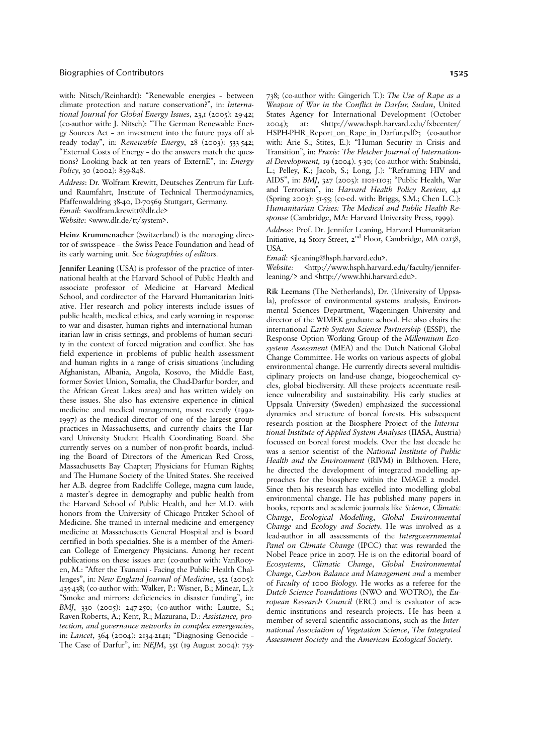with: Nitsch/Reinhardt): "Renewable energies – between climate protection and nature conservation?", in: *International Journal for Global Energy Issues*, 23,1 (2005): 29-42; (co-author with: J. Nitsch): "The German Renewable Energy Sources Act – an investment into the future pays off already today", in: *Renewable Energy*, 28 (2003): 533-542; "External Costs of Energy – do the answers match the questions? Looking back at ten years of ExternE", in: *Energy Policy*, 30 (2002): 839-848.

*Address*: Dr. Wolfram Krewitt, Deutsches Zentrum für Luftund Raumfahrt, Institute of Technical Thermodynamics, Pfaffenwaldring 38-40, D-70569 Stuttgart, Germany. *Email*: <wolfram.krewitt@dlr.de> *Website*: [<www.dlr.de/tt/system](http://www.dlr.de/tt/system)>.

**Heinz Krummenacher** (Switzerland) is the managing director of swisspeace – the Swiss Peace Foundation and head of its early warning unit. See *biographies of editors.*

**Jennifer Leaning** (USA) is professor of the practice of international health at the Harvard School of Public Health and associate professor of Medicine at Harvard Medical School, and cordirector of the Harvard Humanitarian Initiative. Her research and policy interests include issues of public health, medical ethics, and early warning in response to war and disaster, human rights and international humanitarian law in crisis settings, and problems of human security in the context of forced migration and conflict. She has field experience in problems of public health assessment and human rights in a range of crisis situations (including Afghanistan, Albania, Angola, Kosovo, the Middle East, former Soviet Union, Somalia, the Chad-Darfur border, and the African Great Lakes area) and has written widely on these issues. She also has extensive experience in clinical medicine and medical management, most recently (1992- 1997) as the medical director of one of the largest group practices in Massachusetts, and currently chairs the Harvard University Student Health Coordinating Board. She currently serves on a number of non-profit boards, including the Board of Directors of the American Red Cross, Massachusetts Bay Chapter; Physicians for Human Rights; and The Humane Society of the United States. She received her A.B. degree from Radcliffe College, magna cum laude, a master's degree in demography and public health from the Harvard School of Public Health, and her M.D. with honors from the University of Chicago Pritzker School of Medicine. She trained in internal medicine and emergency medicine at Massachusetts General Hospital and is board certified in both specialties. She is a member of the American College of Emergency Physicians. Among her recent publications on these issues are: (co-author with: VanRooyen, M.: "After the Tsunami - Facing the Public Health Challenges", in: *New England Journal of Medicine*, 352 (2005): 435-438; (co-author with: Walker, P.: Wisner, B.; Minear, L.): "Smoke and mirrors: deficiencies in disaster funding", in: *BMJ*, 330 (2005): 247-250; (co-author with: Lautze, S.; Raven-Roberts, A.; Kent, R.; Mazurana, D.: *Assistance, protection, and governance networks in complex emergencies*, in: *Lancet*, 364 (2004): 2134-2141; "Diagnosing Genocide – The Case of Darfur", in: *NEJM*, 351 (19 August 2004): 735-

738; (co-author with: Gingerich T.): *The Use of Rape as a Weapon of War in the Conflict in Darfur, Sudan*, United States Agency for International Development (October 2004[\); at: <http://www.hsph.harvard.edu/fxbcenter/](http://www.hsph.harvard.edu/fxbcenter/HSPH-PHR_Report_on_Rape_in_Darfur.pdf) [HSPH-PHR\\_Report\\_on\\_Rape\\_in\\_Darfur.pdf>; \(co-author](http://www.hsph.harvard.edu/fxbcenter/HSPH-PHR_Report_on_Rape_in_Darfur.pdf) [with: Arie S.; Stites, E.\): "H](http://www.hsph.harvard.edu/fxbcenter/HSPH-PHR_Report_on_Rape_in_Darfur.pdf)uman Security in Crisis and Transition", in: *Praxis: The Fletcher Journal of International Development,* 19 (2004). 5-30; (co-author with: Stabinski, L.; Pelley, K.; Jacob, S.; Long, J.): "Reframing HIV and AIDS", in: *BMJ*, 327 (2003): 1101-1103; "Public Health, War and Terrorism", in: *Harvard Health Policy Review*, 4,1 (Spring 2003): 51-55; (co-ed. with: Briggs, S.M.; Chen L.C.): *Humanitarian Crises: The Medical and Public Health Response* (Cambridge, MA: Harvard University Press, 1999).

*Address:* Prof. Dr. Jennifer Leaning, Harvard Humanitarian Initiative, 14 Story Street, 2nd Floor, Cambridge, MA 02138, USA.

*Email*: <jleaning@hsph.harvard.edu>.

*Website:* <http://www.hsph.harvard.edu/faculty/jenniferleaning/> and <http://www.hhi.harvard.edu>.

**Rik Leemans** (The Netherlands), Dr. (University of Uppsala), professor of environmental systems analysis, Environmental Sciences Department, Wageningen University and director of the WIMEK graduate school. He also chairs the international *Earth System Science Partnership* (ESSP), the Response Option Working Group of the *Millennium Ecosystem Assessment* (MEA) and the Dutch National Global Change Committee. He works on various aspects of global environmental change. He currently directs several multidisciplinary projects on land-use change, biogeochemical cycles, global biodiversity. All these projects accentuate resilience vulnerability and sustainability. His early studies at Uppsala University (Sweden) emphasized the successional dynamics and structure of boreal forests. His subsequent research position at the Biosphere Project of the *International Institute of Applied System Analyses* (IIASA, Austria) focussed on boreal forest models. Over the last decade he was a senior scientist of the *National Institute of Public Health and the Environment* (RIVM) in Bilthoven. Here, he directed the development of integrated modelling approaches for the biosphere within the IMAGE 2 model. Since then his research has excelled into modelling global environmental change. He has published many papers in books, reports and academic journals like *Science*, *Climatic Change*, *Ecological Modelling*, *Global Environmental Change* and *Ecology and Society*. He was involved as a lead-author in all assessments of the *Intergovernmental Panel on Climate Change* (IPCC) that was rewarded the Nobel Peace price in 2007. He is on the editorial board of *Ecosystems*, *Climatic Change*, *Global Environmental Change*, *Carbon Balance and Management and* a member of *Faculty of* 1000 *Biology.* He works as a referee for the *Dutch Science Foundations* (NWO and WOTRO), the *European Research Council* (ERC) and is evaluator of academic institutions and research projects. He has been a member of several scientific associations, such as the *International Association of Vegetation Science*, *The Integrated Assessment Society* and the *American Ecological Society*.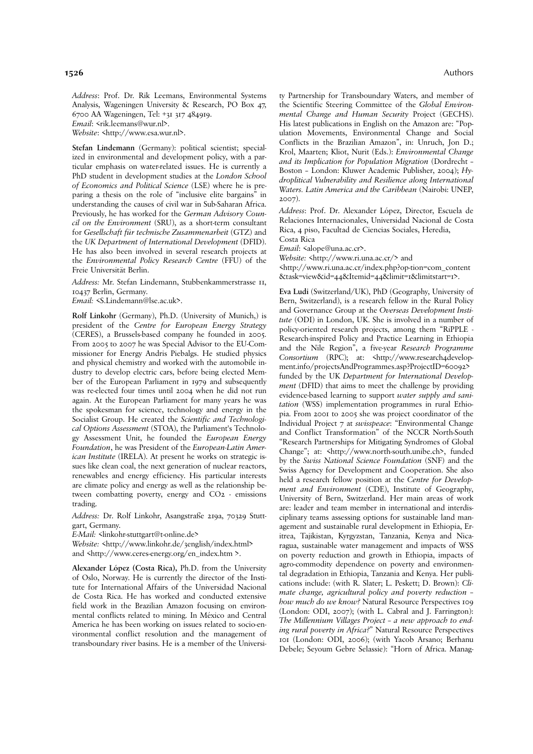*Address*: Prof. Dr. Rik Leemans, Environmental Systems Analysis, Wageningen University & Research, PO Box 47, 6700 AA Wageningen, Tel: +31 317 484919. *Email*: <rik.leemans@wur.nl>.

*Website*: <http://www.esa.wur.nl>.

**Stefan Lindemann** (Germany): political scientist; specialized in environmental and development policy, with a particular emphasis on water-related issues. He is currently a PhD student in development studies at the *London School of Economics and Political Science* (LSE) where he is preparing a thesis on the role of "inclusive elite bargains" in understanding the causes of civil war in Sub-Saharan Africa. Previously, he has worked for the *German Advisory Council on the Environment* (SRU), as a short-term consultant for *Gesellschaft für technische Zusammenarbeit* (GTZ) and the *UK Department of International Development* (DFID). He has also been involved in several research projects at the *Environmental Policy Research Centre* (FFU) of the Freie Universität Berlin.

*Address:* Mr. Stefan Lindemann, Stubbenkammerstrasse 11, 10437 Berlin, Germany.

*Email:* <S.Lindemann@lse.ac.uk>.

**Rolf Linkohr** (Germany), Ph.D. (University of Munich,) is president of the *Centre for European Energy Strategy* (CERES), a Brussels-based company he founded in 2005. From 2005 to 2007 he was Special Advisor to the EU-Commissioner for Energy Andris Piebalgs. He studied physics and physical chemistry and worked with the automobile industry to develop electric cars, before being elected Member of the European Parliament in 1979 and subsequently was re-elected four times until 2004 when he did not run again. At the European Parliament for many years he was the spokesman for science, technology and energy in the Socialist Group. He created the *Scientific and Technological Options Assessment* (STOA), the Parliament's Technology Assessment Unit, he founded the *European Energy Foundation*, he was President of the *European-Latin American Institute* (IRELA). At present he works on strategic issues like clean coal, the next generation of nuclear reactors, renewables and energy efficiency. His particular interests are climate policy and energy as well as the relationship between combatting poverty, energy and CO2 - emissions trading.

*Address:* Dr. Rolf Linkohr, Asangstraße 219a, 70329 Stuttgart, Germany.

*E-Mail:* [<linkohr-stuttgart@t-online.de](mailto:linkohr-stuttgart@t-online.de)>

*Website:* <http://www.linkohr.de/3english/index.html> and <http://www.ceres-energy.org/en\_index.htm >.

**Alexander López (Costa Rica),** Ph.D. from the University of Oslo, Norway. He is currently the director of the Institute for International Affairs of the Universidad Nacional de Costa Rica. He has worked and conducted extensive field work in the Brazilian Amazon focusing on environmental conflicts related to mining. In México and Central America he has been working on issues related to socio-environmental conflict resolution and the management of transboundary river basins. He is a member of the University Partnership for Transboundary Waters, and member of the Scientific Steering Committee of the *Global Environmental Change and Human Security* Project (GECHS). His latest publications in English on the Amazon are: "Population Movements, Environmental Change and Social Conflicts in the Brazilian Amazon", in: Unruch, Jon D.; Krol, Maarten; Kliot, Nurit (Eds.): *Environmental Change and its Implication for Population Migration* (Dordrecht – Boston – London: Kluwer Academic Publisher, 2004); *Hydroplitical Vulnerability and Resilience along International Waters. Latin America and the Caribbean* (Nairobi: UNEP, 2007).

*Address*: Prof. Dr. Alexander López, Director, Escuela de Relaciones Internacionales, Universidad Nacional de Costa Rica, 4 piso, Facultad de Ciencias Sociales, Heredia, Costa Rica

*Email*: <alope@una.ac.cr>.

*Website:* <http://www.ri.una.ac.cr/> and

<http://www.ri.una.ac.cr/index.php?op-tion=com\_content &task=view&id=44&Itemid=44&limit=1&limitstart=1>.

**Eva Ludi** (Switzerland/UK), PhD (Geography, University of Bern, Switzerland), is a research fellow in the Rural Policy and Governance Group at the *Overseas Development Institute* (ODI) in London, UK. She is involved in a number of policy-oriented research projects, among them "RiPPLE - Research-inspired Policy and Practice Learning in Ethiopia and the Nile Region", a five-year *Research Programme* Consortium (RPC); at: <http://www.research4development.info/projectsAndProgrammes.asp?ProjectID=60092> funded by the UK *Department for International Development* (DFID) that aims to meet the challenge by providing evidence-based learning to support *water supply and sanitation* (WSS) implementation programmes in rural Ethiopia. From 2001 to 2005 she was project coordinator of the Individual Project 7 at *swisspeace*: "Environmental Change and Conflict Transformation" of the NCCR North-South "Research Partnerships for Mitigating Syndromes of Global Change"; at: <http://www.north-south.unibe.ch>, funded by the *Swiss National Science Foundation* (SNF) and the Swiss Agency for Development and Cooperation. She also held a research fellow position at the *Centre for Development and Environment* (CDE), Institute of Geography, University of Bern, Switzerland. Her main areas of work are: leader and team member in international and interdisciplinary teams assessing options for sustainable land management and sustainable rural development in Ethiopia, Eritrea, Tajikistan, Kyrgyzstan, Tanzania, Kenya and Nicaragua, sustainable water management and impacts of WSS on poverty reduction and growth in Ethiopia, impacts of agro-commodity dependence on poverty and environmental degradation in Ethiopia, Tanzania and Kenya. Her publications include: (with R. Slater; L. Peskett; D. Brown): *Climate change, agricultural policy and poverty reduction – how much do we know?* Natural Resource Perspectives 109 (London: ODI, 2007); (with L. Cabral and J. Farrington): *The Millennium Villages Project – a new approach to ending rural poverty in Africa?*" Natural Resource Perspectives 101 (London: ODI, 2006); (with Yacob Arsano; Berhanu Debele; Seyoum Gebre Selassie): "Horn of Africa. Manag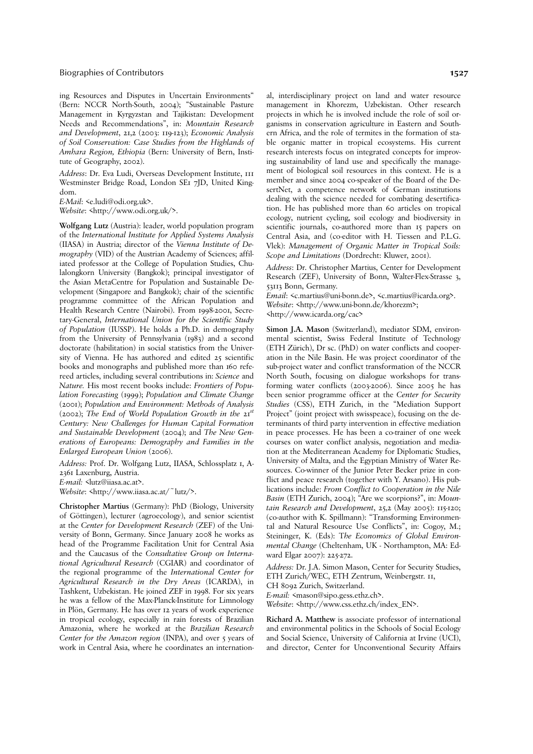ing Resources and Disputes in Uncertain Environments" (Bern: NCCR North-South, 2004); "Sustainable Pasture Management in Kyrgyzstan and Tajikistan: Development Needs and Recommendations", in: *Mountain Research and Development*, 21,2 (2003: 119-123); *Economic Analysis of Soil Conservation: Case Studies from the Highlands of Amhara Region, Ethiopia* (Bern: University of Bern, Institute of Geography, 2002).

*Address*: Dr. Eva Ludi, Overseas Development Institute, 111 Westminster Bridge Road, London SE1 7ID, United Kingdom.

*E-Mail*: <e.ludi@odi.org.uk>.

*Website*: <http://www.odi.org.uk/>.

**Wolfgang Lutz** (Austria): leader, world population program of the *International Institute for Applied Systems Analysis* (IIASA) in Austria; director of the *Vienna Institute of Demography* (VID) of the Austrian Academy of Sciences; affiliated professor at the College of Population Studies, Chulalongkorn University (Bangkok); principal investigator of the Asian MetaCentre for Population and Sustainable Development (Singapore and Bangkok); chair of the scientific programme committee of the African Population and Health Research Centre (Nairobi). From 1998-2001, Secretary-General, *International Union for the Scientific Study of Population* (IUSSP). He holds a Ph.D. in demography from the University of Pennsylvania (1983) and a second doctorate (habilitation) in social statistics from the University of Vienna. He has authored and edited 25 scientific books and monographs and published more than 160 refereed articles, including several contributions in: *Science* and *Nature.* His most recent books include: *Frontiers of Population Forecasting* (1999); *Population and Climate Change* (2001); *Population and Environment: Methods of Analysis* (2002); *The End of World Population Growth in the* 21*st Century: New Challenges for Human Capital Formation and Sustainable Development* (2004); and *The New Generations of Europeans: Demography and Families in the Enlarged European Union* (2006).

*Address:* Prof. Dr. Wolfgang Lutz, IIASA, Schlossplatz 1, A-2361 Laxenburg, Austria.

*E-mail:* <lutz@iiasa.ac.at>.

*Website*: <http://www.iiasa.ac.at/~lutz/>.

**Christopher Martius** (Germany): PhD (Biology, University of Göttingen), lecturer (agroecology), and senior scientist at the *Center for Development Research* (ZEF) of the University of Bonn, Germany. Since January 2008 he works as head of the Programme Facilitation Unit for Central Asia and the Caucasus of the *Consultative Group on International Agricultural Research* (CGIAR) and coordinator of the regional programme of the *International Center for Agricultural Research in the Dry Areas* (ICARDA), in Tashkent, Uzbekistan. He joined ZEF in 1998. For six years he was a fellow of the Max-Planck-Institute for Limnology in Plön, Germany. He has over 12 years of work experience in tropical ecology, especially in rain forests of Brazilian Amazonia, where he worked at the *Brazilian Research Center for the Amazon region* (INPA), and over 5 years of work in Central Asia, where he coordinates an internation-

al, interdisciplinary project on land and water resource management in Khorezm, Uzbekistan. Other research projects in which he is involved include the role of soil organisms in conservation agriculture in Eastern and Southern Africa, and the role of termites in the formation of stable organic matter in tropical ecosystems. His current research interests focus on integrated concepts for improving sustainability of land use and specifically the management of biological soil resources in this context. He is a member and since 2004 co-speaker of the Board of the DesertNet, a competence network of German institutions dealing with the science needed for combating desertification. He has published more than 60 articles on tropical ecology, nutrient cycling, soil ecology and biodiversity in scientific journals, co-authored more than 15 papers on Central Asia, and (co-editor with H. Tiessen and P.L.G. Vlek): *Management of Organic Matter in Tropical Soils: Scope and Limitations* (Dordrecht: Kluwer, 2001).

*Address*: Dr. Christopher Martius, Center for Development Research (ZEF), University of Bonn, Walter-Flex-Strasse 3, 53113 Bonn, Germany.

*Email*: <c.martius@uni-bonn.de>, <c.martius@icarda.org>. *Website*: <http://www.uni-bonn.de/khorezm>; <http://www.icarda.org/cac>

**Simon J.A. Mason** (Switzerland), mediator SDM, environmental scientist, Swiss Federal Institute of Technology (ETH Zürich), Dr sc. (PhD) on water conflicts and cooperation in the Nile Basin. He was project coordinator of the sub-project water and conflict transformation of the NCCR North South, focusing on dialogue workshops for transforming water conflicts (2003-2006). Since 2005 he has been senior programme officer at the *Center for Security Studies* (CSS), ETH Zurich, in the "Mediation Support Project" (joint project with swisspeace), focusing on the determinants of third party intervention in effective mediation in peace processes. He has been a co-trainer of one week courses on water conflict analysis, negotiation and mediation at the Mediterranean Academy for Diplomatic Studies, University of Malta, and the Egyptian Ministry of Water Resources. Co-winner of the Junior Peter Becker prize in conflict and peace research (together with Y. Arsano). His publications include: *From Conflict to Cooperation in the Nile Basin* (ETH Zurich, 2004); "Are we scorpions?", in: *Mountain Research and Development*, 25,2 (May 2005): 115-120; (co-author with K. Spillmann): "Transforming Environmental and Natural Resource Use Conflicts", in: Cogoy, M.; Steininger, K. (Eds): T*he Economics of Global Environmental Change* (Cheltenham, UK - Northampton, MA: Edward Elgar 2007): 225-272.

*Address:* Dr. J.A. Simon Mason, Center for Security Studies, ETH Zurich/WEC, ETH Zentrum, Weinbergstr. 11, CH 8092 Zurich, Switzerland.

*E-mail:* <mason@sipo.gess.ethz.ch>.

*Website*: <http://www.css.ethz.ch/index\_EN>.

**Richard A. Matthew** is associate professor of international and environmental politics in the Schools of Social Ecology and Social Science, University of California at Irvine (UCI), and director, Center for Unconventional Security Affairs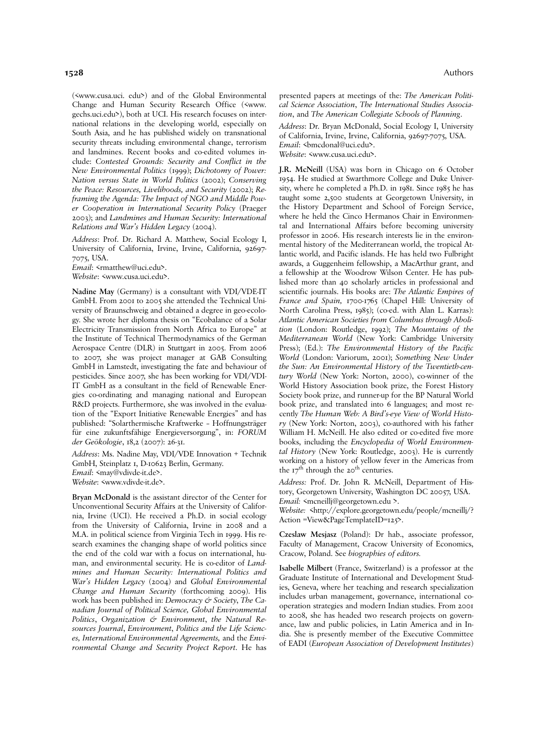([<www.cusa.uci. edu](http://www.cusa.uci.edu)>) and of the Global Environmental Change and Human Security Research Office (<www. gechs.uci.edu>), both at UCI. His research focuses on international relations in the developing world, especially on South Asia, and he has published widely on transnational security threats including environmental change, terrorism and landmines. Recent books and co-edited volumes include: *Contested Grounds: Security and Conflict in the New Environmental Politics* (1999); *Dichotomy of Power: Nation versus State in World Politics* (2002); *Conserving the Peace: Resources, Livelihoods, and Security* (2002); *Reframing the Agenda: The Impact of NGO and Middle Power Cooperation in International Security Policy* (Praeger 2003); and *Landmines and Human Security: International Relations and War's Hidden Legacy* (2004).

*Address*: Prof. Dr. Richard A. Matthew, Social Ecology I, University of California, Irvine, Irvine, California, 92697- 7075, USA.

*Email*: <[rmatthew@uci.edu>](mailto:rmatthew@uci.edu).

*Website*: [<www.cusa.uci.edu](http://www.cusa.uci.edu)>.

**Nadine May** (Germany) is a consultant with VDI/VDE-IT GmbH. From 2001 to 2005 she attended the Technical University of Braunschweig and obtained a degree in geo-ecology. She wrote her diploma thesis on "Ecobalance of a Solar Electricity Transmission from North Africa to Europe" at the Institute of Technical Thermodynamics of the German Aerospace Centre (DLR) in Stuttgart in 2005. From 2006 to 2007, she was project manager at GAB Consulting GmbH in Lamstedt, investigating the fate and behaviour of pesticides. Since 2007, she has been working for VDI/VDI-IT GmbH as a consultant in the field of Renewable Energies co-ordinating and managing national and European R&D projects. Furthermore, she was involved in the evaluation of the "Export Initiative Renewable Energies" and has published: "Solarthermische Kraftwerke – Hoffnungsträger für eine zukunftsfähige Energieversorgung", in: *FORUM der Geökologie*, 18,2 (2007): 26-31.

*Address*: Ms. Nadine May, VDI/VDE Innovation + Technik GmbH, Steinplatz 1, D-10623 Berlin, Germany. *Email*: <may@vdivde-it.de>.

*Website*: [<www.vdivde-it.de>](http://www.vdivde-it.de).

**Bryan McDonald** is the assistant director of the Center for Unconventional Security Affairs at the University of California, Irvine (UCI). He received a Ph.D. in social ecology from the University of California, Irvine in 2008 and a M.A. in political science from Virginia Tech in 1999. His research examines the changing shape of world politics since the end of the cold war with a focus on international, human, and environmental security. He is co-editor of *Landmines and Human Security: International Politics and War's Hidden Legacy* (2004) and *Global Environmental Change and Human Security* (forthcoming 2009). His work has been published in: *Democracy & Society*, *The Canadian Journal of Political Science, Global Environmental Politics*, *Organization & Environment*, *the Natural Resources Journal*, *Environment*, *Politics and the Life Sciences, International Environmental Agreements,* and the *Environmental Change and Security Project Report*. He has

**1528** Authors

presented papers at meetings of the: *The American Political Science Association*, *The International Studies Association*, and *The American Collegiate Schools of Planning*.

*Address*: Dr. Bryan McDonald, Social Ecology I, University of California, Irvine, Irvine, California, 92697-7075, USA. *Email*: <br/>[bmcdonal@uci.edu>](mailto:bmcdonal@uci.edu" \o "blocked::mailto:bmcdonal@uci.edu). *Website*: [<www.cusa.uci.edu>](http://www.cusa.uci.edu" \o "blocked::http://www.cusa.uci.edu/).

**J.R. McNeill** (USA) was born in Chicago on 6 October 1954. He studied at Swarthmore College and Duke University, where he completed a Ph.D. in 1981. Since 1985 he has taught some 2,500 students at Georgetown University, in the History Department and School of Foreign Service, where he held the Cinco Hermanos Chair in Environmental and International Affairs before becoming university professor in 2006. His research interests lie in the environmental history of the Mediterranean world, the tropical Atlantic world, and Pacific islands. He has held two Fulbright awards, a Guggenheim fellowship, a MacArthur grant, and a fellowship at the Woodrow Wilson Center. He has published more than 40 scholarly articles in professional and scientific journals. His books are: *The Atlantic Empires of France and Spain,* 1700*-*1765 (Chapel Hill: University of North Carolina Press, 1985); (co-ed. with Alan L. Karras): *Atlantic American Societies from Columbus through Abolition* (London: Routledge, 1992); *The Mountains of the Mediterranean World* (New York: Cambridge University Press); (Ed.): *The Environmental History of the Pacific World* (London: Variorum, 2001); *Something New Under the Sun: An Environmental History of the Twentieth-century World* (New York: Norton, 2000), co-winner of the World History Association book prize, the Forest History Society book prize, and runner-up for the BP Natural World book prize, and translated into 6 languages; and most recently *The Human Web: A Bird's-eye View of World History* (New York: Norton, 2003), co-authored with his father William H. McNeill. He also edited or co-edited five more books, including the *Encyclopedia of World Environmental History* (New York: Routledge, 2003). He is currently working on a history of yellow fever in the Americas from the  $17<sup>th</sup>$  through the 20<sup>th</sup> centuries.

*Address:* Prof. Dr. John R. McNeill, Department of History, Georgetown University, Washington DC 20057, USA. *Email:* <mcneillj@georgetown.edu >.

*Website:* <http://explore.georgetown.edu/people/mcneillj/? Action =View&PageTemplateID=125>.

**Czeslaw Mesjasz** (Poland): Dr hab., associate professor, Faculty of Management, Cracow University of Economics, Cracow, Poland. See *biographies of editors.*

**Isabelle Milbert** (France, Switzerland) is a professor at the Graduate Institute of International and Development Studies, Geneva, where her teaching and research specialization includes urban management, governance, international cooperation strategies and modern Indian studies. From 2001 to 2008, she has headed two research projects on governance, law and public policies, in Latin America and in India. She is presently member of the Executive Committee of EADI (*European Association of Development Institutes*)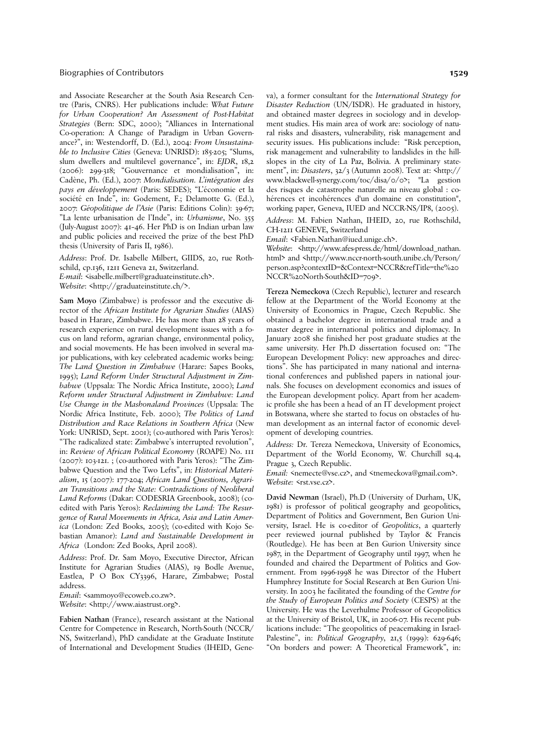and Associate Researcher at the South Asia Research Centre (Paris, CNRS). Her publications include: *What Future for Urban Cooperation? An Assessment of Post-Habitat Strategies* (Bern: SDC, 2000); "Alliances in International Co-operation: A Change of Paradigm in Urban Governance?", in: Westendorff, D. (Ed.), 2004: *From Unsustainable to Inclusive Cities* (Geneva: UNRISD): 185-205; "Slums, slum dwellers and multilevel governance", in: *EJDR*, 18,2 (2006): 299-318; "Gouvernance et mondialisation", in: Cadène, Ph. (Ed.), 2007: *Mondialisation. L'intégration des pays en développement* (Paris: SEDES); "L'économie et la société en Inde", in: Godement, F.; Delamotte G. (Ed.), 2007: *Géopolitique de l'Asie* (Paris: Editions Colin): 39-67; "La lente urbanisation de l'Inde", in: *Urbanisme*, No. 355 (July-August 2007): 41–46. Her PhD is on Indian urban law and public policies and received the prize of the best PhD thesis (University of Paris II, 1986).

*Address*: Prof. Dr. Isabelle Milbert, GIIDS, 20, rue Rothschild, cp.136, 1211 Geneva 21, Switzerland.

*E-mail*: <isabelle.milbert@graduateinstitute.ch>.

*Website*: <http://graduateinstitute.ch/>.

**Sam Moyo** (Zimbabwe) is professor and the executive director of the *African Institute for Agrarian Studies* (AIAS) based in Harare, Zimbabwe. He has more than 28 years of research experience on rural development issues with a focus on land reform, agrarian change, environmental policy, and social movements. He has been involved in several major publications, with key celebrated academic works being: *The Land Question in Zimbabwe* (Harare: Sapes Books, 1995); *Land Reform Under Structural Adjustment in Zimbabwe* (Uppsala: The Nordic Africa Institute, 2000); *Land Reform under Structural Adjustment in Zimbabwe: Land Use Change in the Mashonaland Provinces* (Uppsala: The Nordic Africa Institute, Feb. 2000); *The Politics of Land Distribution and Race Relations in Southern Africa* (New York: UNRISD, Sept. 2001); (co-authored with Paris Yeros): "The radicalized state: Zimbabwe's interrupted revolution", in: *Review of African Political Economy* (ROAPE) No. 111 (2007): 103-121. ; (co-authored with Paris Yeros): "The Zimbabwe Question and the Two Lefts", in: *Historical Materialism*, 15 (2007): 177-204; *African Land Questions, Agrari-*

*an Transitions and the State: Contradictions of Neoliberal Land Reforms* (Dakar: CODESRIA Greenbook, 2008); (coedited with Paris Yeros): *[Reclaiming the Land: The Resur](http://www.amazon.com/Reclaiming-Land-Resurgence-Movements-America/dp/1842774255/ref=sr_1_2?ie=UTF8&s=books&qid=1202056028&sr=1-2" \o "blocked::http://www.amazon.com/Reclaiming-Land-Resurgence-Movements-America/dp/1842774255/ref=sr_1_2?ie=UTF8&s=books&qid)[gence of Rural Movements in Africa, Asia and Latin Amer](http://www.amazon.com/Reclaiming-Land-Resurgence-Movements-America/dp/1842774255/ref=sr_1_2?ie=UTF8&s=books&qid=1202056028&sr=1-2" \o "blocked::http://www.amazon.com/Reclaiming-Land-Resurgence-Movements-America/dp/1842774255/ref=sr_1_2?ie=UTF8&s=books&qid)[ica](http://www.amazon.com/Reclaiming-Land-Resurgence-Movements-America/dp/1842774255/ref=sr_1_2?ie=UTF8&s=books&qid=1202056028&sr=1-2" \o "blocked::http://www.amazon.com/Reclaiming-Land-Resurgence-Movements-America/dp/1842774255/ref=sr_1_2?ie=UTF8&s=books&qid)* (London: Zed Books, 2005); (co-edited with [Kojo Se](http://www.amazon.com/exec/obidos/search-handle-url/103-3233725-3277437?%5Fencoding=UTF8&search-type=ss&index=books&field-author=Kojo%20Sebastian%20Amanor" \o "blocked::http://www.amazon.com/exec/obidos/search-handle-url/103-3233725-3277437?_encoding=UTF8)[bastian Amanor\)](http://www.amazon.com/exec/obidos/search-handle-url/103-3233725-3277437?%5Fencoding=UTF8&search-type=ss&index=books&field-author=Kojo%20Sebastian%20Amanor" \o "blocked::http://www.amazon.com/exec/obidos/search-handle-url/103-3233725-3277437?_encoding=UTF8): *[Land and Sustainable Development in](http://www.amazon.com/Sustainable-Development-Africa-Sebastian-Amanor/dp/1842779133/ref=sr_1_1?ie=UTF8&s=books&qid=1202055834&sr=1-1" \o "blocked::http://www.amazon.com/Sustainable-Development-Africa-Sebastian-Amanor/dp/1842779133/ref=sr_1_1?ie=UTF8&s=boo) [Africa](http://www.amazon.com/Sustainable-Development-Africa-Sebastian-Amanor/dp/1842779133/ref=sr_1_1?ie=UTF8&s=books&qid=1202055834&sr=1-1" \o "blocked::http://www.amazon.com/Sustainable-Development-Africa-Sebastian-Amanor/dp/1842779133/ref=sr_1_1?ie=UTF8&s=boo)* (London: Zed Books, April 2008).

*Address*: Prof. Dr. Sam Moyo, Executive Director, African Institute for Agrarian Studies (AIAS), 19 Bodle Avenue, Eastlea, P O Box CY3396, Harare, Zimbabwe; Postal address.

*Email*: <sammoyo@ecoweb.co.zw>.

*Website*: <http://www.aiastrust.org>.

**Fabien Nathan** (France), research assistant at the National Centre for Competence in Research, North-South (NCCR/ NS, Switzerland), PhD candidate at the Graduate Institute of International and Development Studies (IHEID, Geneva), a former consultant for the *International Strategy for Disaster Reduction* (UN/ISDR). He graduated in history, and obtained master degrees in sociology and in development studies. His main area of work are: sociology of natural risks and disasters, vulnerability, risk management and security issues. His publications include: "Risk perception, risk management and vulnerability to landslides in the hillslopes in the city of La Paz, Bolivia. A preliminary statement", in: *Disasters*, 32/3 (Autumn 2008). Text at: <http:// www.blackwell-synergy.com/toc/disa/0/0>; "La gestion des risques de catastrophe naturelle au niveau global : cohérences et incohérences d'un domaine en constitution", working paper, Geneva, IUED and NCCR-NS/IP8, (2005).

*Address*: M. Fabien Nathan, IHEID, 20, rue Rothschild, CH-1211 GENEVE, Switzerland

*Email*[: <Fabien.Nathan@iued.unige.ch>.](mailto:Fabien.Nathan@iued.unige.ch)

*Website*: <http://www.afes-press.de/html/download\_nathan. html> and <http://www.nccr-north-south.unibe.ch/Person/ person.asp?contextID=&Context=NCCR&refTitle=the%20 NCCR%20North-South&ID=709>.

**Tereza Nemeckova** (Czech Republic), lecturer and research fellow at the Department of the World Economy at the University of Economics in Prague, Czech Republic. She obtained a bachelor degree in international trade and a master degree in international politics and diplomacy. In January 2008 she finished her post graduate studies at the same university. Her Ph.D dissertation focused on: "The European Development Policy: new approaches and directions". She has participated in many national and international conferences and published papers in national journals. She focuses on development economics and issues of the European development policy. Apart from her academic profile she has been a head of an IT development project in Botswana, where she started to focus on obstacles of human development as an internal factor of economic development of developing countries.

*Address:* Dr. Tereza Nemeckova, University of Economics, Department of the World Economy, W. Churchill sq.4, Prague 3, Czech Republic.

*Email:* <[nemecte@vse.cz>](mailto:nemecte), and <[tnemeckova@gmail.com](mailto:tnemeckova@gmail.com)>. *Website:* <rst.vse.cz>.

**David Newman** (Israel), Ph.D (University of Durham, UK, 1981) is professor of political geography and geopolitics, Department of Politics and Government, Ben Gurion University, Israel. He is co-editor of *Geopolitics*, a quarterly peer reviewed journal published by Taylor & Francis (Routledge). He has been at Ben Gurion University since 1987, in the Department of Geography until 1997, when he founded and chaired the Department of Politics and Government. From 1996-1998 he was Director of the Hubert Humphrey Institute for Social Research at Ben Gurion University. In 2003 he facilitated the founding of the *Centre for the Study of European Politics and Society* (CESPS) at the University. He was the Leverhulme Professor of Geopolitics at the University of Bristol, UK, in 2006-07. His recent publications include: "The geopolitics of peacemaking in Israel-Palestine", in: *Political Geography*, 21,5 (1999): 629-646; "On borders and power: A Theoretical Framework", in: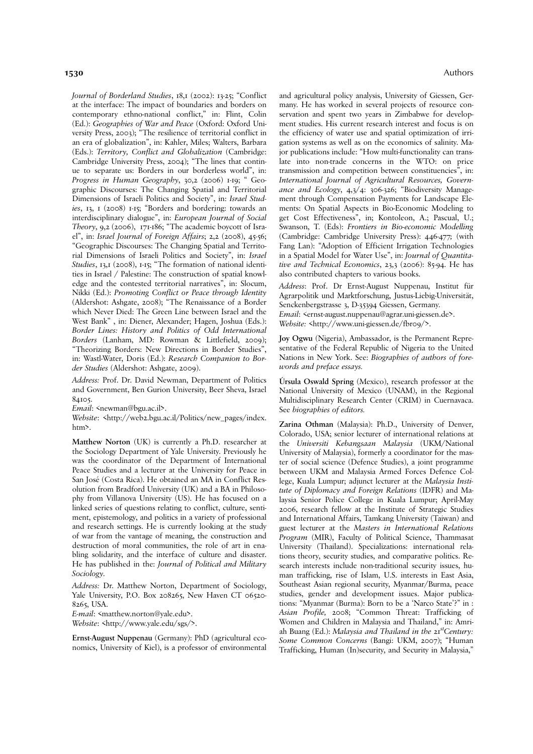*Journal of Borderland Studies*, 18,1 (2002): 13-25; "Conflict at the interface: The impact of boundaries and borders on contemporary ethno-national conflict," in: Flint, Colin (Ed.): *Geographies of War and Peace* (Oxford: Oxford University Press, 2003); "The resilience of territorial conflict in an era of globalization", in: Kahler, Miles; Walters, Barbara (Eds.): *Territory, Conflict and Globalization* (Cambridge: Cambridge University Press, 2004); "The lines that continue to separate us: Borders in our borderless world", in: *Progress in Human Geography*, 30,2 (2006) 1-19; " Geographic Discourses: The Changing Spatial and Territorial Dimensions of Israeli Politics and Society", in: *Israel Studies*, 13, 1 (2008) 1-15; "Borders and bordering: towards an interdisciplinary dialogue", in: *European Journal of Social Theory*, 9,2 (2006), 171-186; "The academic boycott of Israel", in: *Israel Journal of Foreign Affairs*; 2,2 (2008), 45-56; "Geographic Discourses: The Changing Spatial and Territorial Dimensions of Israeli Politics and Society", in: *Israel Studies*, 13,1 (2008), 1-15; "The formation of national identities in Israel / Palestine: The construction of spatial knowledge and the contested territorial narratives", in: Slocum, Nikki (Ed.): *Promoting Conflict or Peace through Identity* (Aldershot: Ashgate, 2008); "The Renaissance of a Border which Never Died: The Green Line between Israel and the West Bank" , in: Diener, Alexander; Hagen, Joshua (Eds.): *Border Lines: History and Politics of Odd International Borders* (Lanham, MD: Rowman & Littlefield, 2009); "Theorizing Borders: New Directions in Border Studies", in: Wastl-Water, Doris (Ed.): *Research Companion to Border Studies* (Aldershot: Ashgate, 2009).

*Address:* Prof. Dr. David Newman, Department of Politics and Government, Ben Gurion University, Beer Sheva, Israel 84105.

*Email*: <newman@bgu.ac.il>.

*Website*[: <http://web](http://web2.bgu.ac.il/Politics/new_pages/index.htm)2.bgu.ac.il/Politics/new\_pages/index. htm>.

**Matthew Norton** (UK) is currently a Ph.D. researcher at the Sociology Department of Yale University. Previously he was the coordinator of the Department of International Peace Studies and a lecturer at the University for Peace in San José (Costa Rica). He obtained an MA in Conflict Resolution from Bradford University (UK) and a BA in Philosophy from Villanova University (US). He has focused on a linked series of questions relating to conflict, culture, sentiment, epistemology, and politics in a variety of professional and research settings. He is currently looking at the study of war from the vantage of meaning, the construction and destruction of moral communities, the role of art in enabling solidarity, and the interface of culture and disaster. He has published in the: *Journal of Political and Military Sociology*.

*Address:* Dr. Matthew Norton, Department of Sociology, Yale University, P.O. Box 208265, New Haven CT 06520-8265, USA.

*E-mail*: <matthew.norton@yale.edu>. *Website*: <http://www.yale.edu/sgs/>.

**Ernst-August Nuppenau** (Germany): PhD (agricultural economics, University of Kiel), is a professor of environmental

and agricultural policy analysis, University of Giessen, Germany. He has worked in several projects of resource conservation and spent two years in Zimbabwe for development studies. His current research interest and focus is on the efficiency of water use and spatial optimization of irrigation systems as well as on the economics of salinity. Major publications include: "How multi-functionality can translate into non-trade concerns in the WTO: on price transmission and competition between constituencies", in: *International Journal of Agricultural Resources, Governance and Ecology*, 4,3/4: 306-326; "Biodiversity Management through Compensation Payments for Landscape Elements: On Spatial Aspects in Bio-Economic Modeling to get Cost Effectiveness", in; Kontoleon, A.; Pascual, U.; Swanson, T. (Eds): *Frontiers in Bio-economic Modelling* (Cambridge: Cambridge University Press): 446-477*;* (with Fang Lan): "Adoption of Efficient Irrigation Technologies in a Spatial Model for Water Use", in: *Journal of Quantita-*

also contributed chapters to various books. *Address*: Prof. Dr Ernst-August Nuppenau, Institut für Agrarpolitik und Marktforschung, Justus-Liebig-Universität, Senckenbergstrasse 3, D-35394 Giessen, Germany. *Email*: <ernst-august.nuppenau@agrar.uni-giessen.de>.

*tive and Technical Economics*, 23,3 (2006): 85-94. He has

*Website:* <http://www.uni-giessen.de/fbro9/>.

**Joy Ogwu** (Nigeria), Ambassador, is the Permanent Representative of the Federal Republic of Nigeria to the United Nations in New York. See: *Biographies of authors of forewords and preface essays.*

**Úrsula Oswald Spring** (Mexico), research professor at the National University of Mexico (UNAM), in the Regional Multidisciplinary Research Center (CRIM) in Cuernavaca. See *biographies of editors.*

**Zarina Othman** (Malaysia): Ph.D., University of Denver, Colorado, USA; senior lecturer of international relations at the *Universiti Kebangsaan Malaysia* (UKM/National University of Malaysia), formerly a coordinator for the master of social science (Defence Studies), a joint programme between UKM and Malaysia Armed Forces Defence College, Kuala Lumpur; adjunct lecturer at the *Malaysia Institute of Diplomacy and Foreign Relations* (IDFR) and Malaysia Senior Police College in Kuala Lumpur; April-May 2006, research fellow at the Institute of Strategic Studies and International Affairs, Tamkang University (Taiwan) and guest lecturer at the *Masters in International Relations Program* (MIR), Faculty of Political Science, Thammasat University (Thailand). Specializations: international relations theory, security studies, and comparative politics. Research interests include non-traditional security issues, human trafficking, rise of Islam, U.S. interests in East Asia, Southeast Asian regional security, Myanmar/Burma, peace studies, gender and development issues. Major publications: "Myanmar (Burma): Born to be a 'Narco State'?" in : *Asian Profile,* 2008; "Common Threat: Trafficking of Women and Children in Malaysia and Thailand," in: Amriah Buang (Ed.): *Malaysia and Thailand in the* 21*stCentury: Some Common Concerns* (Bangi: UKM, 2007); "Human Trafficking, Human (In)security, and Security in Malaysia,"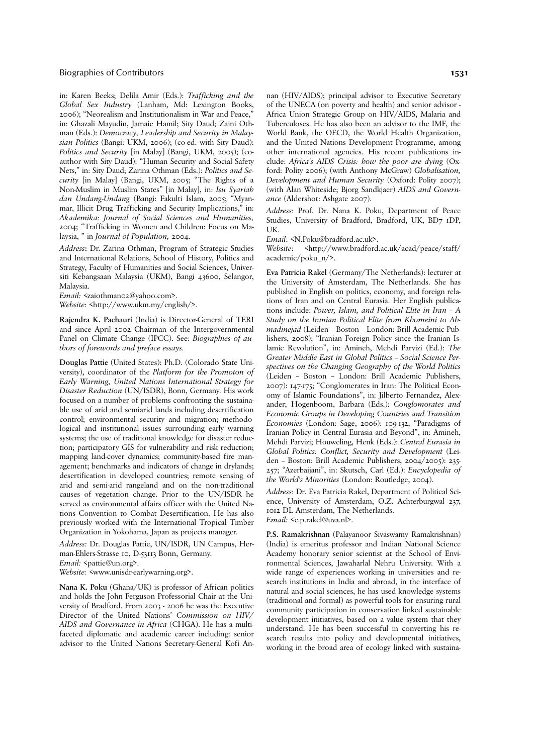in: Karen Beeks; Delila Amir (Eds.): *Trafficking and the Global Sex Industry* (Lanham, Md: Lexington Books, 2006); "Neorealism and Institutionalism in War and Peace," in: Ghazali Mayudin, Jamaie Hamil; Sity Daud; Zaini Othman (Eds.): *Democracy, Leadership and Security in Malaysian Politics* (Bangi: UKM, 2006); (co-ed. with Sity Daud): *Politics and Security* [in Malay] (Bangi, UKM, 2005); (coauthor with Sity Daud): "Human Security and Social Safety Nets," in: Sity Daud; Zarina Othman (Eds.): *Politics and Security* [in Malay] (Bangi, UKM, 2005; "The Rights of a Non-Muslim in Muslim States" [in Malay], in: *Isu Syariah dan Undang-Undang* (Bangi: Fakulti Islam, 2005; "Myanmar, Illicit Drug Trafficking and Security Implications," in: *Akademika: Journal of Social Sciences and Humanities,* 2004; "Trafficking in Women and Children: Focus on Malaysia, " in *Journal of Population,* 2004.

*Address***:** Dr. Zarina Othman, Program of Strategic Studies and International Relations, School of History, Politics and Strategy, Faculty of Humanities and Social Sciences, Universiti Kebangsaan Malaysia (UKM), Bangi 43600, Selangor, Malaysia.

*Email:* <[zaiothman](mailto:zaiothman02@yahoo.com)02@yahoo.com>.

*Website*: <http://www.ukm.my/english/>.

**Rajendra K. Pachauri** (India) is Director-General of TERI and since April 2002 Chairman of the Intergovernmental Panel on Climate Change (IPCC). See: *Biographies of authors of forewords and preface essays.*

**Douglas Pattie** (United States): Ph.D. (Colorado State University), coordinator of the *Platform for the Promoton of Early Warning, United Nations International Strategy for Disaster Reduction* (UN/ISDR), Bonn, Germany. His work focused on a number of problems confronting the sustainable use of arid and semiarid lands including desertification control; environmental security and migration; methodological and institutional issues surrounding early warning systems; the use of traditional knowledge for disaster reduction; participatory GIS for vulnerability and risk reduction; mapping land-cover dynamics; community-based fire management; benchmarks and indicators of change in drylands; desertification in developed countries; remote sensing of arid and semi-arid rangeland and on the non-traditional causes of vegetation change. Prior to the UN/ISDR he served as environmental affairs officer with the United Nations Convention to Combat Desertification. He has also previously worked with the International Tropical Timber Organization in Yokohama, Japan as projects manager.

*Address:* Dr. Douglas Pattie, UN/ISDR, UN Campus, Herman-Ehlers-Strasse 10, D-53113 Bonn, Germany. *Email:* <pattie@un.org>.

*Website:* <www.unisdr-earlywarning.org>.

**Nana K. Poku** (Ghana/UK) is professor of African politics and holds the John Ferguson Professorial Chair at the University of Bradford. From 2003 - 2006 he was the Executive Director of the United Nations' *Commission on HIV/ AIDS and Governance in Africa* (CHGA). He has a multifaceted diplomatic and academic career including: senior advisor to the United Nations Secretary-General Kofi An-

nan (HIV/AIDS); principal advisor to Executive Secretary of the UNECA (on poverty and health) and senior advisor - Africa Union Strategic Group on HIV/AIDS, Malaria and Tuberculoses. He has also been an advisor to the IMF, the World Bank, the OECD, the World Health Organization, and the United Nations Development Programme, among other international agencies. His recent publications include: *Africa's AIDS Crisis: how the poor are dying* (Oxford: Polity 2006); (with Anthony McGraw) *Globalisation, Development and Human Security* (Oxford: Polity 2007); (with Alan Whiteside; Bjorg Sandkjaer) *AIDS and Governance* (Aldershot: Ashgate 2007).

*Address*: Prof. Dr. Nana K. Poku, Department of Peace Studies, University of Bradford, Bradford, UK, BD7 1DP, UK.

*Email*: <N.Poku@bradford.ac.uk>.

*Website*: <http://www.bradford.ac.uk/acad/peace/staff/ academic/poku\_n/>.

**Eva Patricia Rakel** (Germany/The Netherlands): lecturer at the University of Amsterdam, The Netherlands. She has published in English on politics, economy, and foreign relations of Iran and on Central Eurasia. Her English publications include: *Power, Islam, and Political Elite in Iran – A Study on the Iranian Political Elite from Khomeini to Ahmadinejad* (Leiden – Boston – London: Brill Academic Publishers, 2008); "Iranian Foreign Policy since the Iranian Islamic Revolution", in: Amineh, Mehdi Parvizi (Ed.): *The Greater Middle East in Global Politics – Social Science Perspectives on the Changing Geography of the World Politics* (Leiden – Boston – London: Brill Academic Publishers, 2007): 147-175; "Conglomerates in Iran: The Political Economy of Islamic Foundations", in: Jilberto Fernandez, Alexander; Hogenboom, Barbara (Eds.): *Conglomorates and Economic Groups in Developing Countries and Transition Economies* (London: Sage, 2006): 109-132; "Paradigms of Iranian Policy in Central Eurasia and Beyond", in: Amineh, Mehdi Parvizi; Houweling, Henk (Eds.): *Central Eurasia in Global Politics: Conflict, Security and Development* (Leiden – Boston: Brill Academic Publishers, 2004/2005): 235- 257; "Azerbaijani", in: Skutsch, Carl (Ed.): *Encyclopedia of the World's Minorities* (London: Routledge, 2004).

*Address*: Dr. Eva Patricia Rakel, Department of Political Science, University of Amsterdam, O.Z. Achterburgwal 237, 1012 DL Amsterdam, The Netherlands. *Email:* <e.p.rakel@uva.nl>.

**P.S. Ramakrishnan** (Palayanoor Sivaswamy Ramakrishnan) (India) is emeritus professor and Indian National Science Academy honorary senior scientist at the School of Environmental Sciences, Jawaharlal Nehru University. With a wide range of experiences working in universities and research institutions in India and abroad, in the interface of natural and social sciences, he has used knowledge systems (traditional and formal) as powerful tools for ensuring rural community participation in conservation linked sustainable development initiatives, based on a value system that they understand. He has been successful in converting his research results into policy and developmental initiatives, working in the broad area of ecology linked with sustaina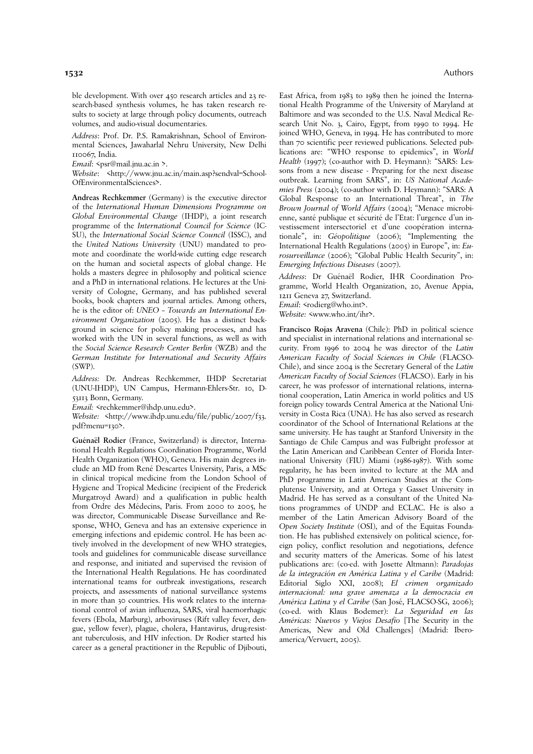ble development. With over 450 research articles and 23 research-based synthesis volumes, he has taken research results to society at large through policy documents, outreach volumes, and audio-visual documentaries.

*Address*: Prof. Dr. P.S. Ramakrishnan, School of Environmental Sciences, Jawaharlal Nehru University, New Delhi 110067, India.

*Email*: <psr@mail.jnu.ac.in >.

*Website*: <http://www.jnu.ac.in/main.asp?sendval=School-OfEnvironmentalSciences>.

**Andreas Rechkemmer** (Germany) is the executive director of the *International Human Dimensions Programme on Global Environmental Change* (IHDP), a joint research programme of the *International Council for Science* (IC-SU), the *International Social Science Council* (ISSC), and the *United Nations University* (UNU) mandated to promote and coordinate the world-wide cutting edge research on the human and societal aspects of global change. He holds a masters degree in philosophy and political science and a PhD in international relations. He lectures at the University of Cologne, Germany, and has published several books, book chapters and journal articles. Among others, he is the editor of: *UNEO – Towards an International Environment Organization* (2005). He has a distinct background in science for policy making processes, and has worked with the UN in several functions, as well as with the *Social Science Research Center Berlin* (WZB) and the *German Institute for International and Security Affairs* (SWP).

*Address:* Dr. Andreas Rechkemmer, IHDP Secretariat (UNU-IHDP), UN Campus, Hermann-Ehlers-Str. 10, D-53113 Bonn, Germany.

*Email:* <[rechkemmer@ihdp.unu.edu>](mailto:rechkemmer@ihdp.unu.edu).

*Website:* <http://www.ihdp.unu.edu/file/public/2007/f33. pdf?menu=130>.

**Guénaël Rodier** (France, Switzerland) is director, International Health Regulations Coordination Programme, World Health Organization (WHO), Geneva. His main degrees include an MD from René Descartes University, Paris, a MSc in clinical tropical medicine from the London School of Hygiene and Tropical Medicine (recipient of the Frederick Murgatroyd Award) and a qualification in public health from Ordre des Médecins, Paris. From 2000 to 2005, he was director, Communicable Disease Surveillance and Response, WHO, Geneva and has an extensive experience in emerging infections and epidemic control. He has been actively involved in the development of new WHO strategies, tools and guidelines for communicable disease surveillance and response, and initiated and supervised the revision of the International Health Regulations. He has coordinated international teams for outbreak investigations, research projects, and assessments of national surveillance systems in more than 30 countries. His work relates to the international control of avian influenza, SARS, viral haemorrhagic fevers (Ebola, Marburg), arboviruses (Rift valley fever, dengue, yellow fever), plague, cholera, Hantavirus, drug-resistant tuberculosis, and HIV infection. Dr Rodier started his career as a general practitioner in the Republic of Djibouti,

East Africa, from 1983 to 1989 then he joined the International Health Programme of the University of Maryland at Baltimore and was seconded to the U.S. Naval Medical Research Unit No. 3, Cairo, Egypt, from 1990 to 1994. He joined WHO, Geneva, in 1994. He has contributed to more than 70 scientific peer reviewed publications. Selected publications are: "WHO response to epidemics", in *World Health* (1997); (co-author with D. Heymann): "SARS: Lessons from a new disease - Preparing for the next disease outbreak. Learning from SARS", in: *US National Academies Press* (2004); (co-author with D. Heymann): "SARS: A Global Response to an International Threat", in *The Brown Journal of World Affairs* (2004); "Menace microbienne, santé publique et sécurité de l'Etat: l'urgence d'un investissement intersectoriel et d'une coopération internationale", in: *Géopolitique* (2006); "Implementing the International Health Regulations (2005) in Europe", in: *Eurosurveillance* (2006); "Global Public Health Security", in: *Emerging Infectious Diseases* (2007).

*Address*: Dr Guénaël Rodier, IHR Coordination Programme, World Health Organization, 20, Avenue Appia, 1211 Geneva 27, Switzerland.

*Email*[: <rodierg@who.int>.](mailto:rodierg@who.int)

*Website:* <www.who.int/ihr>.

**Francisco Rojas Aravena** (Chile): PhD in political science and specialist in international relations and international security. From 1996 to 2004 he was director of the *Latin American Faculty of Social Sciences in Chile* (FLACSO-Chile), and since 2004 is the Secretary General of the *Latin American Faculty of Social Sciences* (FLACSO). Early in his career, he was professor of international relations, international cooperation, Latin America in world politics and US foreign policy towards Central America at the National University in Costa Rica (UNA). He has also served as research coordinator of the School of International Relations at the same university. He has taught at Stanford University in the Santiago de Chile Campus and was Fulbright professor at the Latin American and Caribbean Center of Florida International University (FIU) Miami (1986-1987). With some regularity, he has been invited to lecture at the MA and PhD programme in Latin American Studies at the Complutense University, and at Ortega y Gasset University in Madrid. He has served as a consultant of the United Nations programmes of UNDP and ECLAC. He is also a member of the Latin American Advisory Board of the *Open Society Institute* (OSI), and of the Equitas Foundation. He has published extensively on political science, foreign policy, conflict resolution and negotiations, defence and security matters of the Americas. Some of his latest publications are: (co-ed. with Josette Altmann): *Paradojas de la integración en América Latina y el Caribe* (Madrid: Editorial Siglo XXI, 2008); *El crimen organizado internacional: una grave amenaza a la democracia en América Latina y el Caribe* (San José, FLACSO-SG, 2006); (co-ed. with Klaus Bodemer): *La Seguridad en las Américas: Nuevos y Viejos Desafío* [The Security in the Americas, New and Old Challenges] (Madrid: Iberoamerica/Vervuert, 2005).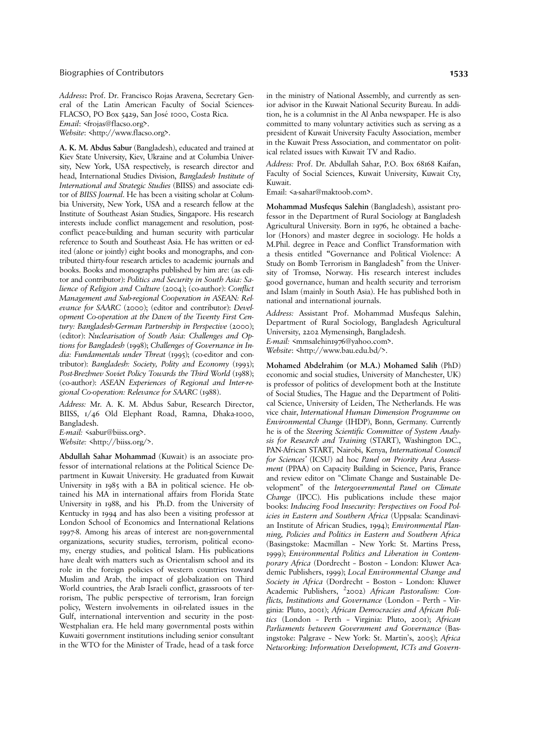*Address***:** Prof. Dr. Francisco Rojas Aravena, Secretary General of the Latin American Faculty of Social Sciences-FLACSO, PO Box 5429, San José 1000, Costa Rica. *Email*: <frojas@flacso.org>. *Website*: <http://www.flacso.org>.

**A. K. M. Abdus Sabur** (Bangladesh), educated and trained at Kiev State University, Kiev, Ukraine and at Columbia University, New York, USA respectively, is research director and head, International Studies Division, *Bangladesh Institute of International and Strategic Studies* (BIISS) and associate editor of *BIISS Journal*. He has been a visiting scholar at Columbia University, New York, USA and a research fellow at the Institute of Southeast Asian Studies, Singapore. His research interests include conflict management and resolution, postconflict peace-building and human security with particular reference to South and Southeast Asia. He has written or edited (alone or jointly) eight books and monographs, and contributed thirty-four research articles to academic journals and books. Books and monographs published by him are: (as editor and contributor): *Politics and Security in South Asia: Salience of Religion and Culture* (2004); (co-author): *Conflict Management and Sub-regional Cooperation in ASEAN: Relevance for SAARC* (2000); (editor and contributor): *Development Co-operation at the Dawn of the Twenty First Century: Bangladesh-German Partnership in Perspective* (2000); (editor): *Nuclearisation of South Asia: Challenges and Options for Bangladesh* (1998); *Challenges of Governance in India: Fundamentals under Threat* (1995); (co-editor and contributor): *Bangladesh: Society, Polity and Economy* (1993); *Post-Brezhnev Soviet Policy Towards the Third World* (1988); (co-author): *ASEAN Experiences of Regional and Inter-regional Co-operation: Relevance for SAARC* (1988).

*Address:* Mr. A. K. M. Abdus Sabur, Research Director, BIISS, 1/46 Old Elephant Road, Ramna, Dhaka-1000, Bangladesh.

*E-mail:* <[sabur@biiss.org](mailto:sabur@biiss.org)>.

*Website:* [<http://biiss.org/](http://biiss.org/)>.

**Abdullah Sahar Mohammad** (Kuwait) is an associate professor of international relations at the Political Science Department in Kuwait University. He graduated from Kuwait University in 1985 with a BA in political science. He obtained his MA in international affairs from Florida State University in 1988, and his Ph.D. from the University of Kentucky in 1994 and has also been a visiting professor at London School of Economics and International Relations 1997-8. Among his areas of interest are non-governmental organizations, security studies, terrorism, political economy, energy studies, and political Islam. His publications have dealt with matters such as Orientalism school and its role in the foreign policies of western countries toward Muslim and Arab, the impact of globalization on Third World countries, the Arab Israeli conflict, grassroots of terrorism, The public perspective of terrorism, Iran foreign policy, Western involvements in oil-related issues in the Gulf, international intervention and security in the post-Westphalian era. He held many governmental posts within Kuwaiti government institutions including senior consultant in the WTO for the Minister of Trade, head of a task force in the ministry of National Assembly, and currently as senior advisor in the Kuwait National Security Bureau. In addition, he is a columnist in the Al Anba newspaper. He is also committed to many voluntary activities such as serving as a president of Kuwait University Faculty Association, member in the Kuwait Press Association, and commentator on political related issues with Kuwait TV and Radio.

*Address:* Prof. Dr. Abdullah Sahar, P.O. Box 68168 Kaifan, Faculty of Social Sciences, Kuwait University, Kuwait Cty, Kuwait.

Email: <a-sahar@maktoob.com>.

**Mohammad Musfequs Salehin** (Bangladesh), assistant professor in the Department of Rural Sociology at Bangladesh Agricultural University. Born in 1976, he obtained a bachelor (Honors) and master degree in sociology. He holds a M.Phil. degree in Peace and Conflict Transformation with a thesis entitled **"**Governance and Political Violence: A Study on Bomb Terrorism in Bangladesh" from the University of Tromsø, Norway. His research interest includes good governance, human and health security and terrorism and Islam (mainly in South Asia). He has published both in national and international journals.

*Address:* Assistant Prof. Mohammad Musfequs Salehin, Department of Rural Sociology, Bangladesh Agricultural University, 2202 Mymensingh, Bangladesh. *E-mail:* <[mmsalehin](mailto:mmsalehin1976@yahoo.com)1976@yahoo.com>.

*Website*: <[http://www.bau.edu.bd/](http://www.bau.edu.bd/" \o "blocked::http://www.bau.edu.bd/)>.

**Mohamed Abdelrahim (or M.A.) Mohamed Salih** (PhD) economic and social studies, University of Manchester, UK) is professor of politics of development both at the Institute of Social Studies, The Hague and the Department of Political Science, University of Leiden, The Netherlands. He was vice chair, *International Human Dimension Programme on Environmental Change* (IHDP), Bonn, Germany. Currently he is of the *Steering Scientific Committee of System Analysis for Research and Training* (START), Washington DC., PAN-African START, Nairobi, Kenya, *International Council for Sciences'* (ICSU) ad hoc *Panel on Priority Area Assessment* (PPAA) on Capacity Building in Science, Paris, France and review editor on "Climate Change and Sustainable Development" of the *Intergovernmental Panel on Climate Change* (IPCC). His publications include these major books: *Inducing Food Insecurity: Perspectives on Food Policies in Eastern and Southern Africa* (Uppsala: Scandinavian Institute of African Studies, 1994); *Environmental Planning, Policies and Politics in Eastern and Southern Africa* (Basingstoke: Macmillan – New York: St. Martins Press, 1999); *Environmental Politics and Liberation in Contemporary Africa* (Dordrecht – Boston – London: Kluwer Academic Publishers, 1999); *Local Environmental Change and Society in Africa* (Dordrecht – Boston – London: Kluwer Academic Publishers, <sup>2</sup> 2002) *African Pastoralism: Conflicts, Institutions and Governance* (London – Perth – Virginia: Pluto, 2001); *African Democracies and African Politics* (London – Perth – Virginia: Pluto, 2001); *African Parliaments between Government and Governance* (Basingstoke: Palgrave – New York: St. Martin's, 2005); *Africa Networking: Information Development, ICTs and Govern-*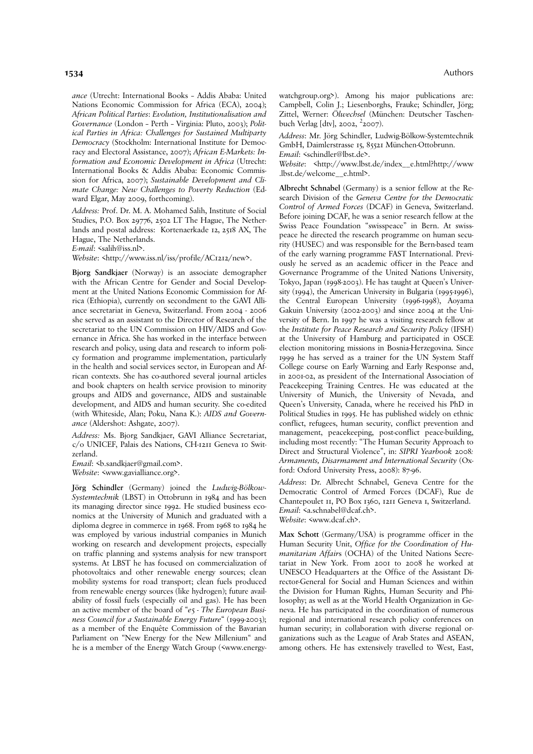*ance* (Utrecht: International Books – Addis Ababa: United Nations Economic Commission for Africa (ECA), 2004); *African Political Parties*: *Evolution, Institutionalisation and Governance* (London – Perth – Virginia: Pluto, 2003); *Political Parties in Africa: Challenges for Sustained Multiparty Democracy* (Stockholm: International Institute for Democracy and Electoral Assistance, 2007); *African E-Markets: Information and Economic Development in Africa* (Utrecht: International Books & Addis Ababa: Economic Commission for Africa, 2007); *Sustainable Development and Climate Change: New Challenges to Poverty Reduction* (Edward Elgar, May 2009, forthcoming).

*Address:* Prof. Dr. M. A. Mohamed Salih, Institute of Social Studies, P.O. Box 29776, 2502 LT The Hague, The Netherlands and postal address: Kortenaerkade 12, 2518 AX, The Hague, The Netherlands.

*E-mail*: <salih@iss.nl>.

*Website*: <http://www.iss.nl/iss/profile/AC1212/new>.

**Bjorg Sandkjaer** (Norway) is an associate demographer with the African Centre for Gender and Social Development at the United Nations Economic Commission for Africa (Ethiopia), currently on secondment to the GAVI Alliance secretariat in Geneva, Switzerland. From 2004 - 2006 she served as an assistant to the Director of Research of the secretariat to the UN Commission on HIV/AIDS and Governance in Africa. She has worked in the interface between research and policy, using data and research to inform policy formation and programme implementation, particularly in the health and social services sector, in European and African contexts. She has co-authored several journal articles and book chapters on health service provision to minority groups and AIDS and governance, AIDS and sustainable development, and AIDS and human security. She co-edited (with Whiteside, Alan; Poku, Nana K.): *AIDS and Governance* (Aldershot: Ashgate, 2007).

*Address:* Ms. Bjorg Sandkjaer, GAVI Alliance Secretariat, c/o UNICEF, Palais des Nations, CH-1211 Geneva 10 Switzerland.

*Email*: <br />b.sandkjaer@gmail.com>. *Website*: [<www.gavialliance.org](http://www.gavialliance.org/" \o "blocked::http://www.gavialliance.org/)>.

**Jörg Schindler** (Germany) joined the *Ludwig-Bölkow-Systemtechnik* (LBST) in Ottobrunn in 1984 and has been its managing director since 1992. He studied business economics at the University of Munich and graduated with a diploma degree in commerce in 1968. From 1968 to 1984 he was employed by various industrial companies in Munich working on research and development projects, especially on traffic planning and systems analysis for new transport systems. At LBST he has focused on commercialization of photovoltaics and other renewable energy sources; clean mobility systems for road transport; clean fuels produced from renewable energy sources (like hydrogen); future availability of fossil fuels (especially oil and gas). He has been an active member of the board of "*e*5 - *The European Business Council for a Sustainable Energy Future*" (1999-2003); as a member of the Enquête Commission of the Bavarian Parliament on "New Energy for the New Millenium" and he is a member of the Energy Watch Group (<[www.energy-](http://www.energywatchgroup.org" \o "blocked::http://www.energywatchgroup.org/) [watchgroup.org>](http://www.energywatchgroup.org" \o "blocked::http://www.energywatchgroup.org/)). Among his major publications are: Campbell, Colin J.; Liesenborghs, Frauke; Schindler, Jörg; Zittel, Werner: *Ölwechsel* (München: Deutscher Taschenbuch Verlag [dtv], 2002, <sup>2</sup>2007).

*Address*: Mr. Jörg Schindler, Ludwig-Bölkow-Systemtechnik GmbH, Daimlerstrasse 15, 85521 München-Ottobrunn. *Email*: [<schindler@lbst.de>.](mailto:schindler@lbst.de" \o "blocked::mailto:schindler@lbst.de)

*Website*: <http://www.lbst.de/index\_\_e.html?http://www .lbst.de/welcome\_\_e.html>.

**Albrecht Schnabel** (Germany) is a senior fellow at the Research Division of the *Geneva Centre for the Democratic Control of Armed Forces* (DCAF) in Geneva, Switzerland. Before joining DCAF, he was a senior research fellow at the Swiss Peace Foundation "swisspeace" in Bern. At swisspeace he directed the research programme on human security (HUSEC) and was responsible for the Bern-based team of the early warning programme FAST International. Previously he served as an academic officer in the Peace and Governance Programme of the United Nations University, Tokyo, Japan (1998-2003). He has taught at Queen's University (1994), the American University in Bulgaria (1995-1996), the Central European University (1996-1998), Aoyama Gakuin University (2002-2003) and since 2004 at the University of Bern. In 1997 he was a visiting research fellow at the *Institute for Peace Research and Security Policy* (IFSH) at the University of Hamburg and participated in OSCE election monitoring missions in Bosnia-Herzegovina. Since 1999 he has served as a trainer for the UN System Staff College course on Early Warning and Early Response and, in 2001-02, as president of the International Association of Peacekeeping Training Centres. He was educated at the University of Munich, the University of Nevada, and Queen's University, Canada, where he received his PhD in Political Studies in 1995. He has published widely on ethnic conflict, refugees, human security, conflict prevention and management, peacekeeping, post-conflict peace-building, including most recently: "The Human Security Approach to Direct and Structural Violence", in: *SIPRI Yearbook* 2008*: Armaments, Disarmament and International Security* (Oxford: Oxford University Press, 2008): 87-96.

*Address*: Dr. Albrecht Schnabel, Geneva Centre for the Democratic Control of Armed Forces (DCAF), Rue de Chantepoulet 11, PO Box 1360, 1211 Geneva 1, Switzerland. *Email*: <[a.schnabel@dcaf.ch](mailto:a.schnabel@dcaf.ch)>. *Website*: [<www.dcaf.ch>](http://www.dcaf.ch).

**Max Schott** (Germany/USA) is programme officer in the Human Security Unit, *Office for the Coordination of Humanitarian Affair*s (OCHA) of the United Nations Secretariat in New York. From 2001 to 2008 he worked at UNESCO Headquarters at the Office of the Assistant Director-General for Social and Human Sciences and within the Division for Human Rights, Human Security and Philosophy; as well as at the World Health Organization in Geneva. He has participated in the coordination of numerous regional and international research policy conferences on human security; in collaboration with diverse regional organizations such as the League of Arab States and ASEAN, among others. He has extensively travelled to West, East,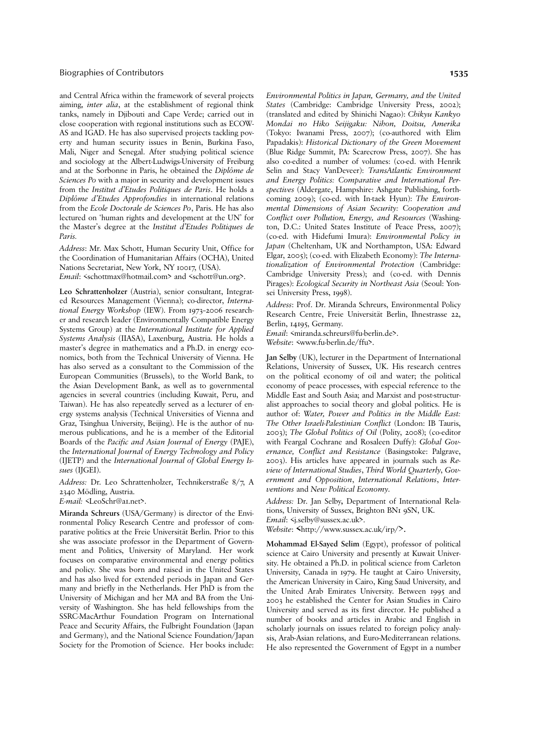and Central Africa within the framework of several projects aiming, *inter alia*, at the establishment of regional think tanks, namely in Djibouti and Cape Verde; carried out in close cooperation with regional institutions such as ECOW-AS and IGAD. He has also supervised projects tackling poverty and human security issues in Benin, Burkina Faso, Mali, Niger and Senegal. After studying political science and sociology at the Albert-Ludwigs-University of Freiburg and at the Sorbonne in Paris, he obtained the *Diplôme de Sciences Po* with a major in security and development issues from the *Institut d'Etudes Politiques de Paris*. He holds a *Diplôme d'Etudes Approfondies* in international relations from the *Ecole Doctorale de Sciences Po*, Paris. He has also lectured on 'human rights and development at the UN' for the Master's degree at the *Institut d'Etudes Politiques de Paris.*

*Address*: Mr. Max Schott, Human Security Unit, Office for the Coordination of Humanitarian Affairs (OCHA), United Nations Secretariat, New York, NY 10017, (USA). *Email*: <[schottmax@hotmail.com](mailto:schottmax@hotmail.com)> and [<schott@un.org>](mailto:m.schott@unesco.org).

**Leo Schrattenholzer** (Austria), senior consultant, Integrated Resources Management (Vienna); co-director, *International Energy Workshop* (IEW). From 1973–2006 researcher and research leader (Environmentally Compatible Energy Systems Group) at the *International Institute for Applied Systems Analysis* (IIASA), Laxenburg, Austria. He holds a master's degree in mathematics and a Ph.D. in energy economics, both from the Technical University of Vienna. He has also served as a consultant to the Commission of the European Communities (Brussels), to the World Bank, to the Asian Development Bank, as well as to governmental agencies in several countries (including Kuwait, Peru, and Taiwan). He has also repeatedly served as a lecturer of energy systems analysis (Technical Universities of Vienna and Graz, Tsinghua University, Beijing). He is the author of numerous publications, and he is a member of the Editorial Boards of the *Pacific and Asian Journal of Energy* (PAJE), the *International Journal of Energy Technology and Policy* (IJETP) and the *International Journal of Global Energy Issues* (IJGEI).

*Address:* Dr. Leo Schrattenholzer, Technikerstraße 8/7, A 2340 Mödling, Austria.

*E-mail:* <LeoSchr@a1.net>.

**Miranda Schreurs** (USA/Germany) is director of the Environmental Policy Research Centre and professor of comparative politics at the Freie Universität Berlin. Prior to this she was associate professor in the Department of Government and Politics, University of Maryland. Her work focuses on comparative environmental and energy politics and policy. She was born and raised in the United States and has also lived for extended periods in Japan and Germany and briefly in the Netherlands. Her PhD is from the University of Michigan and her MA and BA from the University of Washington. She has held fellowships from the SSRC-MacArthur Foundation Program on International Peace and Security Affairs, the Fulbright Foundation (Japan and Germany), and the National Science Foundation/Japan Society for the Promotion of Science. Her books include:

*Environmental Politics in Japan, Germany, and the United States* (Cambridge: Cambridge University Press, 2002); (translated and edited by Shinichi Nagao): *Chikyu Kankyo Mondai no Hiko Seijigaku: Nihon, Doitsu, Amerika* (Tokyo: Iwanami Press, 2007); (co-authored with Elim Papadakis): *Historical Dictionary of the Green Movement* (Blue Ridge Summit, PA: Scarecrow Press, 2007). She has also co-edited a number of volumes: (co-ed. with Henrik Selin and Stacy VanDeveer): *TransAtlantic Environment and Energy Politics: Comparative and International Perspectives* (Aldergate, Hampshire: Ashgate Publishing, forthcoming 2009); (co-ed. with In-taek Hyun): *The Environmental Dimensions of Asian Security: Cooperation and Conflict over Pollution, Energy, and Resources* (Washington, D.C.: United States Institute of Peace Press, 2007); (co-ed. with Hidefumi Imura): *Environmental Policy in Japan* (Cheltenham, UK and Northampton, USA: Edward Elgar, 2005); (co-ed. with Elizabeth Economy): *The Internationalization of Environmental Protection* (Cambridge: Cambridge University Press); and (co-ed. with Dennis Pirages): *Ecological Security in Northeast Asia* (Seoul: Yonsei University Press, 1998).

*Address*: Prof. Dr. Miranda Schreurs, Environmental Policy Research Centre, Freie Universität Berlin, Ihnestrasse 22, Berlin, 14195, Germany.

*Email*[: <miranda.schreurs@fu-berlin.de>.](mailto:miranda.schreurs@fu-berlin.de) *Website*[: <www.fu-berlin.de/ffu>.](http://www.fu-berlin.de/ffu)

**Jan Selby** (UK), lecturer in the Department of International Relations, University of Sussex, UK. His research centres on the political economy of oil and water; the political economy of peace processes, with especial reference to the Middle East and South Asia; and Marxist and post-structuralist approaches to social theory and global politics. He is author of: *Water, Power and Politics in the Middle East: The Other Israeli-Palestinian Conflict* (London: IB Tauris, 2003); *The Global Politics of Oil* (Polity, 2008); (co-editor with Feargal Cochrane and Rosaleen Duffy): *Global Governance, Conflict and Resistance* (Basingstoke: Palgrave, 2003). His articles have appeared in journals such as *Review of International Studies*, *Third World Quarterly*, *Government and Opposition*, *International Relations*, *Interventions* and *New Political Economy*.

*Address:* Dr. Jan Selby**,** Department of International Relations, University of Sussex, Brighton BN1 9SN, UK. *Email*: <j.selby@sussex.ac.uk>. *Website*: **<**http://www.sussex.ac.uk/irp/>.

**Mohammad El-Sayed Selim** (Egypt), professor of political science at Cairo University and presently at Kuwait University. He obtained a Ph.D. in political science from Carleton University, Canada in 1979. He taught at Cairo University, the American University in Cairo, King Saud University, and the United Arab Emirates University. Between 1995 and 2003 he established the Center for Asian Studies in Cairo University and served as its first director. He published a number of books and articles in Arabic and English in scholarly journals on issues related to foreign policy analysis, Arab-Asian relations, and Euro-Mediterranean relations. He also represented the Government of Egypt in a number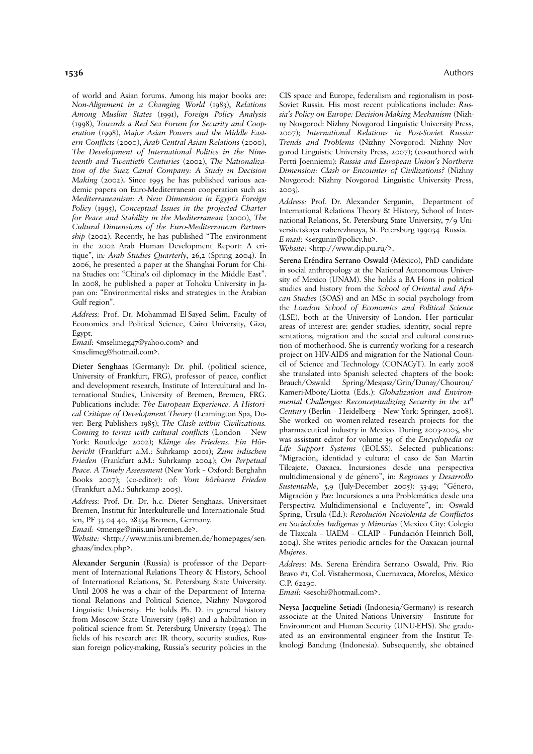of world and Asian forums. Among his major books are: *Non-Alignment in a Changing World* (1983), *Relations Among Muslim States* (1991), *Foreign Policy Analysis* (1998), *Towards a Red Sea Forum for Security and Cooperation* (1998), *Major Asian Powers and the Middle Eastern Conflicts* (2000), *Arab-Central Asian Relations* (2000), *The Development of International Politics in the Nineteenth and Twentieth Centuries* (2002), *The Nationalization of the Suez Canal Company: A Study in Decision Making* (2002)**.** Since 1995 he has published various academic papers on Euro-Mediterranean cooperation such as: *Mediterraneanism: A New Dimension in Egypt's Foreign Policy* (1995), *Conceptual Issues in the projected Charter for Peace and Stability in the Mediterranean* (2000), *The Cultural Dimensions of the Euro-Mediterranean Partnership* (2002). Recently, he has published "The environment in the 2002 Arab Human Development Report: A critique", in*: Arab Studies Quarterly*, 26,2 (Spring 2004). In 2006, he presented a paper at the Shanghai Forum for China Studies on: "China's oil diplomacy in the Middle East". In 2008, he published a paper at Tohoku University in Japan on: "Environmental risks and strategies in the Arabian Gulf region".

*Address:* Prof. Dr. Mohammad El-Sayed Selim, Faculty of Economics and Political Science, Cairo University, Giza, Egypt.

*Email*: **<**mselimeg47@yahoo.com> and <mselimeg@hotmail.com>.

**Dieter Senghaas** (Germany): Dr. phil. (political science, University of Frankfurt, FRG), professor of peace, conflict and development research, Institute of Intercultural and International Studies, University of Bremen, Bremen, FRG. Publications include: *The European Experience. A Historical Critique of Development Theory* (Leamington Spa, Dover: Berg Publishers 1985); *The Clash within Civilizations. Coming to terms with cultural conflicts* (London – New York: Routledge 2002); *Klänge des Friedens. Ein Hörbericht* (Frankfurt a.M.: Suhrkamp 2001); *Zum irdischen Frieden* (Frankfurt a.M.: Suhrkamp 2004); *On Perpetual Peace. A Timely Assessment* (New York – Oxford: Berghahn Books 2007); (co-editor): of: *Vom hörbaren Frieden* (Frankfurt a.M.: Suhrkamp 2005).

*Address:* Prof. Dr. Dr. h.c. Dieter Senghaas, Universitaet Bremen, Institut für Interkulturelle und Internationale Studien, PF 33 04 40, 28334 Bremen, Germany.

*Email:* <tmenge@iniis.uni-bremen.de>.

*Website:* <http://www.iniis.uni-bremen.de/homepages/senghaas/index.php>.

**Alexander Sergunin** (Russia) is professor of the Department of International Relations Theory & History, School of International Relations, St. Petersburg State University. Until 2008 he was a chair of the Department of International Relations and Political Science, Nizhny Novgorod Linguistic University. He holds Ph. D. in general history from Moscow State University (1985) and a habilitation in political science from St. Petersburg University (1994). The fields of his research are: IR theory, security studies, Russian foreign policy-making, Russia's security policies in the

CIS space and Europe, federalism and regionalism in post-Soviet Russia. His most recent publications include: *Russia's Policy on Europe: Decision-Making Mechanism* (Nizhny Novgorod: Nizhny Novgorod Linguistic University Press, 2007); *International Relations in Post-Soviet Russia: Trends and Problems* (Nizhny Novgorod: Nizhny Novgorod Linguistic University Press, 2007); (co-authored with Pertti Joenniemi): *Russia and European Union's Northern Dimension: Clash or Encounter of Civilizations?* (Nizhny Novgorod: Nizhny Novgorod Linguistic University Press, 2003).

*Address:* Prof. Dr. Alexander Sergunin, Department of International Relations Theory & History, School of International Relations, St. Petersburg State University, 7/9 Universitetskaya naberezhnaya, St. Petersburg 199034 Russia. *E-mail*: <sergunin@policy.hu>.

*Website*: <http://www.dip.pu.ru/>.

**Serena Eréndira Serrano Oswald** (México), PhD candidate in social anthropology at the National Autonomous University of Mexico (UNAM). She holds a BA Hons in political studies and history from the *School of Oriental and African Studies* (SOAS) and an MSc in social psychology from the *London School of Economics and Political Science* (LSE), both at the University of London. Her particular areas of interest are: gender studies, identity, social representations, migration and the social and cultural construction of motherhood. She is currently working for a research project on HIV-AIDS and migration for the National Council of Science and Technology (CONACyT). In early 2008 she translated into Spanish selected chapters of the book: Brauch/Oswald Spring/Mesjasz/Grin/Dunay/Chourou/ Kameri-Mbote/Liotta (Eds.): *Globalization and Environmental Challenges: Reconceptualizing Security in the* 21*st Century* (Berlin – Heidelberg – New York: Springer, 2008). She worked on women-related research projects for the pharmaceutical industry in Mexico. During 2003-2005, she was assistant editor for volume 39 of the *Encyclopedia on Life Support Systems* (EOLSS). Selected publications: "Migración, identidad y cultura: el caso de San Martín Tilcajete, Oaxaca. Incursiones desde una perspectiva multidimensional y de género", in: *Regiones y Desarrollo Sustentable*, 5,9 (July-December 2005): 33-49; "Género, Migración y Paz: Incursiones a una Problemática desde una Perspectiva Multidimensional e Incluyente", in: Oswald Spring, Úrsula (Ed.): *Resolución Noviolenta de Conflictos en Sociedades Indígenas y Minorías* (Mexico City: Colegio de Tlaxcala – UAEM – CLAIP – Fundación Heinrich Böll, 2004). She writes periodic articles for the Oaxacan journal *Mujeres*.

*Address:* Ms. Serena Eréndira Serrano Oswald, Priv. Rio Bravo #1, Col. Vistahermosa, Cuernavaca, Morelos, México C.P. 62290*.*

*Email*: <sesohi@hotmail.com>.

**Neysa Jacqueline Setiadi** (Indonesia/Germany) is research associate at the United Nations University – Institute for Environment and Human Security (UNU-EHS). She graduated as an environmental engineer from the Institut Teknologi Bandung (Indonesia). Subsequently, she obtained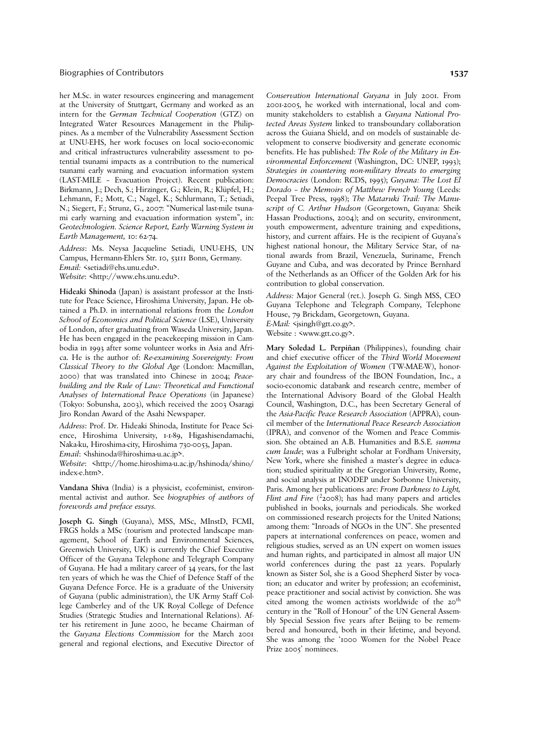her M.Sc. in water resources engineering and management at the University of Stuttgart, Germany and worked as an intern for the *German Technical Cooperation* (GTZ) on Integrated Water Resources Management in the Philippines. As a member of the Vulnerability Assessment Section at UNU-EHS, her work focuses on local socio-economic and critical infrastructures vulnerability assessment to potential tsunami impacts as a contribution to the numerical tsunami early warning and evacuation information system (LAST-MILE – Evacuation Project). Recent publication: Birkmann, J.; Dech, S.; Hirzinger, G.; Klein, R.; Klüpfel, H.; Lehmann, F.; Mott, C.; Nagel, K.; Schlurmann, T.; Setiadi, N.; Siegert, F.; Strunz, G., 2007: "Numerical last-mile tsunami early warning and evacuation information system", in: *Geotechnologien. Science Report, Early Warning System in Earth Management,* 10: 62-74.

*Address*: Ms. Neysa Jacqueline Setiadi, UNU-EHS, UN Campus, Hermann-Ehlers Str. 10, 53111 Bonn, Germany. *Email:* <[setiadi@ehs.unu.edu](mailto:setiadi@ehs.unu.edu)>. *Website*: <[http://www.ehs.unu.edu>](http://www.ehs.unu.edu).

**Hideaki Shinoda** (Japan) is assistant professor at the Institute for Peace Science, Hiroshima University, Japan. He obtained a Ph.D. in international relations from the *London School of Economics and Political Science* (LSE), University of London, after graduating from Waseda University, Japan. He has been engaged in the peacekeeping mission in Cambodia in 1993 after some volunteer works in Asia and Africa. He is the author of: *Re-examining Sovereignty: From Classical Theory to the Global Age* (London: Macmillan, 2000) that was translated into Chinese in 2004; *Peacebuilding and the Rule of Law: Theoretical and Functional Analyses of International Peace Operations* (in Japanese) (Tokyo: Sobunsha, 2003), which received the 2003 Osaragi Jiro Rondan Award of the Asahi Newspaper.

*Address*: Prof. Dr. Hideaki Shinoda, Institute for Peace Science, Hiroshima University, 1-1-89, Higashisendamachi, Naka-ku, Hiroshima-city, Hiroshima 730-0053, Japan.

*Email*: <hshinoda@hiroshima-u.ac.jp>.

*Website*: [<http://home.hiroshima-u.ac.jp/hshinoda/shino/](http://home.hiroshima-u.ac.jp/hshinoda/shino/index-e.htm" \o "blocked::http://home.hiroshima-u.ac.jp/hshinoda/shino/index-e.htm) [index-e.htm](http://home.hiroshima-u.ac.jp/hshinoda/shino/index-e.htm" \o "blocked::http://home.hiroshima-u.ac.jp/hshinoda/shino/index-e.htm)>.

**Vandana Shiva** (India) is a physicist, ecofeminist, environmental activist and author. See *biographies of authors of forewords and preface essays.*

**Joseph G. Singh** (Guyana), MSS, MSc, MInstD, FCMI, FRGS holds a MSc (tourism and protected landscape management, School of Earth and Environmental Sciences, Greenwich University, UK) is currently the Chief Executive Officer of the Guyana Telephone and Telegraph Company of Guyana. He had a military career of 34 years, for the last ten years of which he was the Chief of Defence Staff of the Guyana Defence Force. He is a graduate of the University of Guyana (public administration), the UK Army Staff College Camberley and of the UK Royal College of Defence Studies (Strategic Studies and International Relations). After his retirement in June 2000, he became Chairman of the *Guyana Elections Commission* for the March 2001 general and regional elections, and Executive Director of *Conservation International Guyana* in July 2001. From 2001-2005, he worked with international, local and community stakeholders to establish a *Guyana National Protected Areas System* linked to transboundary collaboration across the Guiana Shield, and on models of sustainable development to conserve biodiversity and generate economic benefits. He has published: *The Role of the Military in Environmental Enforcement* (Washington, DC: UNEP, 1993); *Strategies in countering non-military threats to emerging Democracies* (London: RCDS, 1995); *Guyana: The Lost El Dorado – the Memoirs of Matthew French Young* (Leeds: Peepal Tree Press, 1998); *The Mataruki Trail: The Manuscript of C. Arthur Hudson* (Georgetown, Guyana: Sheik Hassan Productions, 2004); and on security, environment, youth empowerment, adventure training and expeditions, history, and current affairs. He is the recipient of Guyana's highest national honour, the Military Service Star, of national awards from Brazil, Venezuela, Suriname, French Guyane and Cuba, and was decorated by Prince Bernhard of the Netherlands as an Officer of the Golden Ark for his contribution to global conservation.

*Address:* Major General (ret.). Joseph G. Singh MSS, CEO Guyana Telephone and Telegraph Company, Telephone House, 79 Brickdam, Georgetown, Guyana.

*E-Mail:*  $\langle$ isingh@gtt.co.gy>.

[Website : <www.gtt.co.gy>.](mailto:jsingh@gtt.co.gy" \o "blocked::mailto:jsingh@gtt.co.gy)

**Mary Soledad L. Perpiñan** (Philippines), founding chair and chief executive officer of the *Third World Movement Against the Exploitation of Women* (TW-MAE-W), honorary chair and foundress of the IBON Foundation, Inc., a socio-economic databank and research centre, member of the International Advisory Board of the Global Health Council, Washington, D.C., has been Secretary General of the *Asia-Pacific Peace Research Association* (APPRA), council member of the *International Peace Research Association* (IPRA), and convenor of the Women and Peace Commission. She obtained an A.B. Humanities and B.S.E*. summa cum laude*; was a Fulbright scholar at Fordham University, New York, where she finished a master's degree in education; studied spirituality at the Gregorian University, Rome, and social analysis at INODEP under Sorbonne University, Paris. Among her publications are: *From Darkness to Light, Flint and Fire* ( $2008$ ); has had many papers and articles published in books, journals and periodicals. She worked on commissioned research projects for the United Nations; among them: "Inroads of NGOs in the UN". She presented papers at international conferences on peace, women and religious studies, served as an UN expert on women issues and human rights, and participated in almost all major UN world conferences during the past 22 years. Popularly known as Sister Sol, she is a Good Shepherd Sister by vocation; an educator and writer by profession; an ecofeminist, peace practitioner and social activist by conviction. She was cited among the women activists worldwide of the 20<sup>th</sup> century in the "Roll of Honour" of the UN General Assembly Special Session five years after Beijing to be remembered and honoured, both in their lifetime, and beyond. She was among the '1000 Women for the Nobel Peace Prize 2005' nominees.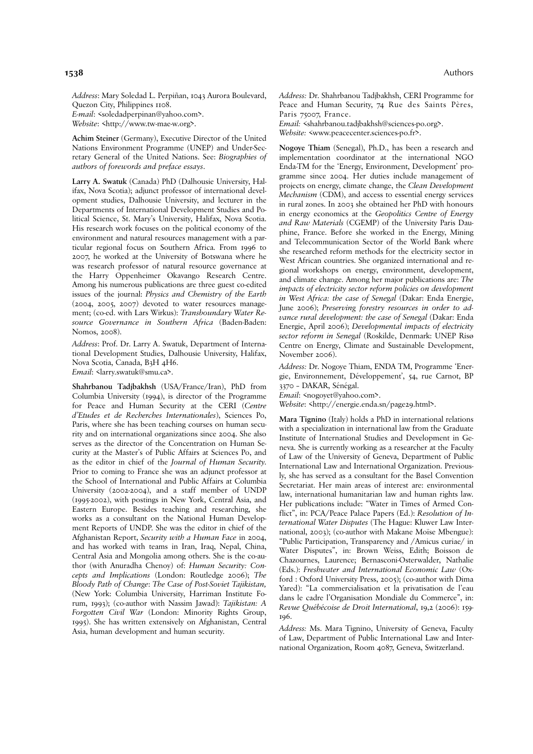*Address*: Mary Soledad L. Perpiñan, 1043 Aurora Boulevard, Quezon City, Philippines 1108. *E-mail*: <soledadperpinan@yahoo.com>. *Website*: <http://www.tw-mae-w.org>.

**Achim Steiner** (Germany), Executive Director of the United Nations Environment Programme (UNEP) and Under-Secretary General of the United Nations. See: *Biographies of authors of forewords and preface essays*.

**Larry A. Swatuk** (Canada) PhD (Dalhousie University, Halifax, Nova Scotia); adjunct professor of international development studies, Dalhousie University, and lecturer in the Departments of International Development Studies and Political Science, St. Mary's University, Halifax, Nova Scotia. His research work focuses on the political economy of the environment and natural resources management with a particular regional focus on Southern Africa. From 1996 to 2007, he worked at the University of Botswana where he was research professor of natural resource governance at the Harry Oppenheimer Okavango Research Centre. Among his numerous publications are three guest co-edited issues of the journal: *Physics and Chemistry of the Earth* (2004, 2005, 2007) devoted to water resources management; (co-ed. with Lars Wirkus): *Transboundary Water Resource Governance in Southern Africa* (Baden-Baden: Nomos, 2008).

*Address*: Prof. Dr. Larry A. Swatuk, Department of International Development Studies, Dalhousie University, Halifax, Nova Scotia, Canada, B3H 4H6. *Email*: <[larry.swatuk@smu.ca>](mailto:larry.swatuk@smu.ca).

**Shahrbanou Tadjbakhsh** (USA/France/Iran), PhD from Columbia University (1994), is director of the Programme for Peace and Human Security at the CERI (*Centre d'Etudes et de Recherches Internationales*), Sciences Po, Paris, where she has been teaching courses on human security and on international organizations since 2004. She also serves as the director of the Concentration on Human Security at the Master's of Public Affairs at Sciences Po, and as the editor in chief of the *Journal of Human Security*. Prior to coming to France she was an adjunct professor at the School of International and Public Affairs at Columbia University (2002-2004), and a staff member of UNDP (1995-2002), with postings in New York, Central Asia, and Eastern Europe. Besides teaching and researching, she works as a consultant on the National Human Development Reports of UNDP. She was the editor in chief of the Afghanistan Report, *Security with a Human Face* in 2004, and has worked with teams in Iran, Iraq, Nepal, China, Central Asia and Mongolia among others. She is the co-author (with Anuradha Chenoy) of: *Human Security: Concepts and Implications* (London: Routledge 2006); *The Bloody Path of Change*: *The Case of Post-Soviet Tajikistan,* (New York: Columbia University, Harriman Institute Forum, 1993); (co-author with Nassim Jawad): *Tajikistan: A Forgotten Civil War* (London: Minority Rights Group, 1995). She has written extensively on Afghanistan, Central Asia, human development and human security.

*Address:* Dr. Shahrbanou Tadjbakhsh, CERI Programme for Peace and Human Security, 74 Rue des Saints Pères, Paris 75007, France.

*Email:* <shahrbanou.tadjbakhsh@sciences-po.org>.

*Website:* <www.peacecenter.sciences-po.fr>.

**Nogoye Thiam** (Senegal), Ph.D., has been a research and implementation coordinator at the international NGO Enda-TM for the 'Energy, Environment, Development' programme since 2004. Her duties include management of projects on energy, climate change, the *Clean Development Mechanism* (CDM), and access to essential energy services in rural zones. In 2003 she obtained her PhD with honours in energy economics at the *Geopolitics Centre of Energy and Raw Materials* (CGEMP) of the University Paris Dauphine, France. Before she worked in the Energy, Mining and Telecommunication Sector of the World Bank where she researched reform methods for the electricity sector in West African countries. She organized international and regional workshops on energy, environment, development, and climate change. Among her major publications are: *The impacts of electricity sector reform policies on development in West Africa: the case of Senegal* (Dakar: Enda Energie, June 2006); *Preserving forestry resources in order to advance rural development: the case of Senegal* (Dakar: Enda Energie, April 2006); *Developmental impacts of electricity sector reform in Senegal* (Roskilde, Denmark: UNEP Risø Centre on Energy, Climate and Sustainable Development, November 2006).

*Address:* Dr. Nogoye Thiam, ENDA TM, Programme 'Energie, Environnement, Développement', 54, rue Carnot, BP 3370 – DAKAR, Sénégal.

*Email*: <[nogoyet@yahoo.com](mailto:nogoyet@yahoo.com)>.

*Website*: <http://energie.enda.sn/page29.html>.

**Mara Tignino** (Italy) holds a PhD in international relations with a specialization in international law from the Graduate Institute of International Studies and Development in Geneva. She is currently working as a researcher at the Faculty of Law of the University of Geneva, Department of Public International Law and International Organization. Previously, she has served as a consultant for the Basel Convention Secretariat. Her main areas of interest are: environmental law, international humanitarian law and human rights law. Her publications include: "Water in Times of Armed Conflict", in: PCA/Peace Palace Papers (Ed.): *Resolution of International Water Disputes* (The Hague: Kluwer Law International, 2003); (co-author with Makane Moïse Mbengue): "Public Participation, Transparency and /Amicus curiae/ in Water Disputes", in: Brown Weiss, Edith; Boisson de Chazournes, Laurence; Bernasconi-Osterwalder, Nathalie (Eds.): *Freshwater and International Economic Law* (Oxford : Oxford University Press, 2005); (co-author with Dima Yared): "La commercialisation et la privatisation de l'eau dans le cadre l'Organisation Mondiale du Commerce", in: *Revue Québécoise de Droit International*, 19,2 (2006): 159- 196.

*Address:* Ms. Mara Tignino, University of Geneva, Faculty of Law, Department of Public International Law and International Organization, Room 4087, Geneva, Switzerland.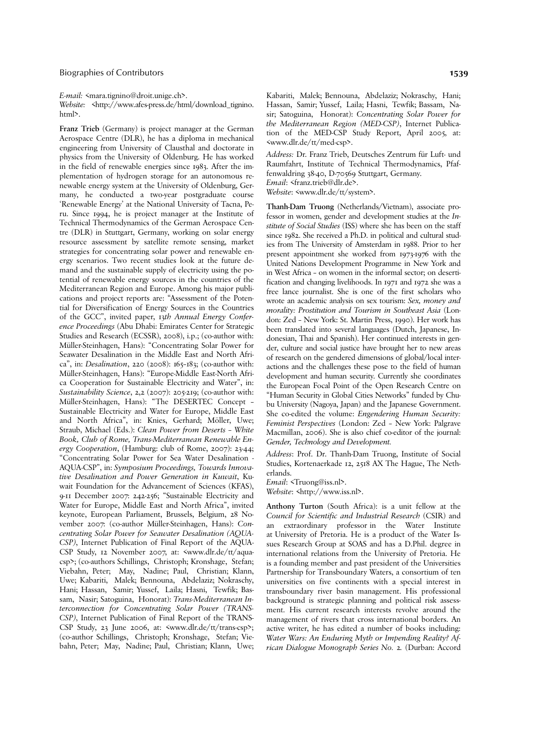*E-mail:* <[mara.tignino@droit.unige.ch>](mailto:mara.tignino@droit.unige.ch).

*Website:* <http://www.afes-press.de/html/download\_tignino. html>.

**Franz Trieb** (Germany) is project manager at the German Aerospace Centre (DLR), he has a diploma in mechanical engineering from University of Clausthal and doctorate in physics from the University of Oldenburg. He has worked in the field of renewable energies since 1983. After the implementation of hydrogen storage for an autonomous renewable energy system at the University of Oldenburg, Germany, he conducted a two-year postgraduate course 'Renewable Energy' at the National University of Tacna, Peru. Since 1994, he is project manager at the Institute of Technical Thermodynamics of the German Aerospace Centre (DLR) in Stuttgart, Germany, working on solar energy resource assessment by satellite remote sensing, market strategies for concentrating solar power and renewable energy scenarios. Two recent studies look at the future demand and the sustainable supply of electricity using the potential of renewable energy sources in the countries of the Mediterranean Region and Europe. Among his major publications and project reports are: "Assessment of the Potential for Diversification of Energy Sources in the Countries of the GCC", invited paper, 13*th Annual Energy Conference Proceedings* (Abu Dhabi: Emirates Center for Strategic Studies and Research (ECSSR), 2008), i.p.; (co-author with: Müller-Steinhagen, Hans): "Concentrating Solar Power for Seawater Desalination in the Middle East and North Africa", in: *Desalination*, 220 (2008): 165–183; (co-author with: Müller-Steinhagen, Hans): "Europe-Middle East-North Africa Cooperation for Sustainable Electricity and Water", in: *Sustainability Science*, 2,2 (2007): 205-219; (co-author with: Müller-Steinhagen, Hans): "The DESERTEC Concept – Sustainable Electricity and Water for Europe, Middle East and North Africa", in: Knies, Gerhard; Möller, Uwe; Straub, Michael (Eds.): *Clean Power from Deserts – White Book, Club of Rome, Trans-Mediterranean Renewable Energy Cooperation*, (Hamburg: club of Rome, 2007): 23-44; "Concentrating Solar Power for Sea Water Desalination - AQUA-CSP", in: *Symposium Proceedings, Towards Innovative Desalination and Power Generation in Kuwait*, Kuwait Foundation for the Advancement of Sciences (KFAS), 9-11 December 2007: 242-256; "Sustainable Electricity and Water for Europe, Middle East and North Africa", invited keynote, European Parliament, Brussels, Belgium, 28 November 2007: (co-author Müller-Steinhagen, Hans): *Concentrating Solar Power for Seawater Desalination (AQUA-CSP)*, Internet Publication of Final Report of the AQUA-CSP Study, 12 November 2007, at: <www.dlr.de/tt/aquacsp>; (co-authors Schillings, Christoph; Kronshage, Stefan; Viebahn, Peter; May, Nadine; Paul, Christian; Klann, Uwe; Kabariti, Malek; Bennouna, Abdelaziz; Nokraschy, Hani; Hassan, Samir; Yussef, Laila; Hasni, Tewfik; Bassam, Nasir; Satoguina, Honorat): *Trans-Mediterranean Interconnection for Concentrating Solar Power (TRANS-CSP)*, Internet Publication of Final Report of the TRANS-CSP Study, 23 June 2006, at: <www.dlr.de/tt/trans-csp>; (co-author Schillings, Christoph; Kronshage, Stefan; Viebahn, Peter; May, Nadine; Paul, Christian; Klann, Uwe; Kabariti, Malek; Bennouna, Abdelaziz; Nokraschy, Hani; Hassan, Samir; Yussef, Laila; Hasni, Tewfik; Bassam, Nasir; Satoguina, Honorat): *Concentrating Solar Power for the Mediterranean Region (MED-CSP)*, Internet Publication of the MED-CSP Study Report, April 2005, at: <www.dlr.de/tt/med-csp>.

*Address:* Dr. Franz Trieb, Deutsches Zentrum für Luft- und Raumfahrt, Institute of Technical Thermodynamics, Pfaffenwaldring 38-40, D-70569 Stuttgart, Germany. *Email*: <franz.trieb@dlr.de>. *Website*: <www.dlr.de/tt/system>.

**Thanh-Dam Truong** (Netherlands/Vietnam), associate professor in women, gender and development studies at the *Institute of Social Studies* (ISS) where she has been on the staff since 1982. She received a Ph.D. in political and cultural studies from The University of Amsterdam in 1988. Prior to her present appointment she worked from 1973-1976 with the United Nations Development Programme in New York and in West Africa – on women in the informal sector; on desertification and changing livelihoods. In 1971 and 1972 she was a free lance journalist. She is one of the first scholars who wrote an academic analysis on sex tourism: *Sex, money and morality: Prostitution and Tourism in Southeast Asia* (London: Zed – New York: St. Martin Press, 1990). Her work has been translated into several languages (Dutch, Japanese, Indonesian, Thai and Spanish). Her continued interests in gender, culture and social justice have brought her to new areas of research on the gendered dimensions of global/local interactions and the challenges these pose to the field of human development and human security. Currently she coordinates the European Focal Point of the Open Research Centre on "Human Security in Global Cities Networks" funded by Chubu University (Nagoya, Japan) and the Japanese Government. She co-edited the volume: *Engendering Human Security: Feminist Perspectives* (London: Zed – New York: Palgrave Macmillan, 2006). She is also chief co-editor of the journal: *Gender, Technology and Development.*

*Address*: Prof. Dr. Thanh-Dam Truong, Institute of Social Studies, Kortenaerkade 12, 2518 AX The Hague, The Netherlands.

*Email*: <Truong@iss.nl>.

*Website*: <http://www.iss.nl>.

**Anthony Turton** (South Africa): is a unit fellow at the *Council for Scientific and Industrial Research* (CSIR) and an extraordinary professor in the Water Institute at University of Pretoria. He is a product of the Water Issues Research Group at SOAS and has a D.Phil. degree in international relations from the University of Pretoria. He is a founding member and past president of the Universities Partnership for Transboundary Waters, a consortium of ten universities on five continents with a special interest in transboundary river basin management. His professional background is strategic planning and political risk assessment. His current research interests revolve around the management of rivers that cross international borders. An active writer, he has edited a number of books including: *Water Wars: An Enduring Myth or Impending Reality? African Dialogue Monograph Series No.* 2*.* (Durban: Accord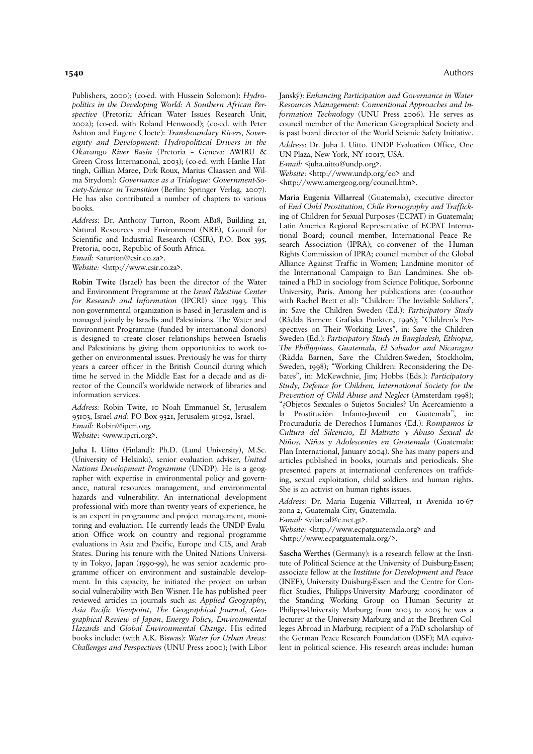Publishers, 2000); (co-ed. with Hussein Solomon): *Hydropolitics in the Developing World: A Southern African Perspective* (Pretoria: African Water Issues Research Unit, 2002); (co-ed. with Roland Henwood); (co-ed. with Peter Ashton and Eugene Cloete): *Transboundary Rivers, Sovereignty and Development: Hydropolitical Drivers in the Okavango River Basin* (Pretoria – Geneva: AWIRU & Green Cross International, 2003); (co-ed. with Hanlie Hattingh, Gillian Maree, Dirk Roux, Marius Claassen and Wilma Strydom): *Governance as a Trialogue: Government-Society-Science in Transition* (Berlin: Springer Verlag, 2007). He has also contributed a number of chapters to various books.

*Address*: Dr. Anthony Turton, Room AB18, Building 21, Natural Resources and Environment (NRE), Council for Scientific and Industrial Research (CSIR), P.O. Box 395, Pretoria, 0001, Republic of South Africa.

*Email:* <[aturton@csir.co.za](mailto:aturton@csir.co.za)>.

*Website:* [<http://www.csir.co.za](http://www.csir.co.za" \o "blocked::http://www.csir.co.za/)>.

**Robin Twite** (Israel) has been the director of the Water and Environment Programme at the *Israel Palestine Center for Research and Information* (IPCRI) since 1993. This non-governmental organization is based in Jerusalem and is managed jointly by Israelis and Palestinians. The Water and Environment Programme (funded by international donors) is designed to create closer relationships between Israelis and Palestinians by giving them opportunities to work together on environmental issues. Previously he was for thirty years a career officer in the British Council during which time he served in the Middle East for a decade and as director of the Council's worldwide network of libraries and information services.

*Address:* Robin Twite, 10 Noah Emmanuel St, Jerusalem 95103, Israel *and*: PO Box 9321, Jerusalem 91092, Israel. *Email:* [Robin@ipcri.org](mailto:Robin@ipcri.org). *Website*[: <www.ipcri.org>.](http://www.ipcri.org)

**Juha I. Uitto** (Finland): Ph.D. (Lund University), M.Sc. (University of Helsinki), senior evaluation adviser, *United Nations Development Programme* (UNDP). He is a geographer with expertise in environmental policy and governance, natural resources management, and environmental hazards and vulnerability. An international development professional with more than twenty years of experience, he is an expert in programme and project management, monitoring and evaluation. He currently leads the UNDP Evaluation Office work on country and regional programme evaluations in Asia and Pacific, Europe and CIS, and Arab States. During his tenure with the United Nations University in Tokyo, Japan (1990-99), he was senior academic programme officer on environment and sustainable development. In this capacity, he initiated the project on urban social vulnerability with Ben Wisner. He has published peer reviewed articles in journals such as: *Applied Geography*, *Asia Pacific Viewpoint*, *The Geographical Journal*, *Geographical Review of Japan*, *Energy Policy, Environmental Hazards* and *Global Environmental Change*. His edited books include: (with A.K. Biswas): *Water for Urban Areas: Challenges and Perspectives* (UNU Press 2000); (with Libor

Janský): *Enhancing Participation and Governance in Water Resources Management: Conventional Approaches and Information Technology* (UNU Press 2006). He serves as council member of the American Geographical Society and is past board director of the World Seismic Safety Initiative.

*Address*: Dr. Juha I. Uitto. UNDP Evaluation Office, One UN Plaza, New York, NY 10017, USA. *E-mail:*  $\langle$ [juha.uitto@undp.org](mailto:juha.uitto@undp.org)>. *Website*: [<http://www.undp.org/eo>](http://www.undp.org/eo) and

[<http://www.amergeog.org/council.htm>](http://www.amergeog.org/council.htm).

**Maria Eugenia Villarreal** (Guatemala), executive director of *End Child Prostitution, Chile Pornography and Traffick*ing of Children for Sexual Purposes (ECPAT) in Guatemala; Latin America Regional Representative of ECPAT International Board; council member, International Peace Research Association (IPRA); co-convener of the Human Rights Commission of IPRA; council member of the Global Alliance Against Traffic in Women; Landmine monitor of the International Campaign to Ban Landmines. She obtained a PhD in sociology from Science Politique, Sorbonne University, Paris. Among her publications are: (co-author with Rachel Brett et al): "Children: The Invisible Soldiers", in: Save the Children Sweden (Ed.): *Participatory Study* (Rädda Barnen: Grafiska Punkten, 1996); "Children's Perspectives on Their Working Lives", in: Save the Children Sweden (Ed.): *Participatory Study in Bangladesh, Ethiopia, The Phillippines, Guatemala, El Salvador and Nicaragua* (Rädda Barnen, Save the Children-Sweden, Stockholm, Sweden, 1998); "Working Children: Reconsidering the Debates", in: McKewchnie, Jim; Hobbs (Eds.): *Participatory Study, Defence for Children, International Society for the Prevention of Child Abuse and Neglect* (Amsterdam 1998); "¿Objetos Sexuales o Sujetos Sociales? Un Acercamiento a la Prostitución Infanto-Juvenil en Guatemala", in: Procuraduría de Derechos Humanos (Ed.): *Rompamos la Cultura del Silcencio, El Maltrato y Abuso Sexual de Niños, Niñas y Adolescentes en Guatemala* (Guatemala: Plan International, January 2004). She has many papers and articles published in books, journals and periodicals. She presented papers at international conferences on trafficking, sexual exploitation, child soldiers and human rights. She is an activist on human rights issues.

*Address:* Dr. Maria Eugenia Villarreal, 11 Avenida 10-67 zona 2, Guatemala City, Guatemala.

*E-mail:* <vilareal@c.net.gt>.

*Website:* [<http://www.ecpatguatemala.org> and](http://www.ecpatguatemala.org)  [<h](http://www.ecpatguatemala.org)[ttp://www.ecpatguatemala.org/>.](http://www.ecpatguatemala.org/) 

**Sascha Werthes** (Germany): is a research fellow at the Institute of Political Science at the University of Duisburg-Essen; associate fellow at the *Institute for Development and Peace* (INEF), University Duisburg-Essen and the Centre for Conflict Studies, Philipps-University Marburg; coordinator of the Standing Working Group on Human Security at Philipps-University Marburg; from 2003 to 2005 he was a lecturer at the University Marburg and at the Brethren Colleges Abroad in Marburg; recipient of a PhD scholarship of the German Peace Research Foundation (DSF); MA equivalent in political science. His research areas include: human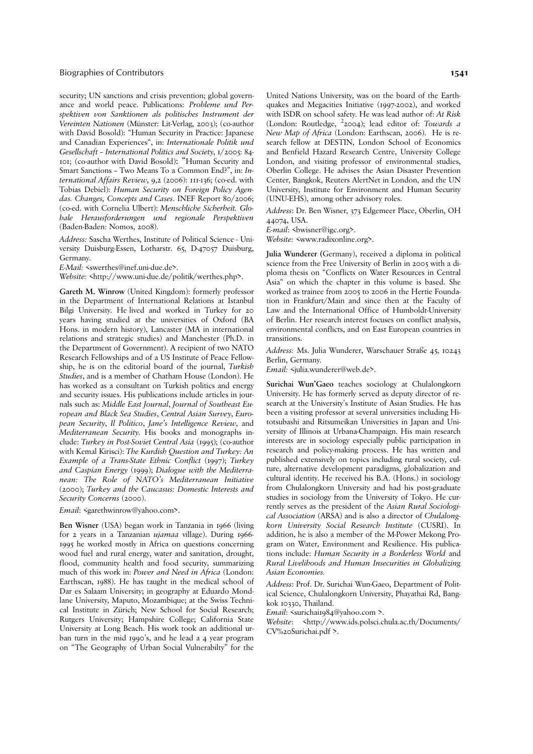security; UN sanctions and crisis prevention; global governance and world peace. Publications: *Probleme und Perspektiven von Sanktionen als politisches Instrument der Vereinten Nationen* (Münster: Lit-Verlag, 2003); (co-author with David Bosold): "Human Security in Practice: Japanese and Canadian Experiences", in: *Internationale Politik und Gesellschaft – International Politics and Society*, 1/2005: 84- 101; (co-author with David Bosold): "Human Security and Smart Sanctions – Two Means To a Common End?", in: *International Affairs Review*, 9,2 (2006): 111-136; (co-ed. with Tobias Debiel): *Human Security on Foreign Policy Agendas. Changes, Concepts and Cases*. INEF Report 80/2006; (co-ed. with Cornelia Ulbert): *Menschliche Sicherheit. Globale Herausforderungen und regionale Perspektiven* (Baden-Baden: Nomos, 2008).

*Address:* Sascha Werthes, Institute of Political Science - University Duisburg-Essen, Lotharstr. 65, D-47057 Duisburg, Germany.

*E-Mail:* <swerthes@inef.uni-due.de>.

*Website:* <http://www.uni-due.de/politik/werthes.php>.

**Gareth M. Winrow** (United Kingdom): formerly professor in the Department of International Relations at Istanbul Bilgi University. He lived and worked in Turkey for 20 years having studied at the universities of Oxford (BA Hons. in modern history), Lancaster (MA in international relations and strategic studies) and Manchester (Ph.D. in the Department of Government). A recipient of two NATO Research Fellowships and of a US Institute of Peace Fellowship, he is on the editorial board of the journal, *Turkish Studies*, and is a member of Chatham House (London). He has worked as a consultant on Turkish politics and energy and security issues. His publications include articles in journals such as: *Middle East Journal*, *Journal of Southeast European and Black Sea Studies*, *Central Asian Survey*, *European Security*, *Il Politico*, *Jane's Intelligence Review*, and *Mediterranean Security*. His books and monographs include: *Turkey in Post-Soviet Central Asia* (1995); (co-author with Kemal Kirisci): *The Kurdish Question and Turkey: An Example of a Trans-State Ethnic Conflict* (1997); *Turkey and Caspian Energy* (1999); *Dialogue with the Mediterranean: The Role of NATO's Mediterranean Initiative* (2000); *Turkey and the Caucasus: Domestic Interests and Security Concerns* (2000).

*Email*: <[garethwinrow@yahoo.com](mailto:garethwinrow@yahoo.com" \o "blocked::mailto:garethwinrow@yahoo.com)>.

**Ben Wisner** (USA) began work in Tanzania in 1966 (living for 2 years in a Tanzanian *ujamaa* village). During 1966- 1995 he worked mostly in Africa on questions concerning wood fuel and rural energy, water and sanitation, drought, flood, community health and food security, summarizing much of this work in: *Power and Need in Africa* (London: Earthscan, 1988). He has taught in the medical school of Dar es Salaam University; in geography at Eduardo Mondlane University, Maputo, Mozambique; at the Swiss Technical Institute in Zürich; New School for Social Research; Rutgers University; Hampshire College; California State University at Long Beach. His work took an additional urban turn in the mid 1990's, and he lead a 4 year program on "The Geography of Urban Social Vulnerabilty" for the United Nations University, was on the board of the Earthquakes and Megacities Initiative (1997-2002), and worked with ISDR on school safety. He was lead author of: *At Risk* (London: Routledge, <sup>2</sup> 2004); lead editor of: *Towards a New Map of Africa* (London: Earthscan, 2006). He is research fellow at DESTIN, London School of Economics and Benfield Hazard Research Centre, University College London, and visiting professor of environmental studies, Oberlin College. He advises the Asian Disaster Prevention Center, Bangkok, Reuters AlertNet in London, and the UN University, Institute for Environment and Human Security (UNU-EHS), among other advisory roles.

*Address*: Dr. Ben Wisner, 373 Edgemeer Place, Oberlin, OH 44074, USA.

*E-mail*: <br/> <br/> <br/>
velocitions<br/> *E-mail*: <br/> <br/>
sensible to the sensition of the sensition of the sensition of<br/> *E-mail*: <br/> *<br/>
Alsong>.* 

*Website:* <www.radixonline.org>.

**Julia Wunderer (**Germany), received a diploma in political science from the Free University of Berlin in 2005 with a diploma thesis on "Conflicts on Water Resources in Central Asia" on which the chapter in this volume is based. She worked as trainee from 2005 to 2006 in the Hertie Foundation in Frankfurt/Main and since then at the Faculty of Law and the International Office of Humboldt-University of Berlin. Her research interest focuses on conflict analysis, environmental conflicts, and on East European countries in transitions.

*Address:* Ms. Julia Wunderer, Warschauer Straße 45, 10243 Berlin, Germany.

*Email:* <julia.wunderer@web.de>.

**Surichai Wun'Gaeo** teaches sociology at Chulalongkorn University. He has formerly served as deputy director of research at the University's Institute of Asian Studies. He has been a visiting professor at several universities including Hitotsubashi and Ritsumeikan Universities in Japan and University of Illinois at Urbana-Champaign. His main research interests are in sociology especially public participation in research and policy-making process. He has written and published extensively on topics including rural society, culture, alternative development paradigms, globalization and cultural identity. He received his B.A. (Hons.) in sociology from Chulalongkorn University and had his post-graduate studies in sociology from the University of Tokyo. He currently serves as the president of the *Asian Rural Sociological Association* (ARSA) and is also a director of *Chulalongkorn University Social Research Institute* (CUSRI). In addition, he is also a member of the M-Power Mekong Program on Water, Environment and Resilience. His publications include: *Human Security in a Borderless World* and *Rural Livelihoods and Human Insecurities in Globalizing Asian Economies.*

*Address*: Prof. Dr. Surichai Wun-Gaeo, Department of Political Science, Chulalongkorn University, Phayathai Rd, Bangkok 10330, Thailand.

*Email*: <surichai1984@yahoo.com >.

*Website*: <http://www.ids.polsci.chula.ac.th/Documents/ CV%20Surichai.pdf >.